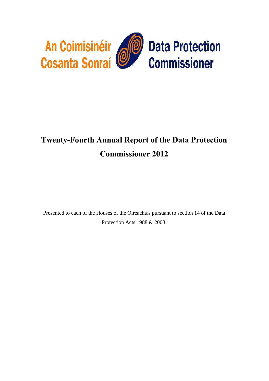

# **Twenty-Fourth Annual Report of the Data Protection Commissioner 2012**

Presented to each of the Houses of the Oireachtas pursuant to section 14 of the Data Protection Acts 1988 & 2003.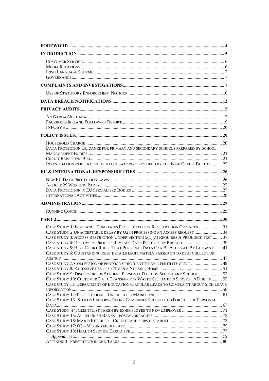| DATA PROTECTION GUIDANCE FOR PRIMARY AND SECONDARY SCHOOLS PREPARED BY SCHOOL                                                                                         |  |
|-----------------------------------------------------------------------------------------------------------------------------------------------------------------------|--|
|                                                                                                                                                                       |  |
| INVESTIGATION IN RELATION TO INACCURATE RECORDS HELD BY THE IRISH CREDIT BUREAU  22                                                                                   |  |
|                                                                                                                                                                       |  |
|                                                                                                                                                                       |  |
|                                                                                                                                                                       |  |
|                                                                                                                                                                       |  |
|                                                                                                                                                                       |  |
|                                                                                                                                                                       |  |
|                                                                                                                                                                       |  |
|                                                                                                                                                                       |  |
|                                                                                                                                                                       |  |
| CASE STUDY 1: INSURANCE COMPANIES PROSECUTED FOR REGISTRATION OFFENCES  31                                                                                            |  |
| CASE STUDY 2: UNACCEPTABLE DELAY BY O2 IN PROCESSING AN ACCESS REQUEST  34                                                                                            |  |
| CASE STUDY 3: ACCESS RESTRICTION UNDER SECTION 5(1)(A) REQUIRES A PREJUDICE TEST  37                                                                                  |  |
|                                                                                                                                                                       |  |
| CASE STUDY 5: HIGH COURT RULES THAT PERSONAL DATA CAN BE ACCESSED BY LITIGANT  41<br>CASE STUDY 6: OUTSTANDING DEBT DETAILS LEGITIMATELY PASSED ON TO DEBT COLLECTION |  |
| CASE STUDY 7: COLLECTION OF PHOTOGRAPHIC IDENTITY BY A FERTILITY CLINIC 49                                                                                            |  |
|                                                                                                                                                                       |  |
| CASE STUDY 9: DISCLOSURE OF STUDENT PERSONAL DATA BY SECONDARY SCHOOL 53                                                                                              |  |
| CASE STUDY 10: CUSTOMER DATA TRANSFER FOR WASTE COLLECTION SERVICE IN DUBLIN 55                                                                                       |  |
| CASE STUDY 11: DEPARTMENT OF EDUCATION CIRCULAR LEADS TO COMPLAINT ABOUT SICK LEAVE                                                                                   |  |
|                                                                                                                                                                       |  |
| CASE STUDY 13 STOLEN LAPTOPS - PHONE COMPANIES PROSECUTED FOR LOSS OF PERSONAL                                                                                        |  |
|                                                                                                                                                                       |  |
|                                                                                                                                                                       |  |
|                                                                                                                                                                       |  |
|                                                                                                                                                                       |  |
|                                                                                                                                                                       |  |
|                                                                                                                                                                       |  |
|                                                                                                                                                                       |  |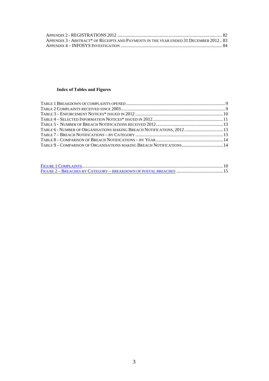| APPENDIX 3 - ABSTRACT* OF RECEIPTS AND PAYMENTS IN THE YEAR ENDED 31 DECEMBER 2012 83 |  |
|---------------------------------------------------------------------------------------|--|
|                                                                                       |  |

### **Index of Tables and Figures**

| TABLE 6 - NUMBER OF ORGANISATIONS MAKING BREACH NOTIFICATIONS, 2012  13 |  |
|-------------------------------------------------------------------------|--|
|                                                                         |  |
|                                                                         |  |
| TABLE 9 – COMPARISON OF ORGANISATIONS MAKING BREACH NOTIFICATIONS  14   |  |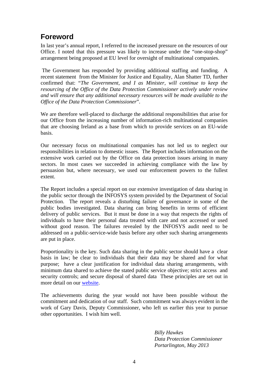# <span id="page-3-0"></span>**Foreword**

In last year's annual report, I referred to the increased pressure on the resources of our Office. I noted that this pressure was likely to increase under the "one-stop-shop" arrangement being proposed at EU level for oversight of multinational companies.

 The Government has responded by providing additional staffing and funding. A recent statement from the Minister for Justice and Equality, Alan Shatter TD, further confirmed that: "*The Government, and I as Minister, will continue to keep the resourcing of the Office of the Data Protection Commissioner actively under review and will ensure that any additional necessary resources will be made available to the Office of the Data Protection Commissioner*".

We are therefore well-placed to discharge the additional responsibilities that arise for our Office from the increasing number of information-rich multinational companies that are choosing Ireland as a base from which to provide services on an EU-wide basis.

Our necessary focus on multinational companies has not led us to neglect our responsibilities in relation to domestic issues. The Report includes information on the extensive work carried out by the Office on data protection issues arising in many sectors. In most cases we succeeded in achieving compliance with the law by persuasion but, where necessary, we used our enforcement powers to the fullest extent.

The Report includes a special report on our extensive investigation of data sharing in the public sector through the INFOSYS system provided by the Department of Social Protection. The report reveals a disturbing failure of governance in some of the public bodies investigated. Data sharing can bring benefits in terms of efficient delivery of public services. But it must be done in a way that respects the rights of individuals to have their personal data treated with care and not accessed or used without good reason. The failures revealed by the INFOSYS audit need to be addressed on a public-service-wide basis before any other such sharing arrangements are put in place.

Proportionality is the key. Such data sharing in the public sector should have a clear basis in law; be clear to individuals that their data may be shared and for what purpose; have a clear justification for individual data sharing arrangements, with minimum data shared to achieve the stated public service objective; strict access and security controls; and secure disposal of shared data These principles are set out in more detail on our [website.](http://www.dataprotection.ie/viewdoc.asp?m=m&fn=/documents/guidance/Data_Sharing_in_the_Public_Sector.htm)

The achievements during the year would not have been possible without the commitment and dedication of our staff. Such commitment was always evident in the work of Gary Davis, Deputy Commissioner, who left us earlier this year to pursue other opportunities. I wish him well.

> *Billy Hawkes Data Protection Commissioner Portarlington, May 2013*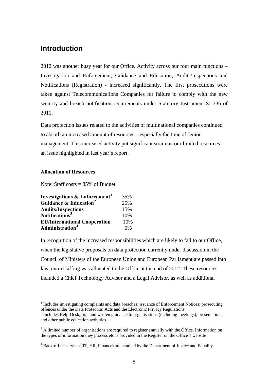# <span id="page-4-0"></span>**Introduction**

2012 was another busy year for our Office. Activity across our four main functions – Investigation and Enforcement, Guidance and Education, Audits/Inspections and Notifications (Registration) - increased significantly. The first prosecutions were taken against Telecommunications Companies for failure to comply with the new security and breach notification requirements under Statutory Instrument SI 336 of 2011.

Data protection issues related to the activities of multinational companies continued to absorb an increased amount of resources – especially the time of senior management. This increased activity put significant strain on our limited resources – an issue highlighted in last year's report.

#### **Allocation of Resources**

1

Note: Staff costs = 85% of Budget

| <b>Investigations &amp; Enforcement</b> <sup>1</sup> | 35% |
|------------------------------------------------------|-----|
| Guidance & Education <sup>2</sup>                    | 25% |
| <b>Audits/Inspections</b>                            | 15% |
| Notifications <sup>3</sup>                           | 10% |
| <b>EU/International Cooperation</b>                  | 10% |
| Administration <sup>4</sup>                          | 5%  |

In recognition of the increased responsibilities which are likely to fall to our Office, when the legislative proposals on data protection currently under discussion in the Council of Ministers of the European Union and European Parliament are passed into law, extra staffing was allocated to the Office at the end of 2012. These resources included a Chief Technology Advisor and a Legal Advisor, as well as additional

<span id="page-4-1"></span><sup>&</sup>lt;sup>1</sup> Includes investigating complaints and data breaches; issuance of Enforcement Notices; prosecuting offences under the Data Protection Acts and the Electronic Privacy Regulations

<span id="page-4-2"></span><sup>&</sup>lt;sup>2</sup> Includes Help-Desk; oral and written guidance to organisations (including meetings); presentations and other public education activities.

<span id="page-4-3"></span> $3$  A limited number of organisations are required to register annually with the Office. Information on the types of information they process etc is provided in the Register on the Office's website

<span id="page-4-4"></span><sup>&</sup>lt;sup>4</sup> Back-office services (IT, HR, Finance) are handled by the Department of Justice and Equality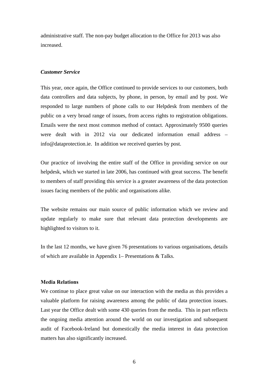administrative staff. The non-pay budget allocation to the Office for 2013 was also increased.

#### <span id="page-5-0"></span>*Customer Service*

This year, once again, the Office continued to provide services to our customers, both data controllers and data subjects, by phone, in person, by email and by post. We responded to large numbers of phone calls to our Helpdesk from members of the public on a very broad range of issues, from access rights to registration obligations. Emails were the next most common method of contact. Approximately 9500 queries were dealt with in 2012 via our dedicated information email address – info@dataprotection.ie. In addition we received queries by post.

Our practice of involving the entire staff of the Office in providing service on our helpdesk, which we started in late 2006, has continued with great success. The benefit to members of staff providing this service is a greater awareness of the data protection issues facing members of the public and organisations alike.

The website remains our main source of public information which we review and update regularly to make sure that relevant data protection developments are highlighted to visitors to it.

In the last 12 months, we have given 76 presentations to various organisations, details of which are available in Appendix 1– Presentations & Talks.

#### <span id="page-5-1"></span>**Media Relations**

We continue to place great value on our interaction with the media as this provides a valuable platform for raising awareness among the public of data protection issues. Last year the Office dealt with some 430 queries from the media. This in part reflects the ongoing media attention around the world on our investigation and subsequent audit of Facebook-Ireland but domestically the media interest in data protection matters has also significantly increased.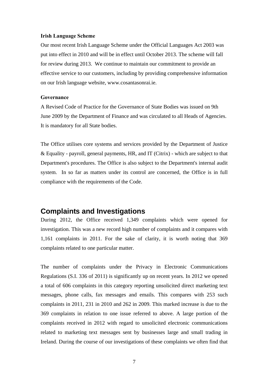#### <span id="page-6-0"></span>**Irish Language Scheme**

Our most recent Irish Language Scheme under the Official Languages Act 2003 was put into effect in 2010 and will be in effect until October 2013. The scheme will fall for review during 2013. We continue to maintain our commitment to provide an effective service to our customers, including by providing comprehensive information on our Irish language website, [www.cosantasonrai.ie.](http://www.cosantasonrai.ie/viewdoc.asp?DocID=4&UserLang=GA)

#### <span id="page-6-1"></span>**Governance**

A Revised Code of Practice for the Governance of State Bodies was issued on 9th June 2009 by the Department of Finance and was circulated to all Heads of Agencies. It is mandatory for all State bodies.

The Office utilises core systems and services provided by the Department of Justice & Equality - payroll, general payments, HR, and IT (Citrix) - which are subject to that Department's procedures. The Office is also subject to the Department's internal audit system. In so far as matters under its control are concerned, the Office is in full compliance with the requirements of the Code.

### <span id="page-6-2"></span>**Complaints and Investigations**

During 2012, the Office received 1,349 complaints which were opened for investigation. This was a new record high number of complaints and it compares with 1,161 complaints in 2011. For the sake of clarity, it is worth noting that 369 complaints related to one particular matter.

The number of complaints under the Privacy in Electronic Communications Regulations (S.I. 336 of 2011) is significantly up on recent years. In 2012 we opened a total of 606 complaints in this category reporting unsolicited direct marketing text messages, phone calls, fax messages and emails. This compares with 253 such complaints in 2011, 231 in 2010 and 262 in 2009. This marked increase is due to the 369 complaints in relation to one issue referred to above. A large portion of the complaints received in 2012 with regard to unsolicited electronic communications related to marketing text messages sent by businesses large and small trading in Ireland. During the course of our investigations of these complaints we often find that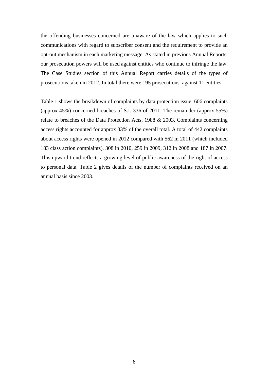the offending businesses concerned are unaware of the law which applies to such communications with regard to subscriber consent and the requirement to provide an opt-out mechanism in each marketing message. As stated in previous Annual Reports, our prosecution powers will be used against entities who continue to infringe the law. The Case Studies section of this Annual Report carries details of the types of prosecutions taken in 2012. In total there were 195 prosecutions against 11 entities.

Table 1 shows the breakdown of complaints by data protection issue. 606 complaints (approx 45%) concerned breaches of S.I. 336 of 2011. The remainder (approx 55%) relate to breaches of the Data Protection Acts, 1988 & 2003. Complaints concerning access rights accounted for approx 33% of the overall total. A total of 442 complaints about access rights were opened in 2012 compared with 562 in 2011 (which included 183 class action complaints), 308 in 2010, 259 in 2009, 312 in 2008 and 187 in 2007. This upward trend reflects a growing level of public awareness of the right of access to personal data. Table 2 gives details of the number of complaints received on an annual basis since 2003.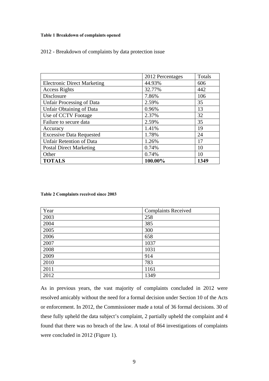#### **Table 1 Breakdown of complaints opened**

|  |  |  |  |  | 2012 - Breakdown of complaints by data protection issue |  |
|--|--|--|--|--|---------------------------------------------------------|--|
|--|--|--|--|--|---------------------------------------------------------|--|

|                                    | 2012 Percentages | Totals |
|------------------------------------|------------------|--------|
| <b>Electronic Direct Marketing</b> | 44.93%           | 606    |
| <b>Access Rights</b>               | 32.77%           | 442    |
| Disclosure                         | 7.86%            | 106    |
| <b>Unfair Processing of Data</b>   | 2.59%            | 35     |
| <b>Unfair Obtaining of Data</b>    | 0.96%            | 13     |
| Use of CCTV Footage                | 2.37%            | 32     |
| Failure to secure data             | 2.59%            | 35     |
| Accuracy                           | 1.41%            | 19     |
| <b>Excessive Data Requested</b>    | 1.78%            | 24     |
| <b>Unfair Retention of Data</b>    | 1.26%            | 17     |
| <b>Postal Direct Marketing</b>     | 0.74%            | 10     |
| Other                              | 0.74%            | 10     |
| <b>TOTALS</b>                      | 100.00%          | 1349   |

#### <span id="page-8-1"></span><span id="page-8-0"></span>**Table 2 Complaints received since 2003**

| Year | <b>Complaints Received</b> |
|------|----------------------------|
| 2003 | 258                        |
| 2004 | 385                        |
| 2005 | 300                        |
| 2006 | 658                        |
| 2007 | 1037                       |
| 2008 | 1031                       |
| 2009 | 914                        |
| 2010 | 783                        |
| 2011 | 1161                       |
| 2012 | 1349                       |

As in previous years, the vast majority of complaints concluded in 2012 were resolved amicably without the need for a formal decision under Section 10 of the Acts or enforcement. In 2012, the Commissioner made a total of 36 formal decisions. 30 of these fully upheld the data subject's complaint, 2 partially upheld the complaint and 4 found that there was no breach of the law. A total of 864 investigations of complaints were concluded in 2012 (Figure 1).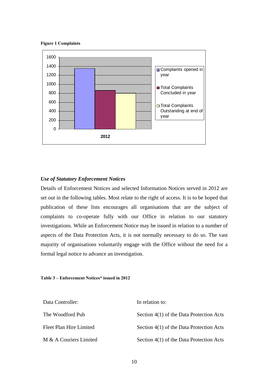<span id="page-9-2"></span>



#### <span id="page-9-0"></span>*Use of Statutory Enforcement Notices*

Details of Enforcement Notices and selected Information Notices served in 2012 are set out in the following tables. Most relate to the right of access. It is to be hoped that publication of these lists encourages all organisations that are the subject of complaints to co-operate fully with our Office in relation to our statutory investigations. While an Enforcement Notice may be issued in relation to a number of aspects of the Data Protection Acts, it is not normally necessary to do so. The vast majority of organisations voluntarily engage with the Office without the need for a formal legal notice to advance an investigation.

#### <span id="page-9-1"></span>**Table 3 – Enforcement Notices\* issued in 2012**

| Data Controller:        | In relation to:                          |
|-------------------------|------------------------------------------|
| The Woodford Pub        | Section 4(1) of the Data Protection Acts |
| Fleet Plan Hire Limited | Section 4(1) of the Data Protection Acts |
| M & A Couriers Limited  | Section 4(1) of the Data Protection Acts |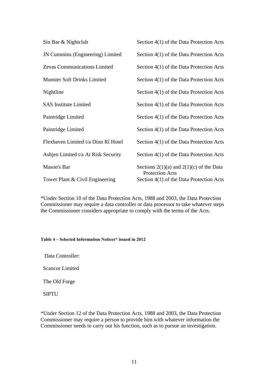| Sin Bar & Nightclub                     | Section 4(1) of the Data Protection Acts                               |
|-----------------------------------------|------------------------------------------------------------------------|
| <b>JN Cummins (Engineering) Limited</b> | Section 4(1) of the Data Protection Acts                               |
| Zevas Communications Limited            | Section 4(1) of the Data Protection Acts                               |
| <b>Munster Soft Drinks Limited</b>      | Section 4(1) of the Data Protection Acts                               |
| Nightline                               | Section 4(1) of the Data Protection Acts                               |
| <b>SAS</b> Institute Limited            | Section 4(1) of the Data Protection Acts                               |
| Paintridge Limited                      | Section 4(1) of the Data Protection Acts                               |
| Paintridge Limited                      | Section 4(1) of the Data Protection Acts                               |
| Flexhaven Limited t/a Dinn Rí Hotel     | Section 4(1) of the Data Protection Acts                               |
| Ashien Limited t/a At Risk Security     | Section 4(1) of the Data Protection Acts                               |
| Mason's Bar                             | Sections $2(1)(a)$ and $2(1)(c)$ of the Data<br><b>Protection Acts</b> |
| Tower Plant & Civil Engineering         | Section 4(1) of the Data Protection Acts                               |

\*Under Section 10 of the Data Protection Acts, 1988 and 2003, the Data Protection Commissioner may require a data controller or data processor to take whatever steps the Commissioner considers appropriate to comply with the terms of the Acts.

#### <span id="page-10-0"></span>**Table 4 – Selected Information Notices\* issued in 2012**

Data Controller:

Scancor Limited

The Old Forge

SIPTU

\*Under Section 12 of the Data Protection Acts, 1988 and 2003, the Data Protection Commissioner may require a person to provide him with whatever information the Commissioner needs to carry out his function, such as to pursue an investigation.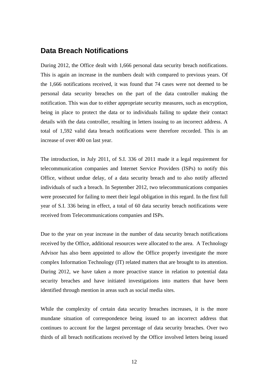### <span id="page-11-0"></span>**Data Breach Notifications**

During 2012, the Office dealt with 1,666 personal data security breach notifications. This is again an increase in the numbers dealt with compared to previous years. Of the 1,666 notifications received, it was found that 74 cases were not deemed to be personal data security breaches on the part of the data controller making the notification. This was due to either appropriate security measures, such as encryption, being in place to protect the data or to individuals failing to update their contact details with the data controller, resulting in letters issuing to an incorrect address. A total of 1,592 valid data breach notifications were therefore recorded. This is an increase of over 400 on last year.

The introduction, in July 2011, of S.I. 336 of 2011 made it a legal requirement for telecommunication companies and Internet Service Providers (ISPs) to notify this Office, without undue delay, of a data security breach and to also notify affected individuals of such a breach. In September 2012, two telecommunications companies were prosecuted for failing to meet their legal obligation in this regard. In the first full year of S.I. 336 being in effect, a total of 60 data security breach notifications were received from Telecommunications companies and ISPs.

Due to the year on year increase in the number of data security breach notifications received by the Office, additional resources were allocated to the area. A Technology Advisor has also been appointed to allow the Office properly investigate the more complex Information Technology (IT) related matters that are brought to its attention. During 2012, we have taken a more proactive stance in relation to potential data security breaches and have initiated investigations into matters that have been identified through mention in areas such as social media sites.

While the complexity of certain data security breaches increases, it is the more mundane situation of correspondence being issued to an incorrect address that continues to account for the largest percentage of data security breaches. Over two thirds of all breach notifications received by the Office involved letters being issued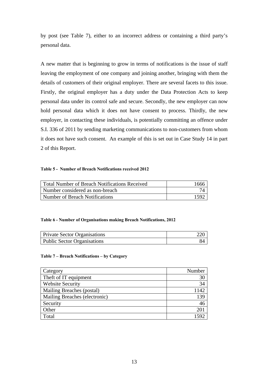by post (see Table 7), either to an incorrect address or containing a third party's personal data.

A new matter that is beginning to grow in terms of notifications is the issue of staff leaving the employment of one company and joining another, bringing with them the details of customers of their original employer. There are several facets to this issue. Firstly, the original employer has a duty under the Data Protection Acts to keep personal data under its control safe and secure. Secondly, the new employer can now hold personal data which it does not have consent to process. Thirdly, the new employer, in contacting these individuals, is potentially committing an offence under S.I. 336 of 2011 by sending marketing communications to non-customers from whom it does not have such consent. An example of this is set out in Case Study 14 in part 2 of this Report.

#### <span id="page-12-0"></span>**Table 5 - Number of Breach Notifications received 2012**

| Total Number of Breach Notifications Received | 1666 |
|-----------------------------------------------|------|
| Number considered as non-breach               |      |
| Number of Breach Notifications                | 1590 |

#### <span id="page-12-1"></span>**Table 6 - Number of Organisations making Breach Notifications, 2012**

| <b>Private Sector Organisations</b> |  |
|-------------------------------------|--|
| <b>Public Sector Organisations</b>  |  |

#### <span id="page-12-2"></span>**Table 7 – Breach Notifications – by Category**

| Category                      | Number |
|-------------------------------|--------|
| Theft of IT equipment         | 30     |
| <b>Website Security</b>       | 34     |
| Mailing Breaches (postal)     | 142    |
| Mailing Breaches (electronic) | 139    |
| Security                      | 46     |
| Other                         |        |
| Total                         | 1592   |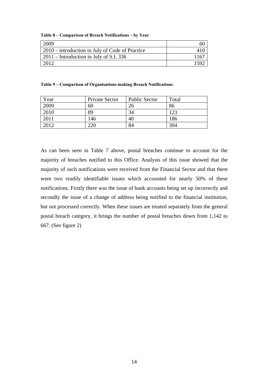<span id="page-13-0"></span>

|  |  |  | Table 8 – Comparison of Breach Notifications – by Year |  |
|--|--|--|--------------------------------------------------------|--|
|--|--|--|--------------------------------------------------------|--|

| 2009                                              |      |
|---------------------------------------------------|------|
| $2010$ – introduction in July of Code of Practice |      |
| $2011$ – Introduction in July of S.I. 336         | 1167 |
| 2012                                              | 15QC |

#### <span id="page-13-1"></span>**Table 9 – Comparison of Organisations making Breach Notifications**

| Year | Private Sector | <b>Public Sector</b> | Total |
|------|----------------|----------------------|-------|
| 2009 | 60             | 26                   | 86    |
| 2010 | 89             | 34                   | 123   |
| 2011 | 146            | 40                   | 186   |
| 2012 | 220            | 84                   | 304   |

As can been seen in Table 7 above, postal breaches continue to account for the majority of breaches notified to this Office. Analysis of this issue showed that the majority of such notifications were received from the Financial Sector and that there were two readily identifiable issues which accounted for nearly 50% of these notifications. Firstly there was the issue of bank accounts being set up incorrectly and secondly the issue of a change of address being notified to the financial institution, but not processed correctly. When these issues are treated separately from the general postal breach category, it brings the number of postal breaches down from 1,142 to 667. (See figure 2)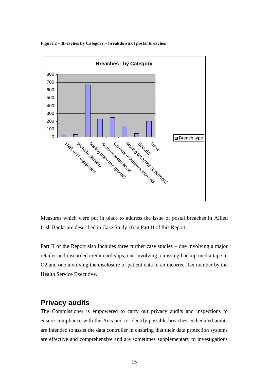

**Figure 2 – Breaches by Category – breakdown of postal breaches** 

Measures which were put in place to address the issue of postal breaches in Allied Irish Banks are described in Case Study 16 in Part II of this Report.

<span id="page-14-1"></span>Part II of the Report also includes three further case studies – one involving a major retailer and discarded credit card slips, one involving a missing backup media tape in O2 and one involving the disclosure of patient data to an incorrect fax number by the Health Service Executive.

# <span id="page-14-0"></span>**Privacy audits**

The Commissioner is empowered to carry out privacy audits and inspections to ensure compliance with the Acts and to identify possible breaches. Scheduled audits are intended to assist the data controller in ensuring that their data protection systems are effective and comprehensive and are sometimes supplementary to investigations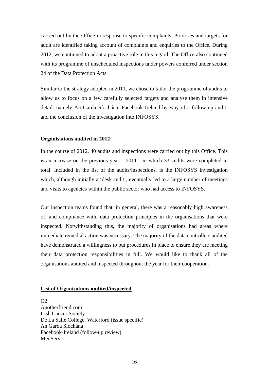carried out by the Office in response to specific complaints. Priorities and targets for audit are identified taking account of complaints and enquiries to the Office. During 2012, we continued to adopt a proactive role in this regard. The Office also continued with its programme of unscheduled inspections under powers conferred under section 24 of the Data Protection Acts.

Similar to the strategy adopted in 2011, we chose to tailor the programme of audits to allow us to focus on a few carefully selected targets and analyse them in intensive detail: namely An Garda Síochána; Facebook Ireland by way of a follow-up audit; and the conclusion of the investigation into INFOSYS.

#### **Organisations audited in 2012:**

In the course of 2012, 40 audits and inspections were carried out by this Office. This is an increase on the previous year – 2011 - in which 33 audits were completed in total. Included in the list of the audits/inspections, is the INFOSYS investigation which, although initially a 'desk audit', eventually led to a large number of meetings and visits to agencies within the public sector who had access to INFOSYS.

Our inspection teams found that, in general, there was a reasonably high awareness of, and compliance with, data protection principles in the organisations that were inspected. Notwithstanding this, the majority of organisations had areas where immediate remedial action was necessary. The majority of the data controllers audited have demonstrated a willingness to put procedures in place to ensure they are meeting their data protection responsibilities in full. We would like to thank all of the organisations audited and inspected throughout the year for their cooperation.

#### **List of Organisations audited/inspected**

 $\Omega$ Anotherfriend.com Irish Cancer Society De La Salle College, Waterford (issue specific) An Garda Síochána Facebook-Ireland (follow-up review) MedServ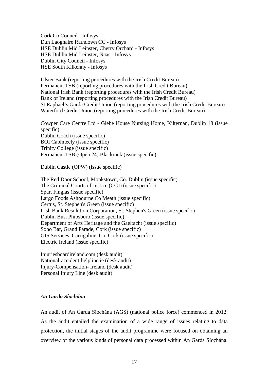Cork Co Council - Infosys Dun Laoghaire Rathdown CC - Infosys HSE Dublin Mid Leinster, Cherry Orchard - Infosys HSE Dublin Mid Leinster, Naas - Infosys Dublin City Council - Infosys HSE South Kilkenny - Infosys

Ulster Bank (reporting procedures with the Irish Credit Bureau) Permanent TSB (reporting procedures with the Irish Credit Bureau) National Irish Bank (reporting procedures with the Irish Credit Bureau) Bank of Ireland (reporting procedures with the Irish Credit Bureau) St Raphael's Garda Credit Union (reporting procedures with the Irish Credit Bureau) Waterford Credit Union (reporting procedures with the Irish Credit Bureau)

Cowper Care Centre Ltd - Glebe House Nursing Home, Kilternan, Dublin 18 (issue specific) Dublin Coach (issue specific) BOI Cabinteely (issue specific) Trinity College (issue specific) Permanent TSB (Open 24) Blackrock (issue specific)

Dublin Castle (OPW) (issue specific)

The Red Door School, Monkstown, Co. Dublin (issue specific) The Criminal Courts of Justice (CCJ) (issue specific) Spar, Finglas (issue specific) Largo Foods Ashbourne Co Meath (issue specific) Certus, St. Stephen's Green (issue specific) Irish Bank Resolution Corporation, St. Stephen's Green (issue specific) Dublin Bus, Phibsboro (issue specific) Department of Arts Heritage and the Gaeltacht (issue specific) Soho Bar, Grand Parade, Cork (issue specific) OIS Services, Carrigaline, Co. Cork (issue specific) Electric Ireland (issue specific)

Injuriesboardireland.com (desk audit) National-accident-helpline.ie (desk audit) Injury-Compensation- Ireland (desk audit) Personal Injury Line (desk audit)

#### <span id="page-16-0"></span>*An Garda Síochána*

An audit of An Garda Síochána (AGS) (national police force) commenced in 2012. As the audit entailed the examination of a wide range of issues relating to data protection, the initial stages of the audit programme were focused on obtaining an overview of the various kinds of personal data processed within An Garda Síochána.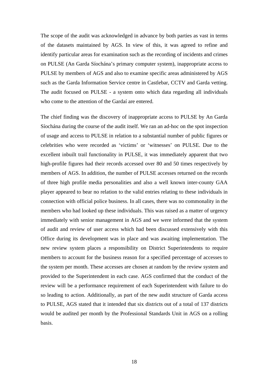The scope of the audit was acknowledged in advance by both parties as vast in terms of the datasets maintained by AGS. In view of this, it was agreed to refine and identify particular areas for examination such as the recording of incidents and crimes on PULSE (An Garda Síochána's primary computer system), inappropriate access to PULSE by members of AGS and also to examine specific areas administered by AGS such as the Garda Information Service centre in Castlebar, CCTV and Garda vetting. The audit focused on PULSE - a system onto which data regarding all individuals who come to the attention of the Gardaí are entered.

The chief finding was the discovery of inappropriate access to PULSE by An Garda Síochána during the course of the audit itself. We ran an ad-hoc on the spot inspection of usage and access to PULSE in relation to a substantial number of public figures or celebrities who were recorded as 'victims' or 'witnesses' on PULSE. Due to the excellent inbuilt trail functionality in PULSE, it was immediately apparent that two high-profile figures had their records accessed over 80 and 50 times respectively by members of AGS. In addition, the number of PULSE accesses returned on the records of three high profile media personalities and also a well known inter-county GAA player appeared to bear no relation to the valid entries relating to these individuals in connection with official police business. In all cases, there was no commonality in the members who had looked up these individuals. This was raised as a matter of urgency immediately with senior management in AGS and we were informed that the system of audit and review of user access which had been discussed extensively with this Office during its development was in place and was awaiting implementation. The new review system places a responsibility on District Superintendents to require members to account for the business reason for a specified percentage of accesses to the system per month. These accesses are chosen at random by the review system and provided to the Superintendent in each case. AGS confirmed that the conduct of the review will be a performance requirement of each Superintendent with failure to do so leading to action. Additionally, as part of the new audit structure of Garda access to PULSE, AGS stated that it intended that six districts out of a total of 137 districts would be audited per month by the Professional Standards Unit in AGS on a rolling basis.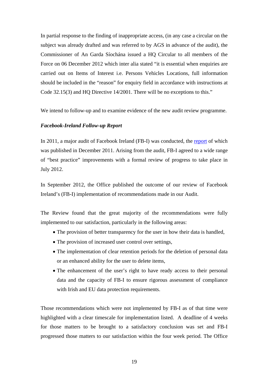In partial response to the finding of inappropriate access, (in any case a circular on the subject was already drafted and was referred to by AGS in advance of the audit), the Commissioner of An Garda Síochána issued a HQ Circular to all members of the Force on 06 December 2012 which inter alia stated "it is essential when enquiries are carried out on Items of Interest i.e. Persons Vehicles Locations, full information should be included in the "reason" for enquiry field in accordance with instructions at Code 32.15(3) and HQ Directive 14/2001. There will be no exceptions to this."

We intend to follow-up and to examine evidence of the new audit review programme.

#### <span id="page-18-0"></span>*Facebook-Ireland Follow-up Report*

In 2011, a major audit of Facebook Ireland (FB-I) was conducted, the [report](http://www.dataprotection.ie/docs/Facebook_Ireland_Audit_Report,_December_2011/1187.htm) of which was published in December 2011. Arising from the audit, FB-I agreed to a wide range of "best practice" improvements with a formal review of progress to take place in July 2012.

In September 2012, the Office published the outcome of our review of Facebook Ireland's (FB-I) implementation of recommendations made in our Audit.

The Review found that the great majority of the recommendations were fully implemented to our satisfaction, particularly in the following areas:

- The provision of better transparency for the user in how their data is handled,
- The provision of increased user control over settings,
- The implementation of clear retention periods for the deletion of personal data or an enhanced ability for the user to delete items,
- The enhancement of the user's right to have ready access to their personal data and the capacity of FB-I to ensure rigorous assessment of compliance with Irish and EU data protection requirements.

Those recommendations which were not implemented by FB-I as of that time were highlighted with a clear timescale for implementation listed. A deadline of 4 weeks for those matters to be brought to a satisfactory conclusion was set and FB-I progressed those matters to our satisfaction within the four week period. The Office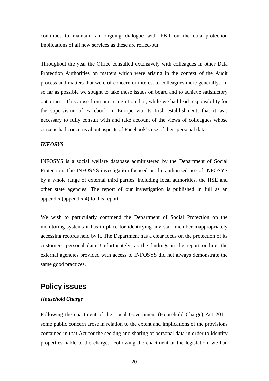continues to maintain an ongoing dialogue with FB-I on the data protection implications of all new services as these are rolled-out.

Throughout the year the Office consulted extensively with colleagues in other Data Protection Authorities on matters which were arising in the context of the Audit process and matters that were of concern or interest to colleagues more generally. In so far as possible we sought to take these issues on board and to achieve satisfactory outcomes. This arose from our recognition that, while we had lead responsibility for the supervision of Facebook in Europe via its Irish establishment, that it was necessary to fully consult with and take account of the views of colleagues whose citizens had concerns about aspects of Facebook's use of their personal data.

#### <span id="page-19-0"></span>*INFOSYS*

INFOSYS is a social welfare database administered by the Department of Social Protection. The INFOSYS investigation focused on the authorised use of INFOSYS by a whole range of external third parties, including local authorities, the HSE and other state agencies. The report of our investigation is published in full as an appendix (appendix 4) to this report.

We wish to particularly commend the Department of Social Protection on the monitoring systems it has in place for identifying any staff member inappropriately accessing records held by it. The Department has a clear focus on the protection of its customers' personal data. Unfortunately, as the findings in the report outline, the external agencies provided with access to INFOSYS did not always demonstrate the same good practices.

# <span id="page-19-1"></span>**Policy issues**

#### <span id="page-19-2"></span>*Household Charge*

Following the enactment of the Local Government (Household Charge) Act 2011, some public concern arose in relation to the extent and implications of the provisions contained in that Act for the seeking and sharing of personal data in order to identify properties liable to the charge. Following the enactment of the legislation, we had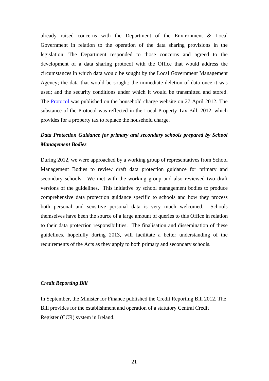already raised concerns with the Department of the Environment & Local Government in relation to the operation of the data sharing provisions in the legislation. The Department responded to those concerns and agreed to the development of a data sharing protocol with the Office that would address the circumstances in which data would be sought by the Local Government Management Agency; the data that would be sought; the immediate deletion of data once it was used; and the security conditions under which it would be transmitted and stored. The [Protocol](https://www.householdcharge.ie/Forms/DataProtocol.pdf) was published on the household charge website on 27 April 2012. The substance of the Protocol was reflected in the Local Property Tax Bill, 2012, which provides for a property tax to replace the household charge.

# <span id="page-20-0"></span>*Data Protection Guidance for primary and secondary schools prepared by School Management Bodies*

During 2012, we were approached by a working group of representatives from School Management Bodies to review draft data protection guidance for primary and secondary schools. We met with the working group and also reviewed two draft versions of the guidelines. This initiative by school management bodies to produce comprehensive data protection guidance specific to schools and how they process both personal and sensitive personal data is very much welcomed. Schools themselves have been the source of a large amount of queries to this Office in relation to their data protection responsibilities. The finalisation and dissemination of these guidelines, hopefully during 2013, will facilitate a better understanding of the requirements of the Acts as they apply to both primary and secondary schools.

#### <span id="page-20-1"></span>*Credit Reporting Bill*

In September, the Minister for Finance published the Credit Reporting Bill 2012. The Bill provides for the establishment and operation of a statutory Central Credit Register (CCR) system in Ireland.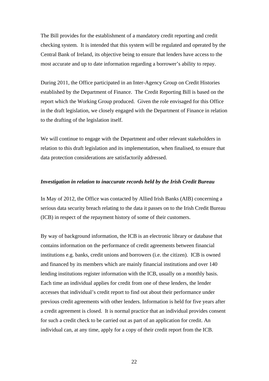The Bill provides for the establishment of a mandatory credit reporting and credit checking system. It is intended that this system will be regulated and operated by the Central Bank of Ireland, its objective being to ensure that lenders have access to the most accurate and up to date information regarding a borrower's ability to repay.

During 2011, the Office participated in an Inter-Agency Group on Credit Histories established by the Department of Finance. The Credit Reporting Bill is based on the report which the Working Group produced. Given the role envisaged for this Office in the draft legislation, we closely engaged with the Department of Finance in relation to the drafting of the legislation itself.

We will continue to engage with the Department and other relevant stakeholders in relation to this draft legislation and its implementation, when finalised, to ensure that data protection considerations are satisfactorily addressed.

#### <span id="page-21-0"></span>*Investigation in relation to inaccurate records held by the Irish Credit Bureau*

In May of 2012, the Office was contacted by Allied Irish Banks (AIB) concerning a serious data security breach relating to the data it passes on to the Irish Credit Bureau (ICB) in respect of the repayment history of some of their customers.

By way of background information, the ICB is an electronic library or database that contains information on the performance of credit agreements between financial institutions e.g. banks, credit unions and borrowers (i.e. the citizen). ICB is owned and financed by its members which are mainly financial institutions and over 140 lending institutions register information with the ICB, usually on a monthly basis. Each time an individual applies for credit from one of these lenders, the lender accesses that individual's credit report to find out about their performance under previous credit agreements with other lenders. Information is held for five years after a credit agreement is closed. It is normal practice that an individual provides consent for such a credit check to be carried out as part of an application for credit. An individual can, at any time, apply for a copy of their credit report from the ICB.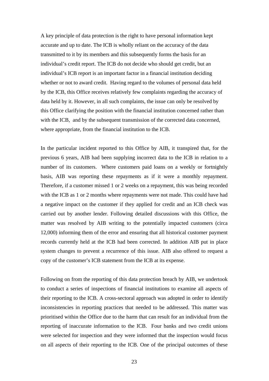A key principle of data protection is the right to have personal information kept accurate and up to date. The ICB is wholly reliant on the accuracy of the data transmitted to it by its members and this subsequently forms the basis for an individual's credit report. The ICB do not decide who should get credit, but an individual's ICB report is an important factor in a financial institution deciding whether or not to award credit. Having regard to the volumes of personal data held by the ICB, this Office receives relatively few complaints regarding the accuracy of data held by it. However, in all such complaints, the issue can only be resolved by this Office clarifying the position with the financial institution concerned rather than with the ICB, and by the subsequent transmission of the corrected data concerned, where appropriate, from the financial institution to the ICB.

In the particular incident reported to this Office by AIB, it transpired that, for the previous 6 years, AIB had been supplying incorrect data to the ICB in relation to a number of its customers. Where customers paid loans on a weekly or fortnightly basis, AIB was reporting these repayments as if it were a monthly repayment. Therefore, if a customer missed 1 or 2 weeks on a repayment, this was being recorded with the ICB as 1 or 2 months where repayments were not made. This could have had a negative impact on the customer if they applied for credit and an ICB check was carried out by another lender. Following detailed discussions with this Office, the matter was resolved by AIB writing to the potentially impacted customers (circa 12,000) informing them of the error and ensuring that all historical customer payment records currently held at the ICB had been corrected. In addition AIB put in place system changes to prevent a recurrence of this issue. AIB also offered to request a copy of the customer's ICB statement from the ICB at its expense.

Following on from the reporting of this data protection breach by AIB, we undertook to conduct a series of inspections of financial institutions to examine all aspects of their reporting to the ICB. A cross-sectoral approach was adopted in order to identify inconsistencies in reporting practices that needed to be addressed. This matter was prioritised within the Office due to the harm that can result for an individual from the reporting of inaccurate information to the ICB. Four banks and two credit unions were selected for inspection and they were informed that the inspection would focus on all aspects of their reporting to the ICB. One of the principal outcomes of these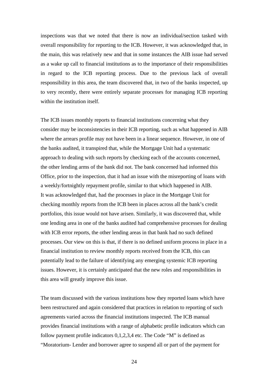inspections was that we noted that there is now an individual/section tasked with overall responsibility for reporting to the ICB. However, it was acknowledged that, in the main, this was relatively new and that in some instances the AIB issue had served as a wake up call to financial institutions as to the importance of their responsibilities in regard to the ICB reporting process. Due to the previous lack of overall responsibility in this area, the team discovered that, in two of the banks inspected, up to very recently, there were entirely separate processes for managing ICB reporting within the institution itself.

The ICB issues monthly reports to financial institutions concerning what they consider may be inconsistencies in their ICB reporting, such as what happened in AIB where the arrears profile may not have been in a linear sequence. However, in one of the banks audited, it transpired that, while the Mortgage Unit had a systematic approach to dealing with such reports by checking each of the accounts concerned, the other lending arms of the bank did not. The bank concerned had informed this Office, prior to the inspection, that it had an issue with the misreporting of loans with a weekly/fortnightly repayment profile, similar to that which happened in AIB. It was acknowledged that, had the processes in place in the Mortgage Unit for checking monthly reports from the ICB been in places across all the bank's credit portfolios, this issue would not have arisen. Similarly, it was discovered that, while one lending area in one of the banks audited had comprehensive processes for dealing with ICB error reports, the other lending areas in that bank had no such defined processes. Our view on this is that, if there is no defined uniform process in place in a financial institution to review monthly reports received from the ICB, this can potentially lead to the failure of identifying any emerging systemic ICB reporting issues. However, it is certainly anticipated that the new roles and responsibilities in this area will greatly improve this issue.

The team discussed with the various institutions how they reported loans which have been restructured and again considered that practices in relation to reporting of such agreements varied across the financial institutions inspected. The ICB manual provides financial institutions with a range of alphabetic profile indicators which can follow payment profile indicators 0,1,2,3,4 etc. The Code "M" is defined as "Moratorium- Lender and borrower agree to suspend all or part of the payment for

<u>24</u>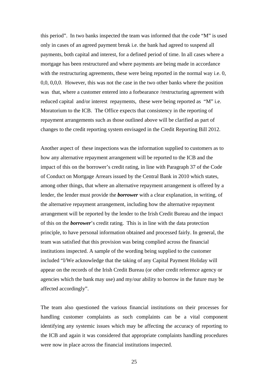this period". In two banks inspected the team was informed that the code "M" is used only in cases of an agreed payment break i.e. the bank had agreed to suspend all payments, both capital and interest, for a defined period of time. In all cases where a mortgage has been restructured and where payments are being made in accordance with the restructuring agreements, these were being reported in the normal way i.e. 0, 0,0, 0,0,0. However, this was not the case in the two other banks where the position was that, where a customer entered into a forbearance /restructuring agreement with reduced capital and/or interest repayments, these were being reported as "M" i.e. Moratorium to the ICB. The Office expects that consistency in the reporting of repayment arrangements such as those outlined above will be clarified as part of changes to the credit reporting system envisaged in the Credit Reporting Bill 2012.

Another aspect of these inspections was the information supplied to customers as to how any alternative repayment arrangement will be reported to the ICB and the impact of this on the borrower's credit rating, in line with Paragraph 37 of the Code of Conduct on Mortgage Arrears issued by the Central Bank in 2010 which states, among other things, that where an alternative repayment arrangement is offered by a lender, the lender must provide the *borrower* with a clear explanation, in writing, of the alternative repayment arrangement, including how the alternative repayment arrangement will be reported by the lender to the Irish Credit Bureau and the impact of this on the *borrower*'s credit rating. This is in line with the data protection principle, to have personal information obtained and processed fairly. In general, the team was satisfied that this provision was being complied across the financial institutions inspected. A sample of the wording being supplied to the customer included "I/We acknowledge that the taking of any Capital Payment Holiday will appear on the records of the Irish Credit Bureau (or other credit reference agency or agencies which the bank may use) and my/our ability to borrow in the future may be affected accordingly".

The team also questioned the various financial institutions on their processes for handling customer complaints as such complaints can be a vital component identifying any systemic issues which may be affecting the accuracy of reporting to the ICB and again it was considered that appropriate complaints handling procedures were now in place across the financial institutions inspected.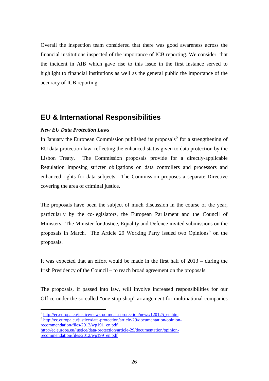Overall the inspection team considered that there was good awareness across the financial institutions inspected of the importance of ICB reporting. We consider that the incident in AIB which gave rise to this issue in the first instance served to highlight to financial institutions as well as the general public the importance of the accuracy of ICB reporting.

# <span id="page-25-0"></span>**EU & International Responsibilities**

#### <span id="page-25-1"></span>*New EU Data Protection Laws*

1

In January the European Commission published its proposals<sup>[5](#page-25-2)</sup> for a strengthening of EU data protection law, reflecting the enhanced status given to data protection by the Lisbon Treaty. The Commission proposals provide for a directly-applicable Regulation imposing stricter obligations on data controllers and processors and enhanced rights for data subjects. The Commission proposes a separate Directive covering the area of criminal justice.

The proposals have been the subject of much discussion in the course of the year, particularly by the co-legislators, the European Parliament and the Council of Ministers. The Minister for Justice, Equality and Defence invited submissions on the proposals in March. The Article 29 Working Party issued two Opinions<sup>[6](#page-25-3)</sup> on the proposals.

It was expected that an effort would be made in the first half of 2013 – during the Irish Presidency of the Council – to reach broad agreement on the proposals.

The proposals, if passed into law, will involve increased responsibilities for our Office under the so-called "one-stop-shop" arrangement for multinational companies

<sup>&</sup>lt;sup>5</sup> [http://ec.europa.eu/justice/newsroom/data-protection/news/120125\\_en.htm](http://ec.europa.eu/justice/newsroom/data-protection/news/120125_en.htm)

<span id="page-25-3"></span><span id="page-25-2"></span><sup>6</sup> [http://ec.europa.eu/justice/data-protection/article-29/documentation/opinion](http://ec.europa.eu/justice/data-protection/article-29/documentation/opinion-recommendation/files/2012/wp191_en.pdf)[recommendation/files/2012/wp191\\_en.pdf](http://ec.europa.eu/justice/data-protection/article-29/documentation/opinion-recommendation/files/2012/wp191_en.pdf) [http://ec.europa.eu/justice/data-protection/article-29/documentation/opinion-](http://ec.europa.eu/justice/data-protection/article-29/documentation/opinion-recommendation/files/2012/wp199_en.pdf)

[recommendation/files/2012/wp199\\_en.pdf](http://ec.europa.eu/justice/data-protection/article-29/documentation/opinion-recommendation/files/2012/wp199_en.pdf)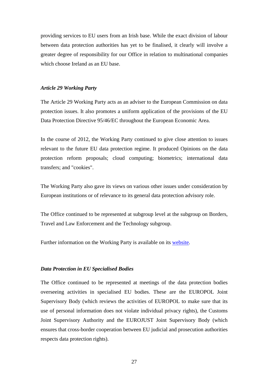providing services to EU users from an Irish base. While the exact division of labour between data protection authorities has yet to be finalised, it clearly will involve a greater degree of responsibility for our Office in relation to multinational companies which choose Ireland as an EU base.

#### <span id="page-26-0"></span>*Article 29 Working Party*

The Article 29 Working Party acts as an adviser to the European Commission on data protection issues. It also promotes a uniform application of the provisions of the EU Data Protection Directive 95/46/EC throughout the European Economic Area.

In the course of 2012, the Working Party continued to give close attention to issues relevant to the future EU data protection regime. It produced Opinions on the data protection reform proposals; cloud computing; biometrics; international data transfers; and "cookies".

The Working Party also gave its views on various other issues under consideration by European institutions or of relevance to its general data protection advisory role.

The Office continued to be represented at subgroup level at the subgroup on Borders, Travel and Law Enforcement and the Technology subgroup.

Further information on the Working Party is available on its [website](http://ec.europa.eu/justice/data-protection/article-29/press-material/press-release).

#### <span id="page-26-1"></span>*Data Protection in EU Specialised Bodies*

The Office continued to be represented at meetings of the data protection bodies overseeing activities in specialised EU bodies. These are the EUROPOL Joint Supervisory Body (which reviews the activities of EUROPOL to make sure that its use of personal information does not violate individual privacy rights), the Customs Joint Supervisory Authority and the EUROJUST Joint Supervisory Body (which ensures that cross-border cooperation between EU judicial and prosecution authorities respects data protection rights).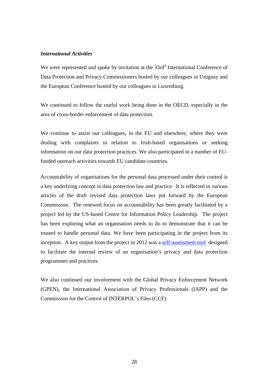#### <span id="page-27-0"></span>*International Activities*

We were represented and spoke by invitation at the 33rd<sup>d</sup> International Conference of Data Protection and Privacy Commissioners hosted by our colleagues in Uruguay and the European Conference hosted by our colleagues in Luxemburg.

We continued to follow the useful work being done in the OECD, especially in the area of cross-border enforcement of data protection.

We continue to assist our colleagues, in the EU and elsewhere, where they were dealing with complaints in relation to Irish-based organisations or seeking information on our data protection practices. We also participated in a number of EUfunded outreach activities towards EU candidate countries.

Accountability of organisations for the personal data processed under their control is a key underlying concept in data protection law and practice. It is reflected in various articles of the draft revised data protection laws put forward by the European Commission. The renewed focus on accountability has been greatly facilitated by a project led by the US-based Centre for Information Policy Leadership. The project has been exploring what an organisation needs to do to demonstrate that it can be trusted to handle personal data. We have been participating in the project from its inception. A key output from the project in 2012 was a [self-assessment tool](http://www.informationpolicycentre.com/files/Uploads/Documents/Centre/Phase_IV-Self_Assessment_Comprehensive_Privacy_Programme_A_Tool_for_Practioners.pdf) designed to facilitate the internal review of an organisation's privacy and data protection programmes and practices.

We also continued our involvement with the Global Privacy Enforcement Network (GPEN), the International Association of Privacy Professionals (IAPP) and the Commission for the Control of INTERPOL's Files (CCF).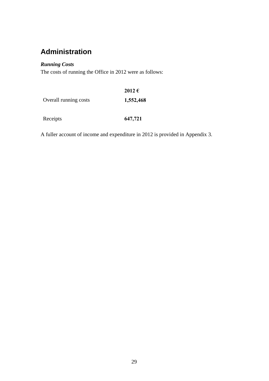# <span id="page-28-0"></span>**Administration**

### <span id="page-28-1"></span>*Running Costs*

The costs of running the Office in 2012 were as follows:

|                       | 2012€     |
|-----------------------|-----------|
| Overall running costs | 1,552,468 |
|                       |           |

Receipts **647,721** 

A fuller account of income and expenditure in 2012 is provided in Appendix 3.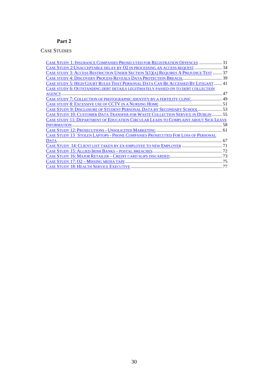### **Part 2**

### <span id="page-29-0"></span>CASE STUDIES

| CASE STUDY 1: INSURANCE COMPANIES PROSECUTED FOR REGISTRATION OFFENCES  31                 |    |
|--------------------------------------------------------------------------------------------|----|
| CASE STUDY 2: UNACCEPTABLE DELAY BY O2 IN PROCESSING AN ACCESS REQUEST  34                 |    |
| CASE STUDY 3: ACCESS RESTRICTION UNDER SECTION 5(1)(A) REQUIRES A PREJUDICE TEST  37       |    |
|                                                                                            |    |
| CASE STUDY 5: HIGH COURT RULES THAT PERSONAL DATA CAN BE ACCESSED BY LITIGANT 41           |    |
| CASE STUDY 6: OUTSTANDING DEBT DETAILS LEGITIMATELY PASSED ON TO DEBT COLLECTION           |    |
|                                                                                            |    |
| CASE STUDY 7: COLLECTION OF PHOTOGRAPHIC IDENTITY BY A FERTILITY CLINIC 49                 |    |
|                                                                                            |    |
| CASE STUDY 9: DISCLOSURE OF STUDENT PERSONAL DATA BY SECONDARY SCHOOL 53                   |    |
| <b>CASE STUDY 10: CUSTOMER DATA TRANSFER FOR WASTE COLLECTION SERVICE IN DUBLIN 55</b>     |    |
| <b>CASE STUDY 11: DEPARTMENT OF EDUCATION CIRCULAR LEADS TO COMPLAINT ABOUT SICK LEAVE</b> |    |
|                                                                                            |    |
|                                                                                            |    |
| <b>CASE STUDY 13 STOLEN LAPTOPS - PHONE COMPANIES PROSECUTED FOR LOSS OF PERSONAL</b>      |    |
| DATA                                                                                       | 67 |
|                                                                                            |    |
|                                                                                            |    |
|                                                                                            |    |
|                                                                                            | 75 |
|                                                                                            |    |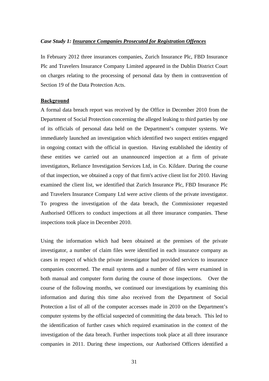#### <span id="page-30-0"></span>*Case Study 1: Insurance Companies Prosecuted for Registration Offences*

In February 2012 three insurances companies, Zurich Insurance Plc, FBD Insurance Plc and Travelers Insurance Company Limited appeared in the Dublin District Court on charges relating to the processing of personal data by them in contravention of Section 19 of the Data Protection Acts.

#### **Background**

A formal data breach report was received by the Office in December 2010 from the Department of Social Protection concerning the alleged leaking to third parties by one of its officials of personal data held on the Department's computer systems. We immediately launched an investigation which identified two suspect entities engaged in ongoing contact with the official in question. Having established the identity of these entities we carried out an unannounced inspection at a firm of private investigators, Reliance Investigation Services Ltd, in Co. Kildare. During the course of that inspection, we obtained a copy of that firm's active client list for 2010. Having examined the client list, we identified that Zurich Insurance Plc, FBD Insurance Plc and Travelers Insurance Company Ltd were active clients of the private investigator. To progress the investigation of the data breach, the Commissioner requested Authorised Officers to conduct inspections at all three insurance companies. These inspections took place in December 2010.

Using the information which had been obtained at the premises of the private investigator, a number of claim files were identified in each insurance company as cases in respect of which the private investigator had provided services to insurance companies concerned. The email systems and a number of files were examined in both manual and computer form during the course of those inspections. Over the course of the following months, we continued our investigations by examining this information and during this time also received from the Department of Social Protection a list of all of the computer accesses made in 2010 on the Department's computer systems by the official suspected of committing the data breach. This led to the identification of further cases which required examination in the context of the investigation of the data breach. Further inspections took place at all three insurance companies in 2011. During these inspections, our Authorised Officers identified a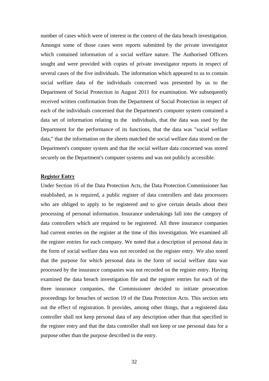number of cases which were of interest in the context of the data breach investigation. Amongst some of those cases were reports submitted by the private investigator which contained information of a social welfare nature. The Authorised Officers sought and were provided with copies of private investigator reports in respect of several cases of the five individuals. The information which appeared to us to contain social welfare data of the individuals concerned was presented by us to the Department of Social Protection in August 2011 for examination. We subsequently received written confirmation from the Department of Social Protection in respect of each of the individuals concerned that the Department's computer system contained a data set of information relating to the individuals, that the data was used by the Department for the performance of its functions, that the data was "social welfare data," that the information on the sheets matched the social welfare data stored on the Department's computer system and that the social welfare data concerned was stored securely on the Department's computer systems and was not publicly accessible.

#### **Register Entry**

Under Section 16 of the Data Protection Acts, the Data Protection Commissioner has established, as is required, a public register of data controllers and data processors who are obliged to apply to be registered and to give certain details about their processing of personal information. Insurance undertakings fall into the category of data controllers which are required to be registered. All three insurance companies had current entries on the register at the time of this investigation. We examined all the register entries for each company. We noted that a description of personal data in the form of social welfare data was not recorded on the register entry. We also noted that the purpose for which personal data in the form of social welfare data was processed by the insurance companies was not recorded on the register entry. Having examined the data breach investigation file and the register entries for each of the three insurance companies, the Commissioner decided to initiate prosecution proceedings for breaches of section 19 of the Data Protection Acts. This section sets out the effect of registration. It provides, among other things, that a registered data controller shall not keep personal data of any description other than that specified in the register entry and that the data controller shall not keep or use personal data for a purpose other than the purpose described in the entry.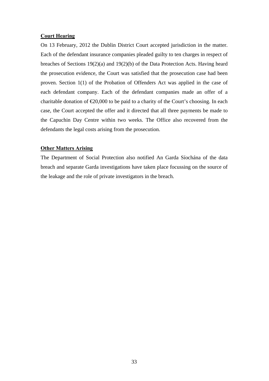#### **Court Hearing**

On 13 February, 2012 the Dublin District Court accepted jurisdiction in the matter. Each of the defendant insurance companies pleaded guilty to ten charges in respect of breaches of Sections 19(2)(a) and 19(2)(b) of the Data Protection Acts. Having heard the prosecution evidence, the Court was satisfied that the prosecution case had been proven. Section 1(1) of the Probation of Offenders Act was applied in the case of each defendant company. Each of the defendant companies made an offer of a charitable donation of  $\epsilon 20,000$  to be paid to a charity of the Court's choosing. In each case, the Court accepted the offer and it directed that all three payments be made to the Capuchin Day Centre within two weeks. The Office also recovered from the defendants the legal costs arising from the prosecution.

#### **Other Matters Arising**

The Department of Social Protection also notified An Garda Síochána of the data breach and separate Garda investigations have taken place focussing on the source of the leakage and the role of private investigators in the breach.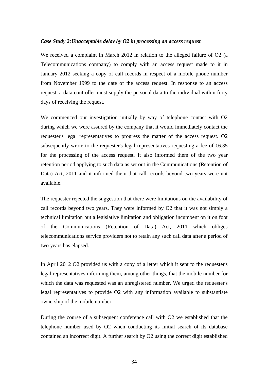#### <span id="page-33-0"></span>*Case Study 2:Unacceptable delay by O2 in processing an access request*

We received a complaint in March 2012 in relation to the alleged failure of O2 (a Telecommunications company) to comply with an access request made to it in January 2012 seeking a copy of call records in respect of a mobile phone number from November 1999 to the date of the access request. In response to an access request, a data controller must supply the personal data to the individual within forty days of receiving the request.

We commenced our investigation initially by way of telephone contact with O2 during which we were assured by the company that it would immediately contact the requester's legal representatives to progress the matter of the access request. O2 subsequently wrote to the requester's legal representatives requesting a fee of  $6.35$ for the processing of the access request. It also informed them of the two year retention period applying to such data as set out in the Communications (Retention of Data) Act, 2011 and it informed them that call records beyond two years were not available.

The requester rejected the suggestion that there were limitations on the availability of call records beyond two years. They were informed by O2 that it was not simply a technical limitation but a legislative limitation and obligation incumbent on it on foot of the Communications (Retention of Data) Act, 2011 which obliges telecommunications service providers not to retain any such call data after a period of two years has elapsed.

In April 2012 O2 provided us with a copy of a letter which it sent to the requester's legal representatives informing them, among other things, that the mobile number for which the data was requested was an unregistered number. We urged the requester's legal representatives to provide O2 with any information available to substantiate ownership of the mobile number.

During the course of a subsequent conference call with O2 we established that the telephone number used by O2 when conducting its initial search of its database contained an incorrect digit. A further search by O2 using the correct digit established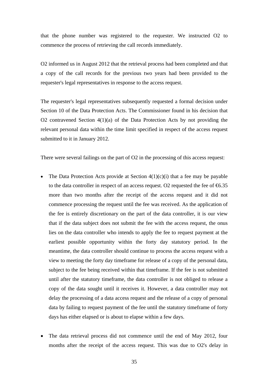that the phone number was registered to the requester. We instructed O2 to commence the process of retrieving the call records immediately.

O2 informed us in August 2012 that the retrieval process had been completed and that a copy of the call records for the previous two years had been provided to the requester's legal representatives in response to the access request.

The requester's legal representatives subsequently requested a formal decision under Section 10 of the Data Protection Acts. The Commissioner found in his decision that O2 contravened Section 4(1)(a) of the Data Protection Acts by not providing the relevant personal data within the time limit specified in respect of the access request submitted to it in January 2012.

There were several failings on the part of O2 in the processing of this access request:

- The Data Protection Acts provide at Section  $4(1)(c)(i)$  that a fee may be payable to the data controller in respect of an access request. O2 requested the fee of  $6.35$ more than two months after the receipt of the access request and it did not commence processing the request until the fee was received. As the application of the fee is entirely discretionary on the part of the data controller, it is our view that if the data subject does not submit the fee with the access request, the onus lies on the data controller who intends to apply the fee to request payment at the earliest possible opportunity within the forty day statutory period. In the meantime, the data controller should continue to process the access request with a view to meeting the forty day timeframe for release of a copy of the personal data, subject to the fee being received within that timeframe. If the fee is not submitted until after the statutory timeframe, the data controller is not obliged to release a copy of the data sought until it receives it. However, a data controller may not delay the processing of a data access request and the release of a copy of personal data by failing to request payment of the fee until the statutory timeframe of forty days has either elapsed or is about to elapse within a few days.
- The data retrieval process did not commence until the end of May 2012, four months after the receipt of the access request. This was due to O2's delay in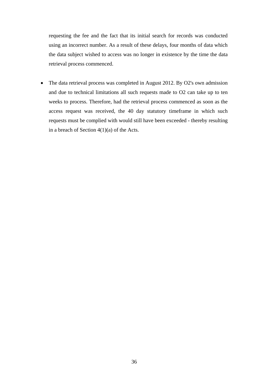requesting the fee and the fact that its initial search for records was conducted using an incorrect number. As a result of these delays, four months of data which the data subject wished to access was no longer in existence by the time the data retrieval process commenced.

• The data retrieval process was completed in August 2012. By O2's own admission and due to technical limitations all such requests made to O2 can take up to ten weeks to process. Therefore, had the retrieval process commenced as soon as the access request was received, the 40 day statutory timeframe in which such requests must be complied with would still have been exceeded - thereby resulting in a breach of Section 4(1)(a) of the Acts.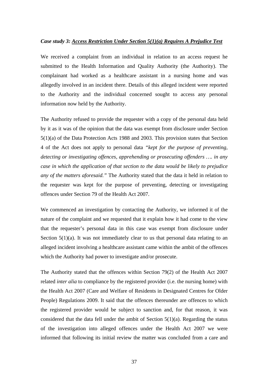# *Case study 3: Access Restriction Under Section 5(1)(a) Requires A Prejudice Test*

We received a complaint from an individual in relation to an access request he submitted to the Health Information and Quality Authority (the Authority). The complainant had worked as a healthcare assistant in a nursing home and was allegedly involved in an incident there. Details of this alleged incident were reported to the Authority and the individual concerned sought to access any personal information now held by the Authority.

The Authority refused to provide the requester with a copy of the personal data held by it as it was of the opinion that the data was exempt from disclosure under Section 5(1)(a) of the Data Protection Acts 1988 and 2003. This provision states that Section 4 of the Act does not apply to personal data *"kept for the purpose of preventing, detecting or investigating offences, apprehending or prosecuting offenders …. in any case in which the application of that section to the data would be likely to prejudice any of the matters aforesaid."* The Authority stated that the data it held in relation to the requester was kept for the purpose of preventing, detecting or investigating offences under Section 79 of the Health Act 2007.

We commenced an investigation by contacting the Authority, we informed it of the nature of the complaint and we requested that it explain how it had come to the view that the requester's personal data in this case was exempt from disclosure under Section  $5(1)(a)$ . It was not immediately clear to us that personal data relating to an alleged incident involving a healthcare assistant came within the ambit of the offences which the Authority had power to investigate and/or prosecute.

The Authority stated that the offences within Section 79(2) of the Health Act 2007 related *inter alia* to compliance by the registered provider (i.e. the nursing home) with the Health Act 2007 (Care and Welfare of Residents in Designated Centres for Older People) Regulations 2009. It said that the offences thereunder are offences to which the registered provider would be subject to sanction and, for that reason, it was considered that the data fell under the ambit of Section  $5(1)(a)$ . Regarding the status of the investigation into alleged offences under the Health Act 2007 we were informed that following its initial review the matter was concluded from a care and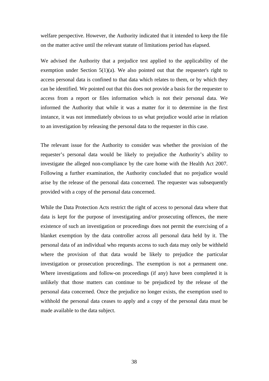welfare perspective. However, the Authority indicated that it intended to keep the file on the matter active until the relevant statute of limitations period has elapsed.

We advised the Authority that a prejudice test applied to the applicability of the exemption under Section 5(1)(a). We also pointed out that the requester's right to access personal data is confined to that data which relates to them, or by which they can be identified. We pointed out that this does not provide a basis for the requester to access from a report or files information which is not their personal data. We informed the Authority that while it was a matter for it to determine in the first instance, it was not immediately obvious to us what prejudice would arise in relation to an investigation by releasing the personal data to the requester in this case.

The relevant issue for the Authority to consider was whether the provision of the requester's personal data would be likely to prejudice the Authority's ability to investigate the alleged non-compliance by the care home with the Health Act 2007. Following a further examination, the Authority concluded that no prejudice would arise by the release of the personal data concerned. The requester was subsequently provided with a copy of the personal data concerned.

While the Data Protection Acts restrict the right of access to personal data where that data is kept for the purpose of investigating and/or prosecuting offences, the mere existence of such an investigation or proceedings does not permit the exercising of a blanket exemption by the data controller across all personal data held by it. The personal data of an individual who requests access to such data may only be withheld where the provision of that data would be likely to prejudice the particular investigation or prosecution proceedings. The exemption is not a permanent one. Where investigations and follow-on proceedings (if any) have been completed it is unlikely that those matters can continue to be prejudiced by the release of the personal data concerned. Once the prejudice no longer exists, the exemption used to withhold the personal data ceases to apply and a copy of the personal data must be made available to the data subject.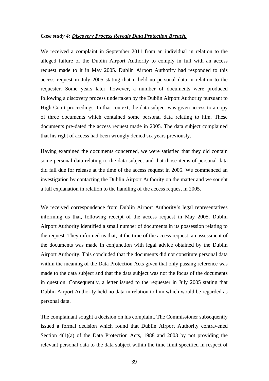## *Case study 4: Discovery Process Reveals Data Protection Breach.*

We received a complaint in September 2011 from an individual in relation to the alleged failure of the Dublin Airport Authority to comply in full with an access request made to it in May 2005. Dublin Airport Authority had responded to this access request in July 2005 stating that it held no personal data in relation to the requester. Some years later, however, a number of documents were produced following a discovery process undertaken by the Dublin Airport Authority pursuant to High Court proceedings. In that context, the data subject was given access to a copy of three documents which contained some personal data relating to him. These documents pre-dated the access request made in 2005. The data subject complained that his right of access had been wrongly denied six years previously.

Having examined the documents concerned, we were satisfied that they did contain some personal data relating to the data subject and that those items of personal data did fall due for release at the time of the access request in 2005. We commenced an investigation by contacting the Dublin Airport Authority on the matter and we sought a full explanation in relation to the handling of the access request in 2005.

We received correspondence from Dublin Airport Authority's legal representatives informing us that, following receipt of the access request in May 2005, Dublin Airport Authority identified a small number of documents in its possession relating to the request. They informed us that, at the time of the access request, an assessment of the documents was made in conjunction with legal advice obtained by the Dublin Airport Authority. This concluded that the documents did not constitute personal data within the meaning of the Data Protection Acts given that only passing reference was made to the data subject and that the data subject was not the focus of the documents in question. Consequently, a letter issued to the requester in July 2005 stating that Dublin Airport Authority held no data in relation to him which would be regarded as personal data.

The complainant sought a decision on his complaint. The Commissioner subsequently issued a formal decision which found that Dublin Airport Authority contravened Section 4(1)(a) of the Data Protection Acts, 1988 and 2003 by not providing the relevant personal data to the data subject within the time limit specified in respect of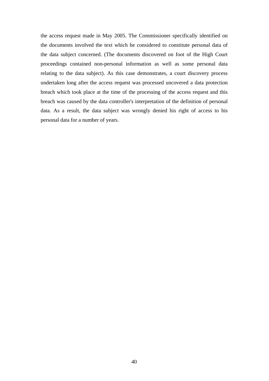the access request made in May 2005. The Commissioner specifically identified on the documents involved the text which he considered to constitute personal data of the data subject concerned. (The documents discovered on foot of the High Court proceedings contained non-personal information as well as some personal data relating to the data subject). As this case demonstrates, a court discovery process undertaken long after the access request was processed uncovered a data protection breach which took place at the time of the processing of the access request and this breach was caused by the data controller's interpretation of the definition of personal data. As a result, the data subject was wrongly denied his right of access to his personal data for a number of years.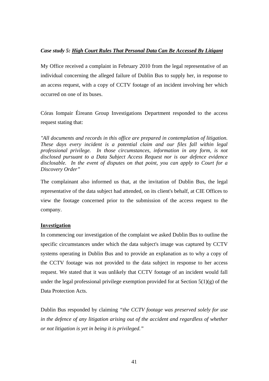# *Case study 5: High Court Rules That Personal Data Can Be Accessed By Litigant*

My Office received a complaint in February 2010 from the legal representative of an individual concerning the alleged failure of Dublin Bus to supply her, in response to an access request, with a copy of CCTV footage of an incident involving her which occurred on one of its buses.

Córas Iompair Éireann Group Investigations Department responded to the access request stating that:

*"All documents and records in this office are prepared in contemplation of litigation. These days every incident is a potential claim and our files fall within legal professional privilege. In those circumstances, information in any form, is not disclosed pursuant to a Data Subject Access Request nor is our defence evidence disclosable. In the event of disputes on that point, you can apply to Court for a Discovery Order"* 

The complainant also informed us that, at the invitation of Dublin Bus, the legal representative of the data subject had attended, on its client's behalf, at CIE Offices to view the footage concerned prior to the submission of the access request to the company.

# **Investigation**

In commencing our investigation of the complaint we asked Dublin Bus to outline the specific circumstances under which the data subject's image was captured by CCTV systems operating in Dublin Bus and to provide an explanation as to why a copy of the CCTV footage was not provided to the data subject in response to her access request. We stated that it was unlikely that CCTV footage of an incident would fall under the legal professional privilege exemption provided for at Section  $5(1)(g)$  of the Data Protection Acts.

Dublin Bus responded by claiming *"the CCTV footage was preserved solely for use in the defence of any litigation arising out of the accident and regardless of whether or not litigation is yet in being it is privileged."*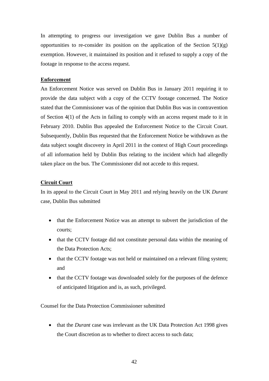In attempting to progress our investigation we gave Dublin Bus a number of opportunities to re-consider its position on the application of the Section  $5(1)(g)$ exemption. However, it maintained its position and it refused to supply a copy of the footage in response to the access request.

# **Enforcement**

An Enforcement Notice was served on Dublin Bus in January 2011 requiring it to provide the data subject with a copy of the CCTV footage concerned. The Notice stated that the Commissioner was of the opinion that Dublin Bus was in contravention of Section 4(1) of the Acts in failing to comply with an access request made to it in February 2010. Dublin Bus appealed the Enforcement Notice to the Circuit Court. Subsequently, Dublin Bus requested that the Enforcement Notice be withdrawn as the data subject sought discovery in April 2011 in the context of High Court proceedings of all information held by Dublin Bus relating to the incident which had allegedly taken place on the bus. The Commissioner did not accede to this request.

#### **Circuit Court**

In its appeal to the Circuit Court in May 2011 and relying heavily on the UK *Durant* case, Dublin Bus submitted

- that the Enforcement Notice was an attempt to subvert the jurisdiction of the courts;
- that the CCTV footage did not constitute personal data within the meaning of the Data Protection Acts;
- that the CCTV footage was not held or maintained on a relevant filing system; and
- that the CCTV footage was downloaded solely for the purposes of the defence of anticipated litigation and is, as such, privileged.

Counsel for the Data Protection Commissioner submitted

• that the *Durant* case was irrelevant as the UK Data Protection Act 1998 gives the Court discretion as to whether to direct access to such data;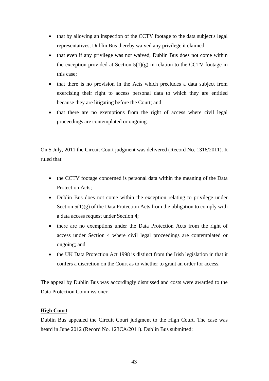- that by allowing an inspection of the CCTV footage to the data subject's legal representatives, Dublin Bus thereby waived any privilege it claimed;
- that even if any privilege was not waived, Dublin Bus does not come within the exception provided at Section  $5(1)(g)$  in relation to the CCTV footage in this case;
- that there is no provision in the Acts which precludes a data subject from exercising their right to access personal data to which they are entitled because they are litigating before the Court; and
- that there are no exemptions from the right of access where civil legal proceedings are contemplated or ongoing.

On 5 July, 2011 the Circuit Court judgment was delivered (Record No. 1316/2011). It ruled that:

- the CCTV footage concerned is personal data within the meaning of the Data Protection Acts;
- Dublin Bus does not come within the exception relating to privilege under Section  $5(1)(g)$  of the Data Protection Acts from the obligation to comply with a data access request under Section 4;
- there are no exemptions under the Data Protection Acts from the right of access under Section 4 where civil legal proceedings are contemplated or ongoing; and
- the UK Data Protection Act 1998 is distinct from the Irish legislation in that it confers a discretion on the Court as to whether to grant an order for access.

The appeal by Dublin Bus was accordingly dismissed and costs were awarded to the Data Protection Commissioner.

# **High Court**

Dublin Bus appealed the Circuit Court judgment to the High Court. The case was heard in June 2012 (Record No. 123CA/2011). Dublin Bus submitted: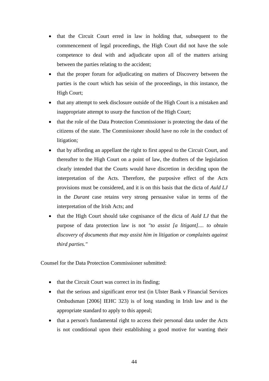- that the Circuit Court erred in law in holding that, subsequent to the commencement of legal proceedings, the High Court did not have the sole competence to deal with and adjudicate upon all of the matters arising between the parties relating to the accident;
- that the proper forum for adjudicating on matters of Discovery between the parties is the court which has seisin of the proceedings, in this instance, the High Court;
- that any attempt to seek disclosure outside of the High Court is a mistaken and inappropriate attempt to usurp the function of the High Court;
- that the role of the Data Protection Commissioner is protecting the data of the citizens of the state. The Commissioner should have no role in the conduct of litigation;
- that by affording an appellant the right to first appeal to the Circuit Court, and thereafter to the High Court on a point of law, the drafters of the legislation clearly intended that the Courts would have discretion in deciding upon the interpretation of the Acts. Therefore, the purposive effect of the Acts provisions must be considered, and it is on this basis that the dicta of *Auld LJ* in the *Durant* case retains very strong persuasive value in terms of the interpretation of the Irish Acts; and
- that the High Court should take cognisance of the dicta of *Auld LJ* that the purpose of data protection law is not *"to assist [a litigant].... to obtain discovery of documents that may assist him in litigation or complaints against third parties."*

Counsel for the Data Protection Commissioner submitted:

- that the Circuit Court was correct in its finding;
- that the serious and significant error test (in Ulster Bank v Financial Services Ombudsman [2006] IEHC 323) is of long standing in Irish law and is the appropriate standard to apply to this appeal;
- that a person's fundamental right to access their personal data under the Acts is not conditional upon their establishing a good motive for wanting their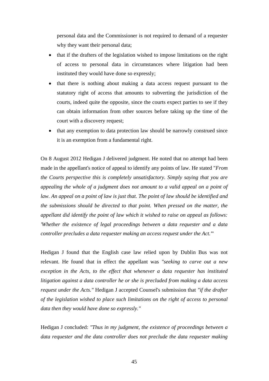personal data and the Commissioner is not required to demand of a requester why they want their personal data;

- that if the drafters of the legislation wished to impose limitations on the right of access to personal data in circumstances where litigation had been instituted they would have done so expressly;
- that there is nothing about making a data access request pursuant to the statutory right of access that amounts to subverting the jurisdiction of the courts, indeed quite the opposite, since the courts expect parties to see if they can obtain information from other sources before taking up the time of the court with a discovery request;
- that any exemption to data protection law should be narrowly construed since it is an exemption from a fundamental right.

On 8 August 2012 Hedigan J delivered judgment. He noted that no attempt had been made in the appellant's notice of appeal to identify any points of law. He stated "*From the Courts perspective this is completely unsatisfactory. Simply saying that you are appealing the whole of a judgment does not amount to a valid appeal on a point of law. An appeal on a point of law is just that. The point of law should be identified and the submissions should be directed to that point. When pressed on the matter, the appellant did identify the point of law which it wished to raise on appeal as follows: 'Whether the existence of legal proceedings between a data requester and a data controller precludes a data requester making an access request under the Act.'*"

Hedigan J found that the English case law relied upon by Dublin Bus was not relevant. He found that in effect the appellant was *"seeking to carve out a new exception in the Acts, to the effect that whenever a data requester has instituted litigation against a data controller he or she is precluded from making a data access request under the Acts."* Hedigan J accepted Counsel's submission that *"if the drafter of the legislation wished to place such limitations on the right of access to personal data then they would have done so expressly."*

Hedigan J concluded: *"Thus in my judgment, the existence of proceedings between a data requester and the data controller does not preclude the data requester making*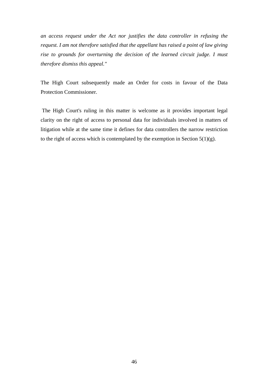*an access request under the Act nor justifies the data controller in refusing the request. I am not therefore satisfied that the appellant has raised a point of law giving rise to grounds for overturning the decision of the learned circuit judge. I must therefore dismiss this appeal."* 

The High Court subsequently made an Order for costs in favour of the Data Protection Commissioner.

 The High Court's ruling in this matter is welcome as it provides important legal clarity on the right of access to personal data for individuals involved in matters of litigation while at the same time it defines for data controllers the narrow restriction to the right of access which is contemplated by the exemption in Section  $5(1)(g)$ .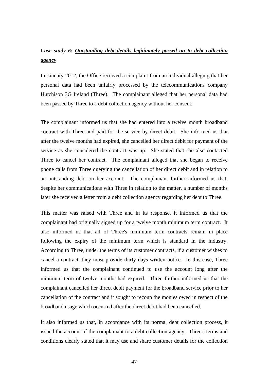# *Case study 6: Outstanding debt details legitimately passed on to debt collection agency*

In January 2012, the Office received a complaint from an individual alleging that her personal data had been unfairly processed by the telecommunications company Hutchison 3G Ireland (Three). The complainant alleged that her personal data had been passed by Three to a debt collection agency without her consent.

The complainant informed us that she had entered into a twelve month broadband contract with Three and paid for the service by direct debit. She informed us that after the twelve months had expired, she cancelled her direct debit for payment of the service as she considered the contract was up. She stated that she also contacted Three to cancel her contract. The complainant alleged that she began to receive phone calls from Three querying the cancellation of her direct debit and in relation to an outstanding debt on her account. The complainant further informed us that, despite her communications with Three in relation to the matter, a number of months later she received a letter from a debt collection agency regarding her debt to Three.

This matter was raised with Three and in its response, it informed us that the complainant had originally signed up for a twelve month minimum term contract. It also informed us that all of Three's minimum term contracts remain in place following the expiry of the minimum term which is standard in the industry. According to Three, under the terms of its customer contracts, if a customer wishes to cancel a contract, they must provide thirty days written notice. In this case, Three informed us that the complainant continued to use the account long after the minimum term of twelve months had expired. Three further informed us that the complainant cancelled her direct debit payment for the broadband service prior to her cancellation of the contract and it sought to recoup the monies owed in respect of the broadband usage which occurred after the direct debit had been cancelled.

It also informed us that, in accordance with its normal debt collection process, it issued the account of the complainant to a debt collection agency. Three's terms and conditions clearly stated that it may use and share customer details for the collection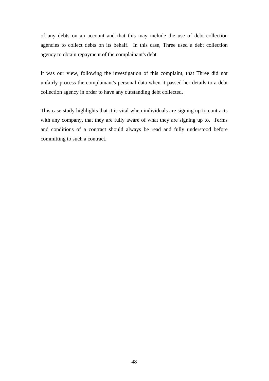of any debts on an account and that this may include the use of debt collection agencies to collect debts on its behalf. In this case, Three used a debt collection agency to obtain repayment of the complainant's debt.

It was our view, following the investigation of this complaint, that Three did not unfairly process the complainant's personal data when it passed her details to a debt collection agency in order to have any outstanding debt collected.

This case study highlights that it is vital when individuals are signing up to contracts with any company, that they are fully aware of what they are signing up to. Terms and conditions of a contract should always be read and fully understood before committing to such a contract.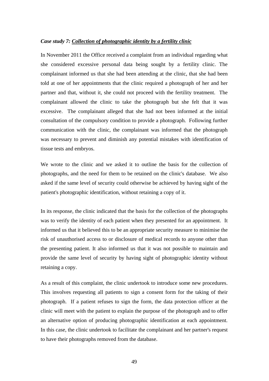## *Case study 7: Collection of photographic identity by a fertility clinic*

In November 2011 the Office received a complaint from an individual regarding what she considered excessive personal data being sought by a fertility clinic. The complainant informed us that she had been attending at the clinic, that she had been told at one of her appointments that the clinic required a photograph of her and her partner and that, without it, she could not proceed with the fertility treatment. The complainant allowed the clinic to take the photograph but she felt that it was excessive. The complainant alleged that she had not been informed at the initial consultation of the compulsory condition to provide a photograph. Following further communication with the clinic, the complainant was informed that the photograph was necessary to prevent and diminish any potential mistakes with identification of tissue tests and embryos.

We wrote to the clinic and we asked it to outline the basis for the collection of photographs, and the need for them to be retained on the clinic's database. We also asked if the same level of security could otherwise be achieved by having sight of the patient's photographic identification, without retaining a copy of it.

In its response, the clinic indicated that the basis for the collection of the photographs was to verify the identity of each patient when they presented for an appointment. It informed us that it believed this to be an appropriate security measure to minimise the risk of unauthorised access to or disclosure of medical records to anyone other than the presenting patient. It also informed us that it was not possible to maintain and provide the same level of security by having sight of photographic identity without retaining a copy.

As a result of this complaint, the clinic undertook to introduce some new procedures. This involves requesting all patients to sign a consent form for the taking of their photograph. If a patient refuses to sign the form, the data protection officer at the clinic will meet with the patient to explain the purpose of the photograph and to offer an alternative option of producing photographic identification at each appointment. In this case, the clinic undertook to facilitate the complainant and her partner's request to have their photographs removed from the database.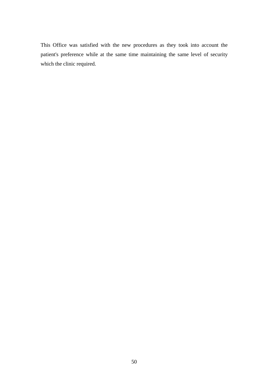This Office was satisfied with the new procedures as they took into account the patient's preference while at the same time maintaining the same level of security which the clinic required.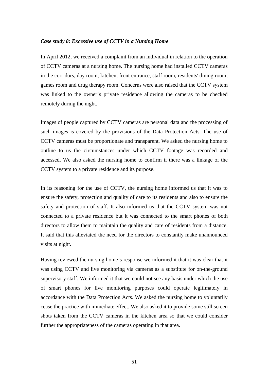## *Case study 8: Excessive use of CCTV in a Nursing Home*

In April 2012, we received a complaint from an individual in relation to the operation of CCTV cameras at a nursing home. The nursing home had installed CCTV cameras in the corridors, day room, kitchen, front entrance, staff room, residents' dining room, games room and drug therapy room. Concerns were also raised that the CCTV system was linked to the owner's private residence allowing the cameras to be checked remotely during the night.

Images of people captured by CCTV cameras are personal data and the processing of such images is covered by the provisions of the Data Protection Acts. The use of CCTV cameras must be proportionate and transparent. We asked the nursing home to outline to us the circumstances under which CCTV footage was recorded and accessed. We also asked the nursing home to confirm if there was a linkage of the CCTV system to a private residence and its purpose.

In its reasoning for the use of CCTV, the nursing home informed us that it was to ensure the safety, protection and quality of care to its residents and also to ensure the safety and protection of staff. It also informed us that the CCTV system was not connected to a private residence but it was connected to the smart phones of both directors to allow them to maintain the quality and care of residents from a distance. It said that this alleviated the need for the directors to constantly make unannounced visits at night.

Having reviewed the nursing home's response we informed it that it was clear that it was using CCTV and live monitoring via cameras as a substitute for on-the-ground supervisory staff. We informed it that we could not see any basis under which the use of smart phones for live monitoring purposes could operate legitimately in accordance with the Data Protection Acts. We asked the nursing home to voluntarily cease the practice with immediate effect. We also asked it to provide some still screen shots taken from the CCTV cameras in the kitchen area so that we could consider further the appropriateness of the cameras operating in that area.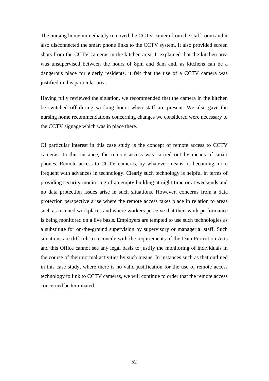The nursing home immediately removed the CCTV camera from the staff room and it also disconnected the smart phone links to the CCTV system. It also provided screen shots from the CCTV cameras in the kitchen area. It explained that the kitchen area was unsupervised between the hours of 8pm and 8am and, as kitchens can be a dangerous place for elderly residents, it felt that the use of a CCTV camera was justified in this particular area.

Having fully reviewed the situation, we recommended that the camera in the kitchen be switched off during working hours when staff are present. We also gave the nursing home recommendations concerning changes we considered were necessary to the CCTV signage which was in place there.

Of particular interest in this case study is the concept of remote access to CCTV cameras. In this instance, the remote access was carried out by means of smart phones. Remote access to CCTV cameras, by whatever means, is becoming more frequent with advances in technology. Clearly such technology is helpful in terms of providing security monitoring of an empty building at night time or at weekends and no data protection issues arise in such situations. However, concerns from a data protection perspective arise where the remote access takes place in relation to areas such as manned workplaces and where workers perceive that their work performance is being monitored on a live basis. Employers are tempted to use such technologies as a substitute for on-the-ground supervision by supervisory or managerial staff. Such situations are difficult to reconcile with the requirements of the Data Protection Acts and this Office cannot see any legal basis to justify the monitoring of individuals in the course of their normal activities by such means. In instances such as that outlined in this case study, where there is no valid justification for the use of remote access technology to link to CCTV cameras, we will continue to order that the remote access concerned be terminated.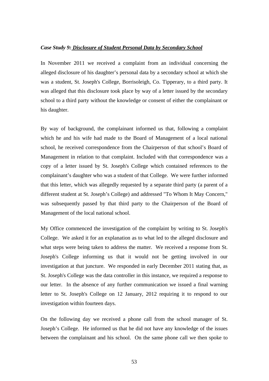# *Case Study 9: Disclosure of Student Personal Data by Secondary School*

In November 2011 we received a complaint from an individual concerning the alleged disclosure of his daughter's personal data by a secondary school at which she was a student, St. Joseph's College, Borrisoleigh, Co. Tipperary, to a third party. It was alleged that this disclosure took place by way of a letter issued by the secondary school to a third party without the knowledge or consent of either the complainant or his daughter.

By way of background, the complainant informed us that, following a complaint which he and his wife had made to the Board of Management of a local national school, he received correspondence from the Chairperson of that school's Board of Management in relation to that complaint. Included with that correspondence was a copy of a letter issued by St. Joseph's College which contained references to the complainant's daughter who was a student of that College. We were further informed that this letter, which was allegedly requested by a separate third party (a parent of a different student at St. Joseph's College) and addressed "To Whom It May Concern," was subsequently passed by that third party to the Chairperson of the Board of Management of the local national school.

My Office commenced the investigation of the complaint by writing to St. Joseph's College. We asked it for an explanation as to what led to the alleged disclosure and what steps were being taken to address the matter. We received a response from St. Joseph's College informing us that it would not be getting involved in our investigation at that juncture. We responded in early December 2011 stating that, as St. Joseph's College was the data controller in this instance, we required a response to our letter. In the absence of any further communication we issued a final warning letter to St. Joseph's College on 12 January, 2012 requiring it to respond to our investigation within fourteen days.

On the following day we received a phone call from the school manager of St. Joseph's College. He informed us that he did not have any knowledge of the issues between the complainant and his school. On the same phone call we then spoke to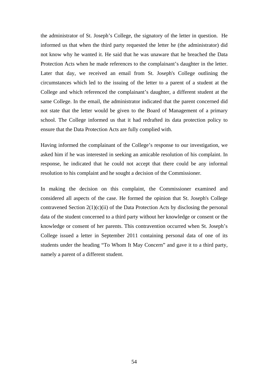the administrator of St. Joseph's College, the signatory of the letter in question. He informed us that when the third party requested the letter he (the administrator) did not know why he wanted it. He said that he was unaware that he breached the Data Protection Acts when he made references to the complainant's daughter in the letter. Later that day, we received an email from St. Joseph's College outlining the circumstances which led to the issuing of the letter to a parent of a student at the College and which referenced the complainant's daughter, a different student at the same College. In the email, the administrator indicated that the parent concerned did not state that the letter would be given to the Board of Management of a primary school. The College informed us that it had redrafted its data protection policy to ensure that the Data Protection Acts are fully complied with.

Having informed the complainant of the College's response to our investigation, we asked him if he was interested in seeking an amicable resolution of his complaint. In response, he indicated that he could not accept that there could be any informal resolution to his complaint and he sought a decision of the Commissioner.

In making the decision on this complaint, the Commissioner examined and considered all aspects of the case. He formed the opinion that St. Joseph's College contravened Section  $2(1)(c)(ii)$  of the Data Protection Acts by disclosing the personal data of the student concerned to a third party without her knowledge or consent or the knowledge or consent of her parents. This contravention occurred when St. Joseph's College issued a letter in September 2011 containing personal data of one of its students under the heading "To Whom It May Concern" and gave it to a third party, namely a parent of a different student.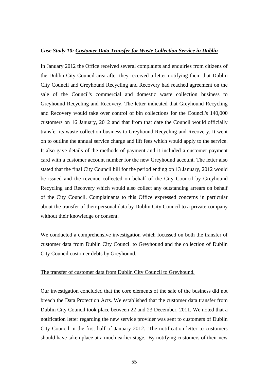#### *Case Study 10: Customer Data Transfer for Waste Collection Service in Dublin*

In January 2012 the Office received several complaints and enquiries from citizens of the Dublin City Council area after they received a letter notifying them that Dublin City Council and Greyhound Recycling and Recovery had reached agreement on the sale of the Council's commercial and domestic waste collection business to Greyhound Recycling and Recovery. The letter indicated that Greyhound Recycling and Recovery would take over control of bin collections for the Council's 140,000 customers on 16 January, 2012 and that from that date the Council would officially transfer its waste collection business to Greyhound Recycling and Recovery. It went on to outline the annual service charge and lift fees which would apply to the service. It also gave details of the methods of payment and it included a customer payment card with a customer account number for the new Greyhound account. The letter also stated that the final City Council bill for the period ending on 13 January, 2012 would be issued and the revenue collected on behalf of the City Council by Greyhound Recycling and Recovery which would also collect any outstanding arrears on behalf of the City Council. Complainants to this Office expressed concerns in particular about the transfer of their personal data by Dublin City Council to a private company without their knowledge or consent.

We conducted a comprehensive investigation which focussed on both the transfer of customer data from Dublin City Council to Greyhound and the collection of Dublin City Council customer debts by Greyhound.

#### The transfer of customer data from Dublin City Council to Greyhound.

Our investigation concluded that the core elements of the sale of the business did not breach the Data Protection Acts. We established that the customer data transfer from Dublin City Council took place between 22 and 23 December, 2011. We noted that a notification letter regarding the new service provider was sent to customers of Dublin City Council in the first half of January 2012. The notification letter to customers should have taken place at a much earlier stage. By notifying customers of their new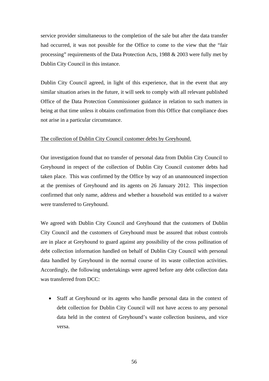service provider simultaneous to the completion of the sale but after the data transfer had occurred, it was not possible for the Office to come to the view that the "fair processing" requirements of the Data Protection Acts, 1988 & 2003 were fully met by Dublin City Council in this instance.

Dublin City Council agreed, in light of this experience, that in the event that any similar situation arises in the future, it will seek to comply with all relevant published Office of the Data Protection Commissioner guidance in relation to such matters in being at that time unless it obtains confirmation from this Office that compliance does not arise in a particular circumstance.

# The collection of Dublin City Council customer debts by Greyhound.

Our investigation found that no transfer of personal data from Dublin City Council to Greyhound in respect of the collection of Dublin City Council customer debts had taken place. This was confirmed by the Office by way of an unannounced inspection at the premises of Greyhound and its agents on 26 January 2012. This inspection confirmed that only name, address and whether a household was entitled to a waiver were transferred to Greyhound.

We agreed with Dublin City Council and Greyhound that the customers of Dublin City Council and the customers of Greyhound must be assured that robust controls are in place at Greyhound to guard against any possibility of the cross pollination of debt collection information handled on behalf of Dublin City Council with personal data handled by Greyhound in the normal course of its waste collection activities. Accordingly, the following undertakings were agreed before any debt collection data was transferred from DCC:

 Staff at Greyhound or its agents who handle personal data in the context of debt collection for Dublin City Council will not have access to any personal data held in the context of Greyhound's waste collection business, and vice versa.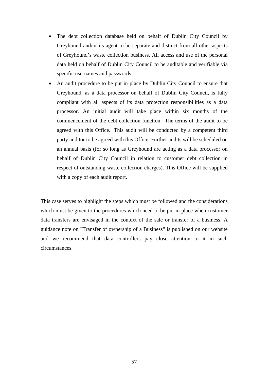- The debt collection database held on behalf of Dublin City Council by Greyhound and/or its agent to be separate and distinct from all other aspects of Greyhound's waste collection business. All access and use of the personal data held on behalf of Dublin City Council to be auditable and verifiable via specific usernames and passwords.
- An audit procedure to be put in place by Dublin City Council to ensure that Greyhound, as a data processor on behalf of Dublin City Council, is fully compliant with all aspects of its data protection responsibilities as a data processor. An initial audit will take place within six months of the commencement of the debt collection function. The terms of the audit to be agreed with this Office. This audit will be conducted by a competent third party auditor to be agreed with this Office. Further audits will be scheduled on an annual basis (for so long as Greyhound are acting as a data processor on behalf of Dublin City Council in relation to customer debt collection in respect of outstanding waste collection charges). This Office will be supplied with a copy of each audit report.

This case serves to highlight the steps which must be followed and the considerations which must be given to the procedures which need to be put in place when customer data transfers are envisaged in the context of the sale or transfer of a business. A guidance note on "Transfer of ownership of a Business" is published on our website and we recommend that data controllers pay close attention to it in such circumstances.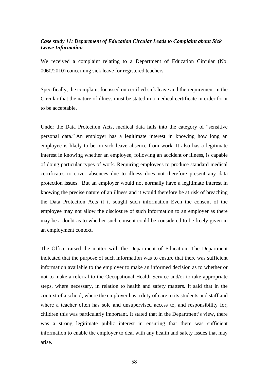# *Case study 11: Department of Education Circular Leads to Complaint about Sick Leave Information*

We received a complaint relating to a Department of Education Circular (No. 0060/2010) concerning sick leave for registered teachers.

Specifically, the complaint focussed on certified sick leave and the requirement in the Circular that the nature of illness must be stated in a medical certificate in order for it to be acceptable.

Under the Data Protection Acts, medical data falls into the category of "sensitive personal data." An employer has a legitimate interest in knowing how long an employee is likely to be on sick leave absence from work. It also has a legitimate interest in knowing whether an employee, following an accident or illness, is capable of doing particular types of work. Requiring employees to produce standard medical certificates to cover absences due to illness does not therefore present any data protection issues. But an employer would not normally have a legitimate interest in knowing the precise nature of an illness and it would therefore be at risk of breaching the Data Protection Acts if it sought such information. Even the consent of the employee may not allow the disclosure of such information to an employer as there may be a doubt as to whether such consent could be considered to be freely given in an employment context.

The Office raised the matter with the Department of Education. The Department indicated that the purpose of such information was to ensure that there was sufficient information available to the employer to make an informed decision as to whether or not to make a referral to the Occupational Health Service and/or to take appropriate steps, where necessary, in relation to health and safety matters. It said that in the context of a school, where the employer has a duty of care to its students and staff and where a teacher often has sole and unsupervised access to, and responsibility for, children this was particularly important. It stated that in the Department's view, there was a strong legitimate public interest in ensuring that there was sufficient information to enable the employer to deal with any health and safety issues that may arise.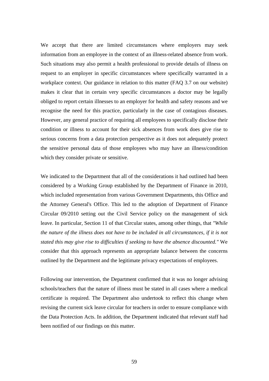We accept that there are limited circumstances where employers may seek information from an employee in the context of an illness-related absence from work. Such situations may also permit a health professional to provide details of illness on request to an employer in specific circumstances where specifically warranted in a workplace context. Our guidance in relation to this matter (FAQ 3.7 on our website) makes it clear that in certain very specific circumstances a doctor may be legally obliged to report certain illnesses to an employer for health and safety reasons and we recognise the need for this practice, particularly in the case of contagious diseases. However, any general practice of requiring all employees to specifically disclose their condition or illness to account for their sick absences from work does give rise to serious concerns from a data protection perspective as it does not adequately protect the sensitive personal data of those employees who may have an illness/condition which they consider private or sensitive.

We indicated to the Department that all of the considerations it had outlined had been considered by a Working Group established by the Department of Finance in 2010, which included representation from various Government Departments, this Office and the Attorney General's Office. This led to the adoption of Department of Finance Circular 09/2010 setting out the Civil Service policy on the management of sick leave. In particular, Section 11 of that Circular states, among other things, that *"While the nature of the illness does not have to be included in all circumstances, if it is not stated this may give rise to difficulties if seeking to have the absence discounted."* We consider that this approach represents an appropriate balance between the concerns outlined by the Department and the legitimate privacy expectations of employees.

Following our intervention, the Department confirmed that it was no longer advising schools/teachers that the nature of illness must be stated in all cases where a medical certificate is required. The Department also undertook to reflect this change when revising the current sick leave circular for teachers in order to ensure compliance with the Data Protection Acts. In addition, the Department indicated that relevant staff had been notified of our findings on this matter.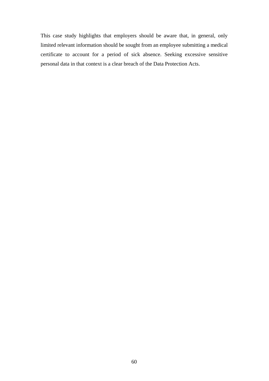This case study highlights that employers should be aware that, in general, only limited relevant information should be sought from an employee submitting a medical certificate to account for a period of sick absence. Seeking excessive sensitive personal data in that context is a clear breach of the Data Protection Acts.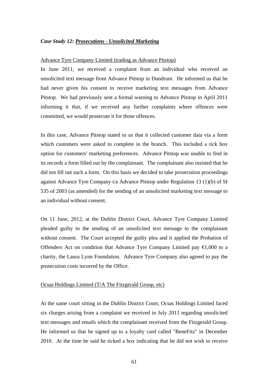#### *Case Study 12: Prosecutions - Unsolicited Marketing*

#### Advance Tyre Company Limited (trading as Advance Pitstop)

In June 2011, we received a complaint from an individual who received an unsolicited text message from Advance Pitstop in Dundrum. He informed us that he had never given his consent to receive marketing text messages from Advance Pitstop. We had previously sent a formal warning to Advance Pitstop in April 2011 informing it that, if we received any further complaints where offences were committed, we would prosecute it for those offences.

In this case, Advance Pitstop stated to us that it collected customer data via a form which customers were asked to complete in the branch. This included a tick box option for customers' marketing preferences. Advance Pitstop was unable to find in its records a form filled out by the complainant. The complainant also insisted that he did not fill out such a form. On this basis we decided to take prosecution proceedings against Advance Tyre Company t/a Advance Pitstop under Regulation 13 (1)(b) of SI 535 of 2003 (as amended) for the sending of an unsolicited marketing text message to an individual without consent.

On 11 June, 2012, at the Dublin District Court, Advance Tyre Company Limited pleaded guilty to the sending of an unsolicited text message to the complainant without consent. The Court accepted the guilty plea and it applied the Probation of Offenders Act on condition that Advance Tyre Company Limited pay  $\bigoplus$ ,000 to a charity, the Laura Lynn Foundation. Advance Tyre Company also agreed to pay the prosecution costs incurred by the Office.

#### Ocsas Holdings Limited (T/A The Fitzgerald Group, etc)

At the same court sitting in the Dublin District Court, Ocsas Holdings Limited faced six charges arising from a complaint we received in July 2011 regarding unsolicited text messages and emails which the complainant received from the Fitzgerald Group. He informed us that he signed up to a loyalty card called "BeneFitz" in December 2010. At the time he said he ticked a box indicating that he did not wish to receive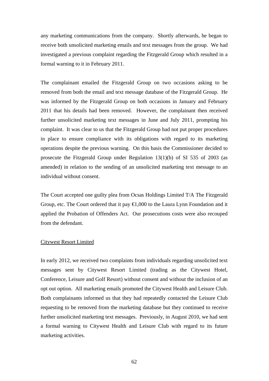any marketing communications from the company. Shortly afterwards, he began to receive both unsolicited marketing emails and text messages from the group. We had investigated a previous complaint regarding the Fitzgerald Group which resulted in a formal warning to it in February 2011.

The complainant emailed the Fitzgerald Group on two occasions asking to be removed from both the email and text message database of the Fitzgerald Group. He was informed by the Fitzgerald Group on both occasions in January and February 2011 that his details had been removed. However, the complainant then received further unsolicited marketing text messages in June and July 2011, prompting his complaint. It was clear to us that the Fitzgerald Group had not put proper procedures in place to ensure compliance with its obligations with regard to its marketing operations despite the previous warning. On this basis the Commissioner decided to prosecute the Fitzgerald Group under Regulation 13(1)(b) of SI 535 of 2003 (as amended) in relation to the sending of an unsolicited marketing text message to an individual without consent.

The Court accepted one guilty plea from Ocsas Holdings Limited T/A The Fitzgerald Group, etc. The Court ordered that it pay  $\bigoplus$ ,000 to the Laura Lynn Foundation and it applied the Probation of Offenders Act. Our prosecutions costs were also recouped from the defendant.

#### Citywest Resort Limited

In early 2012, we received two complaints from individuals regarding unsolicited text messages sent by Citywest Resort Limited (trading as the Citywest Hotel, Conference, Leisure and Golf Resort) without consent and without the inclusion of an opt out option. All marketing emails promoted the Citywest Health and Leisure Club. Both complainants informed us that they had repeatedly contacted the Leisure Club requesting to be removed from the marketing database but they continued to receive further unsolicited marketing text messages. Previously, in August 2010, we had sent a formal warning to Citywest Health and Leisure Club with regard to its future marketing activities.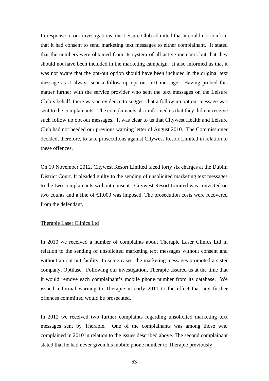In response to our investigations, the Leisure Club admitted that it could not confirm that it had consent to send marketing text messages to either complainant. It stated that the numbers were obtained from its system of all active members but that they should not have been included in the marketing campaign. It also informed us that it was not aware that the opt-out option should have been included in the original text message as it always sent a follow up opt out text message. Having probed this matter further with the service provider who sent the text messages on the Leisure Club's behalf, there was no evidence to suggest that a follow up opt out message was sent to the complainants. The complainants also informed us that they did not receive such follow up opt out messages. It was clear to us that Citywest Health and Leisure Club had not heeded our previous warning letter of August 2010. The Commissioner decided, therefore, to take prosecutions against Citywest Resort Limited in relation to these offences.

On 19 November 2012, Citywest Resort Limited faced forty six charges at the Dublin District Court. It pleaded guilty to the sending of unsolicited marketing text messages to the two complainants without consent. Citywest Resort Limited was convicted on two counts and a fine of €1,000 was imposed. The prosecution costs were recovered from the defendant.

## Therapie Laser Clinics Ltd

In 2010 we received a number of complaints about Therapie Laser Clinics Ltd in relation to the sending of unsolicited marketing text messages without consent and without an opt out facility. In some cases, the marketing messages promoted a sister company, Optilase. Following our investigation, Therapie assured us at the time that it would remove each complainant's mobile phone number from its database. We issued a formal warning to Therapie in early 2011 to the effect that any further offences committed would be prosecuted.

In 2012 we received two further complaints regarding unsolicited marketing text messages sent by Therapie. One of the complainants was among those who complained in 2010 in relation to the issues described above. The second complainant stated that he had never given his mobile phone number to Therapie previously.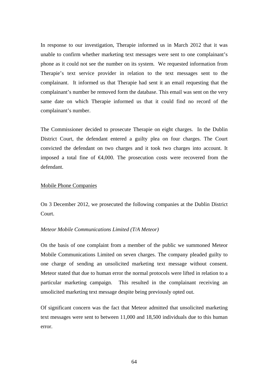In response to our investigation, Therapie informed us in March 2012 that it was unable to confirm whether marketing text messages were sent to one complainant's phone as it could not see the number on its system. We requested information from Therapie's text service provider in relation to the text messages sent to the complainant. It informed us that Therapie had sent it an email requesting that the complainant's number be removed form the database. This email was sent on the very same date on which Therapie informed us that it could find no record of the complainant's number.

The Commissioner decided to prosecute Therapie on eight charges. In the Dublin District Court, the defendant entered a guilty plea on four charges. The Court convicted the defendant on two charges and it took two charges into account. It imposed a total fine of  $\epsilon 4,000$ . The prosecution costs were recovered from the defendant.

# Mobile Phone Companies

On 3 December 2012, we prosecuted the following companies at the Dublin District Court.

#### *Meteor Mobile Communications Limited (T/A Meteor)*

On the basis of one complaint from a member of the public we summoned Meteor Mobile Communications Limited on seven charges. The company pleaded guilty to one charge of sending an unsolicited marketing text message without consent. Meteor stated that due to human error the normal protocols were lifted in relation to a particular marketing campaign. This resulted in the complainant receiving an unsolicited marketing text message despite being previously opted out.

Of significant concern was the fact that Meteor admitted that unsolicited marketing text messages were sent to between 11,000 and 18,500 individuals due to this human error.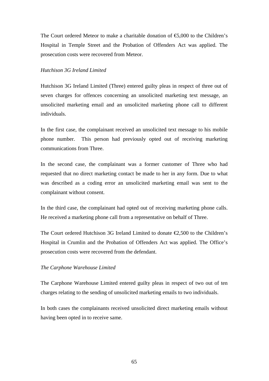The Court ordered Meteor to make a charitable donation of  $\epsilon$ ,000 to the Children's Hospital in Temple Street and the Probation of Offenders Act was applied. The prosecution costs were recovered from Meteor.

#### *Hutchison 3G Ireland Limited*

Hutchison 3G Ireland Limited (Three) entered guilty pleas in respect of three out of seven charges for offences concerning an unsolicited marketing text message, an unsolicited marketing email and an unsolicited marketing phone call to different individuals.

In the first case, the complainant received an unsolicited text message to his mobile phone number. This person had previously opted out of receiving marketing communications from Three.

In the second case, the complainant was a former customer of Three who had requested that no direct marketing contact be made to her in any form. Due to what was described as a coding error an unsolicited marketing email was sent to the complainant without consent.

In the third case, the complainant had opted out of receiving marketing phone calls. He received a marketing phone call from a representative on behalf of Three.

The Court ordered Hutchison 3G Ireland Limited to donate  $\epsilon$ 2,500 to the Children's Hospital in Crumlin and the Probation of Offenders Act was applied. The Office's prosecution costs were recovered from the defendant.

#### *The Carphone Warehouse Limited*

The Carphone Warehouse Limited entered guilty pleas in respect of two out of ten charges relating to the sending of unsolicited marketing emails to two individuals.

In both cases the complainants received unsolicited direct marketing emails without having been opted in to receive same.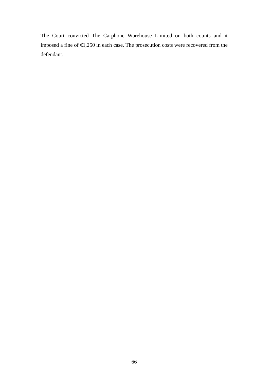The Court convicted The Carphone Warehouse Limited on both counts and it imposed a fine of €1,250 in each case. The prosecution costs were recovered from the defendant.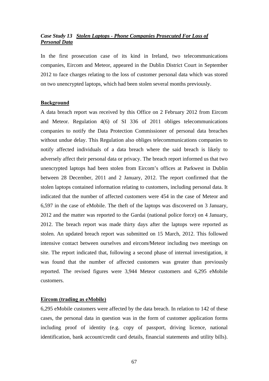# *Case Study 13 Stolen Laptops - Phone Companies Prosecuted For Loss of Personal Data*

In the first prosecution case of its kind in Ireland, two telecommunications companies, Eircom and Meteor, appeared in the Dublin District Court in September 2012 to face charges relating to the loss of customer personal data which was stored on two unencrypted laptops, which had been stolen several months previously.

#### **Background**

A data breach report was received by this Office on 2 February 2012 from Eircom and Meteor. Regulation 4(6) of SI 336 of 2011 obliges telecommunications companies to notify the Data Protection Commissioner of personal data breaches without undue delay. This Regulation also obliges telecommunications companies to notify affected individuals of a data breach where the said breach is likely to adversely affect their personal data or privacy. The breach report informed us that two unencrypted laptops had been stolen from Eircom's offices at Parkwest in Dublin between 28 December, 2011 and 2 January, 2012. The report confirmed that the stolen laptops contained information relating to customers, including personal data. It indicated that the number of affected customers were 454 in the case of Meteor and 6,597 in the case of eMobile. The theft of the laptops was discovered on 3 January, 2012 and the matter was reported to the Gardai (national police force) on 4 January, 2012. The breach report was made thirty days after the laptops were reported as stolen. An updated breach report was submitted on 15 March, 2012. This followed intensive contact between ourselves and eircom/Meteor including two meetings on site. The report indicated that, following a second phase of internal investigation, it was found that the number of affected customers was greater than previously reported. The revised figures were 3,944 Meteor customers and 6,295 eMobile customers.

#### **Eircom (trading as eMobile)**

6,295 eMobile customers were affected by the data breach. In relation to 142 of these cases, the personal data in question was in the form of customer application forms including proof of identity (e.g. copy of passport, driving licence, national identification, bank account/credit card details, financial statements and utility bills).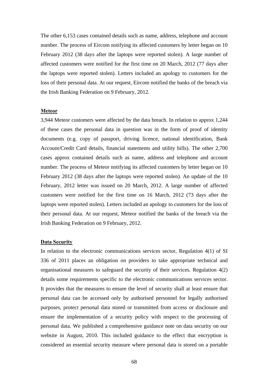The other 6,153 cases contained details such as name, address, telephone and account number. The process of Eircom notifying its affected customers by letter began on 10 February 2012 (38 days after the laptops were reported stolen). A large number of affected customers were notified for the first time on 20 March, 2012 (77 days after the laptops were reported stolen). Letters included an apology to customers for the loss of their personal data. At our request, Eircom notified the banks of the breach via the Irish Banking Federation on 9 February, 2012.

## **Meteor**

3,944 Meteor customers were affected by the data breach. In relation to approx 1,244 of these cases the personal data in question was in the form of proof of identity documents (e.g. copy of passport, driving licence, national identification, Bank Account/Credit Card details, financial statements and utility bills). The other 2,700 cases approx contained details such as name, address and telephone and account number. The process of Meteor notifying its affected customers by letter began on 10 February 2012 (38 days after the laptops were reported stolen). An update of the 10 February, 2012 letter was issued on 20 March, 2012. A large number of affected customers were notified for the first time on 16 March, 2012 (73 days after the laptops were reported stolen). Letters included an apology to customers for the loss of their personal data. At our request, Meteor notified the banks of the breach via the Irish Banking Federation on 9 February, 2012.

#### **Data Security**

In relation to the electronic communications services sector, Regulation 4(1) of SI 336 of 2011 places an obligation on providers to take appropriate technical and organisational measures to safeguard the security of their services. Regulation 4(2) details some requirements specific to the electronic communications services sector. It provides that the measures to ensure the level of security shall at least ensure that personal data can be accessed only by authorised personnel for legally authorised purposes, protect personal data stored or transmitted from access or disclosure and ensure the implementation of a security policy with respect to the processing of personal data. We published a comprehensive guidance note on data security on our website in August, 2010. This included guidance to the effect that encryption is considered an essential security measure where personal data is stored on a portable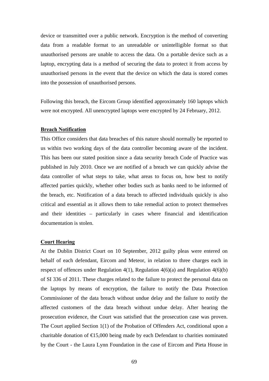device or transmitted over a public network. Encryption is the method of converting data from a readable format to an unreadable or unintelligible format so that unauthorised persons are unable to access the data. On a portable device such as a laptop, encrypting data is a method of securing the data to protect it from access by unauthorised persons in the event that the device on which the data is stored comes into the possession of unauthorised persons.

Following this breach, the Eircom Group identified approximately 160 laptops which were not encrypted. All unencrypted laptops were encrypted by 24 February, 2012.

#### **Breach Notification**

This Office considers that data breaches of this nature should normally be reported to us within two working days of the data controller becoming aware of the incident. This has been our stated position since a data security breach Code of Practice was published in July 2010. Once we are notified of a breach we can quickly advise the data controller of what steps to take, what areas to focus on, how best to notify affected parties quickly, whether other bodies such as banks need to be informed of the breach, etc. Notification of a data breach to affected individuals quickly is also critical and essential as it allows them to take remedial action to protect themselves and their identities – particularly in cases where financial and identification documentation is stolen.

#### **Court Hearing**

At the Dublin District Court on 10 September, 2012 guilty pleas were entered on behalf of each defendant, Eircom and Meteor, in relation to three charges each in respect of offences under Regulation 4(1), Regulation 4(6)(a) and Regulation 4(6)(b) of SI 336 of 2011. These charges related to the failure to protect the personal data on the laptops by means of encryption, the failure to notify the Data Protection Commissioner of the data breach without undue delay and the failure to notify the affected customers of the data breach without undue delay. After hearing the prosecution evidence, the Court was satisfied that the prosecution case was proven. The Court applied Section 1(1) of the Probation of Offenders Act, conditional upon a charitable donation of  $\bigoplus$  5,000 being made by each Defendant to charities nominated by the Court - the Laura Lynn Foundation in the case of Eircom and Pieta House in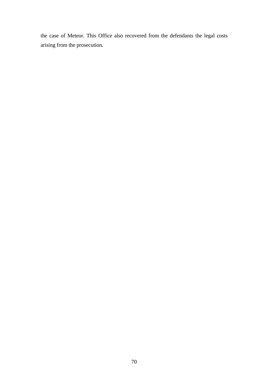the case of Meteor. This Office also recovered from the defendants the legal costs arising from the prosecution.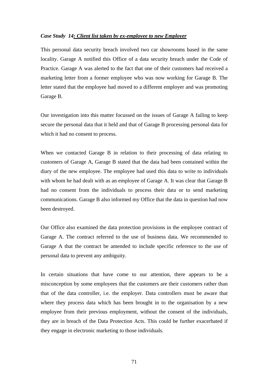#### *Case Study 14: Client list taken by ex-employee to new Employer*

This personal data security breach involved two car showrooms based in the same locality. Garage A notified this Office of a data security breach under the Code of Practice. Garage A was alerted to the fact that one of their customers had received a marketing letter from a former employee who was now working for Garage B. The letter stated that the employee had moved to a different employer and was promoting Garage B.

Our investigation into this matter focussed on the issues of Garage A failing to keep secure the personal data that it held and that of Garage B processing personal data for which it had no consent to process.

When we contacted Garage B in relation to their processing of data relating to customers of Garage A, Garage B stated that the data had been contained within the diary of the new employee. The employee had used this data to write to individuals with whom he had dealt with as an employee of Garage A. It was clear that Garage B had no consent from the individuals to process their data or to send marketing communications. Garage B also informed my Office that the data in question had now been destroyed.

Our Office also examined the data protection provisions in the employee contract of Garage A. The contract referred to the use of business data. We recommended to Garage A that the contract be amended to include specific reference to the use of personal data to prevent any ambiguity.

In certain situations that have come to our attention, there appears to be a misconception by some employees that the customers are their customers rather than that of the data controller, i.e. the employer. Data controllers must be aware that where they process data which has been brought in to the organisation by a new employee from their previous employment, without the consent of the individuals, they are in breach of the Data Protection Acts. This could be further exacerbated if they engage in electronic marketing to those individuals.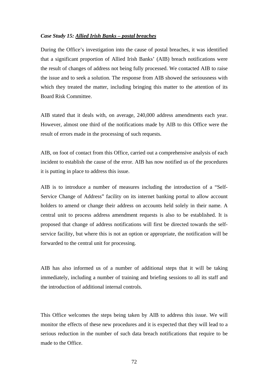#### *Case Study 15: Allied Irish Banks – postal breaches*

During the Office's investigation into the cause of postal breaches, it was identified that a significant proportion of Allied Irish Banks' (AIB) breach notifications were the result of changes of address not being fully processed. We contacted AIB to raise the issue and to seek a solution. The response from AIB showed the seriousness with which they treated the matter, including bringing this matter to the attention of its Board Risk Committee.

AIB stated that it deals with, on average, 240,000 address amendments each year. However, almost one third of the notifications made by AIB to this Office were the result of errors made in the processing of such requests.

AIB, on foot of contact from this Office, carried out a comprehensive analysis of each incident to establish the cause of the error. AIB has now notified us of the procedures it is putting in place to address this issue.

AIB is to introduce a number of measures including the introduction of a "Self-Service Change of Address" facility on its internet banking portal to allow account holders to amend or change their address on accounts held solely in their name. A central unit to process address amendment requests is also to be established. It is proposed that change of address notifications will first be directed towards the selfservice facility, but where this is not an option or appropriate, the notification will be forwarded to the central unit for processing.

AIB has also informed us of a number of additional steps that it will be taking immediately, including a number of training and briefing sessions to all its staff and the introduction of additional internal controls.

This Office welcomes the steps being taken by AIB to address this issue. We will monitor the effects of these new procedures and it is expected that they will lead to a serious reduction in the number of such data breach notifications that require to be made to the Office.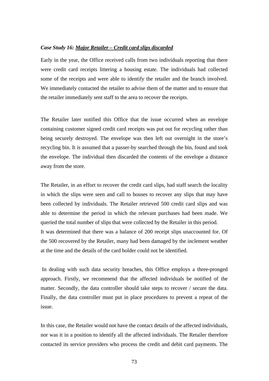#### *Case Study 16: Major Retailer – Credit card slips discarded*

Early in the year, the Office received calls from two individuals reporting that there were credit card receipts littering a housing estate. The individuals had collected some of the receipts and were able to identify the retailer and the branch involved. We immediately contacted the retailer to advise them of the matter and to ensure that the retailer immediately sent staff to the area to recover the receipts.

The Retailer later notified this Office that the issue occurred when an envelope containing customer signed credit card receipts was put out for recycling rather than being securely destroyed. The envelope was then left out overnight in the store's recycling bin. It is assumed that a passer-by searched through the bin, found and took the envelope. The individual then discarded the contents of the envelope a distance away from the store.

The Retailer, in an effort to recover the credit card slips, had staff search the locality in which the slips were seen and call to houses to recover any slips that may have been collected by individuals. The Retailer retrieved 500 credit card slips and was able to determine the period in which the relevant purchases had been made. We queried the total number of slips that were collected by the Retailer in this period. It was determined that there was a balance of 200 receipt slips unaccounted for. Of the 500 recovered by the Retailer, many had been damaged by the inclement weather at the time and the details of the card holder could not be identified.

 In dealing with such data security breaches, this Office employs a three-pronged approach. Firstly, we recommend that the affected individuals be notified of the matter. Secondly, the data controller should take steps to recover / secure the data. Finally, the data controller must put in place procedures to prevent a repeat of the issue.

In this case, the Retailer would not have the contact details of the affected individuals, nor was it in a position to identify all the affected individuals. The Retailer therefore contacted its service providers who process the credit and debit card payments. The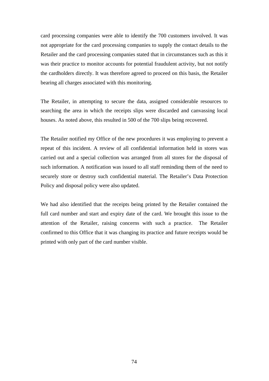card processing companies were able to identify the 700 customers involved. It was not appropriate for the card processing companies to supply the contact details to the Retailer and the card processing companies stated that in circumstances such as this it was their practice to monitor accounts for potential fraudulent activity, but not notify the cardholders directly. It was therefore agreed to proceed on this basis, the Retailer bearing all charges associated with this monitoring.

The Retailer, in attempting to secure the data, assigned considerable resources to searching the area in which the receipts slips were discarded and canvassing local houses. As noted above, this resulted in 500 of the 700 slips being recovered.

The Retailer notified my Office of the new procedures it was employing to prevent a repeat of this incident. A review of all confidential information held in stores was carried out and a special collection was arranged from all stores for the disposal of such information. A notification was issued to all staff reminding them of the need to securely store or destroy such confidential material. The Retailer's Data Protection Policy and disposal policy were also updated.

We had also identified that the receipts being printed by the Retailer contained the full card number and start and expiry date of the card. We brought this issue to the attention of the Retailer, raising concerns with such a practice. The Retailer confirmed to this Office that it was changing its practice and future receipts would be printed with only part of the card number visible.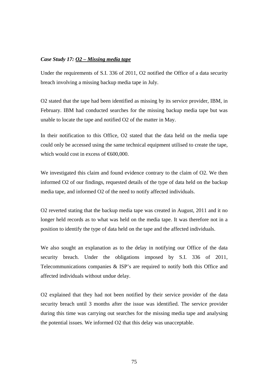#### *Case Study 17: O2 – Missing media tape*

Under the requirements of S.I. 336 of 2011, O2 notified the Office of a data security breach involving a missing backup media tape in July.

O2 stated that the tape had been identified as missing by its service provider, IBM, in February. IBM had conducted searches for the missing backup media tape but was unable to locate the tape and notified O2 of the matter in May.

In their notification to this Office, O2 stated that the data held on the media tape could only be accessed using the same technical equipment utilised to create the tape, which would cost in excess of  $\epsilon$ 600,000.

We investigated this claim and found evidence contrary to the claim of O2. We then informed O2 of our findings, requested details of the type of data held on the backup media tape, and informed O2 of the need to notify affected individuals.

O2 reverted stating that the backup media tape was created in August, 2011 and it no longer held records as to what was held on the media tape. It was therefore not in a position to identify the type of data held on the tape and the affected individuals.

We also sought an explanation as to the delay in notifying our Office of the data security breach. Under the obligations imposed by S.I. 336 of 2011, Telecommunications companies & ISP's are required to notify both this Office and affected individuals without undue delay.

O2 explained that they had not been notified by their service provider of the data security breach until 3 months after the issue was identified. The service provider during this time was carrying out searches for the missing media tape and analysing the potential issues. We informed O2 that this delay was unacceptable.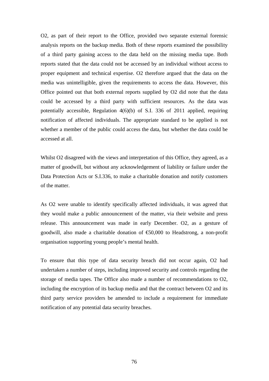O2, as part of their report to the Office, provided two separate external forensic analysis reports on the backup media. Both of these reports examined the possibility of a third party gaining access to the data held on the missing media tape. Both reports stated that the data could not be accessed by an individual without access to proper equipment and technical expertise. O2 therefore argued that the data on the media was unintelligible, given the requirements to access the data. However, this Office pointed out that both external reports supplied by O2 did note that the data could be accessed by a third party with sufficient resources. As the data was potentially accessible, Regulation 4(6)(b) of S.I. 336 of 2011 applied, requiring notification of affected individuals. The appropriate standard to be applied is not whether a member of the public could access the data, but whether the data could be accessed at all.

Whilst O2 disagreed with the views and interpretation of this Office, they agreed, as a matter of goodwill, but without any acknowledgement of liability or failure under the Data Protection Acts or S.I.336, to make a charitable donation and notify customers of the matter.

As O2 were unable to identify specifically affected individuals, it was agreed that they would make a public announcement of the matter, via their website and press release. This announcement was made in early December. O2, as a gesture of goodwill, also made a charitable donation of  $\epsilon$ 50,000 to Headstrong, a non-profit organisation supporting young people's mental health.

To ensure that this type of data security breach did not occur again, O2 had undertaken a number of steps, including improved security and controls regarding the storage of media tapes. The Office also made a number of recommendations to O2, including the encryption of its backup media and that the contract between O2 and its third party service providers be amended to include a requirement for immediate notification of any potential data security breaches.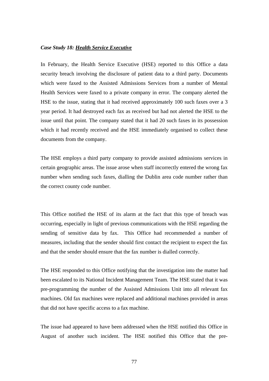#### *Case Study 18: Health Service Executive*

In February, the Health Service Executive (HSE) reported to this Office a data security breach involving the disclosure of patient data to a third party. Documents which were faxed to the Assisted Admissions Services from a number of Mental Health Services were faxed to a private company in error. The company alerted the HSE to the issue, stating that it had received approximately 100 such faxes over a 3 year period. It had destroyed each fax as received but had not alerted the HSE to the issue until that point. The company stated that it had 20 such faxes in its possession which it had recently received and the HSE immediately organised to collect these documents from the company.

The HSE employs a third party company to provide assisted admissions services in certain geographic areas. The issue arose when staff incorrectly entered the wrong fax number when sending such faxes, dialling the Dublin area code number rather than the correct county code number.

This Office notified the HSE of its alarm at the fact that this type of breach was occurring, especially in light of previous communications with the HSE regarding the sending of sensitive data by fax. This Office had recommended a number of measures, including that the sender should first contact the recipient to expect the fax and that the sender should ensure that the fax number is dialled correctly.

The HSE responded to this Office notifying that the investigation into the matter had been escalated to its National Incident Management Team. The HSE stated that it was pre-programming the number of the Assisted Admissions Unit into all relevant fax machines. Old fax machines were replaced and additional machines provided in areas that did not have specific access to a fax machine.

The issue had appeared to have been addressed when the HSE notified this Office in August of another such incident. The HSE notified this Office that the pre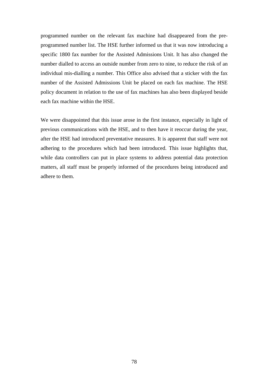programmed number on the relevant fax machine had disappeared from the preprogrammed number list. The HSE further informed us that it was now introducing a specific 1800 fax number for the Assisted Admissions Unit. It has also changed the number dialled to access an outside number from zero to nine, to reduce the risk of an individual mis-dialling a number. This Office also advised that a sticker with the fax number of the Assisted Admissions Unit be placed on each fax machine. The HSE policy document in relation to the use of fax machines has also been displayed beside each fax machine within the HSE.

We were disappointed that this issue arose in the first instance, especially in light of previous communications with the HSE, and to then have it reoccur during the year, after the HSE had introduced preventative measures. It is apparent that staff were not adhering to the procedures which had been introduced. This issue highlights that, while data controllers can put in place systems to address potential data protection matters, all staff must be properly informed of the procedures being introduced and adhere to them.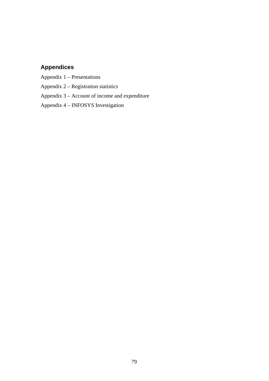# **Appendices**

Appendix 1 – Presentations

Appendix 2 – Registration statistics

Appendix 3 – Account of income and expenditure

Appendix 4 – INFOSYS Investigation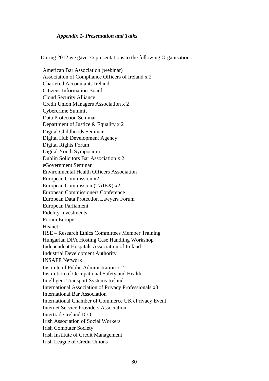#### *Appendix 1- Presentation and Talks*

During 2012 we gave 76 presentations to the following Organisations

American Bar Association (webinar) Association of Compliance Officers of Ireland x 2 Chartered Accountants Ireland Citizens Information Board Cloud Security Alliance Credit Union Managers Association x 2 Cybercrime Summit Data Protection Seminar Department of Justice & Equality x 2 Digital Childhoods Seminar Digital Hub Development Agency Digital Rights Forum Digital Youth Symposium Dublin Solicitors Bar Association x 2 eGovernment Seminar Environmental Health Officers Association European Commission x2 European Commission (TAIEX) x2 European Commissioners Conference European Data Protection Lawyers Forum European Parliament Fidelity Investments Forum Europe Heanet HSE – Research Ethics Committees Member Training Hungarian DPA Hosting Case Handling Workshop Independent Hospitals Association of Ireland Industrial Development Authority INSAFE Network Institute of Public Administration x 2 Institution of Occupational Safety and Health Intelligent Transport Systems Ireland International Association of Privacy Professionals x3 International Bar Association International Chamber of Commerce UK ePrivacy Event Internet Service Providers Association Intertrade Ireland ICO Irish Association of Social Workers Irish Computer Society Irish Institute of Credit Management Irish League of Credit Unions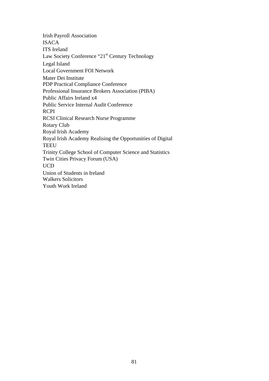Irish Payroll Association ISACA ITS Ireland Law Society Conference "21<sup>st</sup> Century Technology Legal Island Local Government FOI Network Mater Dei Institute PDP Practical Compliance Conference Professional Insurance Brokers Association (PIBA) Public Affairs Ireland x4 Public Service Internal Audit Conference RCPI RCSI Clinical Research Nurse Programme Rotary Club Royal Irish Academy Royal Irish Academy Realising the Opportunities of Digital **TEEU** Trinity College School of Computer Science and Statistics Twin Cities Privacy Forum (USA) UCD Union of Students in Ireland Walkers Solicitors Youth Work Ireland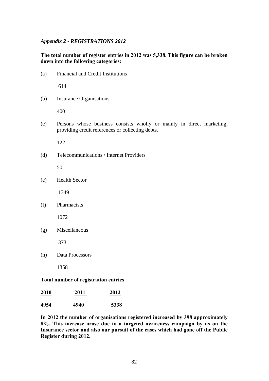#### *Appendix 2 - REGISTRATIONS 2012*

#### **The total number of register entries in 2012 was 5,338. This figure can be broken down into the following categories:**

(a) Financial and Credit Institutions

614

(b) Insurance Organisations

400

(c) Persons whose business consists wholly or mainly in direct marketing, providing credit references or collecting debts.

122

(d) Telecommunications / Internet Providers

50

(e) Health Sector

1349

(f) Pharmacists

1072

(g) Miscellaneous

373

(h) Data Processors

1358

#### **Total number of registration entries**

| 2010 | 2011 | 2012 |  |
|------|------|------|--|
| 4954 | 4940 | 5338 |  |

**In 2012 the number of organisations registered increased by 398 approximately 8%. This increase arose due to a targeted awareness campaign by us on the Insurance sector and also our pursuit of the cases which had gone off the Public Register during 2012.**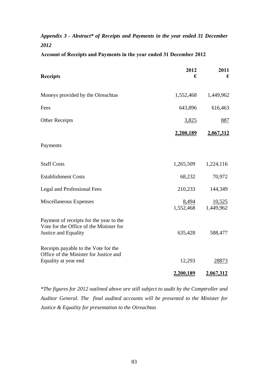# *Appendix 3 - Abstract\* of Receipts and Payments in the year ended 31 December 2012*

|  |  | <b>Account of Receipts and Payments in the year ended 31 December 2012</b> |
|--|--|----------------------------------------------------------------------------|
|  |  |                                                                            |

| <b>Receipts</b>                                                                                            | 2012<br>€          | 2011<br>€           |
|------------------------------------------------------------------------------------------------------------|--------------------|---------------------|
| Moneys provided by the Oireachtas                                                                          | 1,552,468          | 1,449,962           |
| Fees                                                                                                       | 643,896            | 616,463             |
| <b>Other Receipts</b>                                                                                      | <u>3,825</u>       | <u>887</u>          |
|                                                                                                            | 2,200,189          | 2,067,312           |
| Payments                                                                                                   |                    |                     |
| <b>Staff Costs</b>                                                                                         | 1,265,509          | 1,224,116           |
| <b>Establishment Costs</b>                                                                                 | 68,232             | 70,972              |
| <b>Legal and Professional Fees</b>                                                                         | 210,233            | 144,349             |
| Miscellaneous Expenses                                                                                     | 8,494<br>1,552,468 | 10,525<br>1,449,962 |
| Payment of receipts for the year to the<br>Vote for the Office of the Minister for<br>Justice and Equality | 635,428            | 588,477             |
| Receipts payable to the Vote for the<br>Office of the Minister for Justice and<br>Equality at year end     | 12,293             | 28873               |
|                                                                                                            | 2,200,189          | 2.067,312           |

*\*The figures for 2012 outlined above are still subject to audit by the Comptroller and Auditor General. The final audited accounts will be presented to the Minister for Justice & Equality for presentation to the Oireachtas*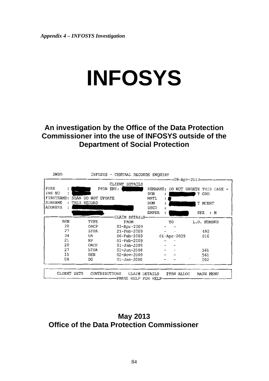# **INFOSYS**

**An investigation by the Office of the Data Protection Commissioner into the use of INFOSYS outside of the Department of Social Protection** 

|                |                    | CLIENT<br><b>DETAILS</b> |                  |                   | -09-Apr-2013-      |
|----------------|--------------------|--------------------------|------------------|-------------------|--------------------|
| PPSN           |                    | PPSN ENT:                | <b>REMARKS:</b>  | DO NOT            | UPDATE THIS CASE - |
| INS NO<br>٠    |                    |                          | <b>DOB</b>       |                   | Y GRO              |
| FIRSTNAME:     | SEÁN DO NOT UPDATE |                          | <b>MRTL</b><br>÷ |                   |                    |
| <b>SURNAME</b> | THIS RECORD        |                          | <b>DOM</b>       |                   | Y MCERT            |
| <b>ADDRESS</b> |                    |                          | DECD             |                   |                    |
|                |                    |                          | <b>EMPER</b>     |                   | SEX : M            |
|                |                    | CLAIM DETAILS-           |                  |                   |                    |
| <b>BEN</b>     | TYPE               | <b>FROM</b>              |                  | TO                | L.O. NUMBER        |
| 20             | OACP               | 03-Apr-2009              |                  |                   |                    |
| 27             | LTUA               | $21 - \text{Feb} - 2009$ |                  |                   | 490                |
| 34             | UA                 | $06 - Feb - 2009$        |                  | $01 - Apr - 2009$ | 016                |
| 21             | RP                 | $01 - Feb - 2009$        |                  |                   |                    |
| 20             | OACP               | $01 - Jan - 2009$        |                  |                   |                    |
| 27             | LTUA               | $01 - Jun - 2008$        |                  |                   | 561                |
| 15             | <b>DEN</b>         | $02 - Nov - 2009$        |                  |                   | 561                |
| 08             | DG                 | $01 - Jan - 2000$        |                  |                   | 002                |
| CLIENT DETS    | CONTRIBUTIONS      | <b>CLATM</b>             | DETAILS          | PPSN ALLOC        | MAIN MENU          |

**May 2013 Office of the Data Protection Commissioner**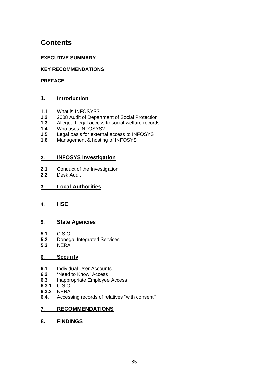# **Contents**

## **EXECUTIVE SUMMARY**

## **KEY RECOMMENDATIONS**

#### **PREFACE**

# **1. Introduction**

- **1.1** What is INFOSYS?
- **1.2** 2008 Audit of Department of Social Protection
- **1.3** Alleged Illegal access to social welfare records
- **1.4** Who uses INFOSYS?
- **1.5** Legal basis for external access to INFOSYS
- **1.6** Management & hosting of INFOSYS

#### **2. INFOSYS Investigation**

- **2.1** Conduct of the Investigation
- **2.2** Desk Audit

## **3. Local Authorities**

## **4. HSE**

## **5. State Agencies**

- **5.1** C.S.O.
- **5.2** Donegal Integrated Services
- **5.3** NERA

#### **6. Security**

- **6.1** Individual User Accounts
- **6.2 '**Need to Know' Access
- **6.3** Inappropriate Employee Access
- **6.3.1** C.S.O.
- **6.3.2** NERA
- **6.4.** Accessing records of relatives "with consent"'

## **7. RECOMMENDATIONS**

## **8. FINDINGS**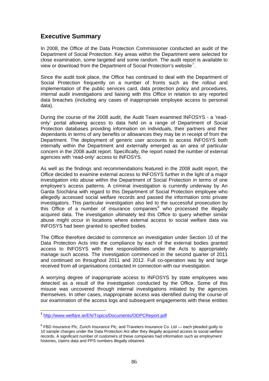# **Executive Summary**

In 2008, the Office of the Data Protection Commissioner conducted an audit of the Department of Social Protection. Key areas within the Department were selected for close examination, some targeted and some random. The audit report is available to view or download from the Department of Social Protection's website<sup>[7](#page-85-0)</sup>.

Since the audit took place, the Office has continued to deal with the Department of Social Protection frequently on a number of fronts such as the rollout and implementation of the public services card, data protection policy and procedures, internal audit investigations and liaising with this Office in relation to any reported data breaches (including any cases of inappropriate employee access to personal data).

During the course of the 2008 audit, the Audit Team examined INFOSYS - a 'readonly' portal allowing access to data held on a range of Department of Social Protection databases providing information on individuals, their partners and their dependants in terms of any benefits or allowances they may be in receipt of from the Department. The deployment of generic user accounts to access INFOSYS both internally within the Department and externally emerged as an area of particular concern in the 2008 audit report. Specifically, the report noted the number of external agencies with 'read-only' access to INFOSYS.

As well as the findings and recommendations featured in the 2008 audit report, the Office decided to examine external access to INFOSYS further in the light of a major investigation into abuse within the Department of Social Protection in terms of one employee's access patterns. A criminal investigation is currently underway by An Garda Síochána with regard to this Department of Social Protection employee who allegedly accessed social welfare records and passed the information onto private investigators. This particular investigation also led to the successful prosecution by this Office of a number of insurance companies $8$  who processed the illegally acquired data. The investigation ultimately led this Office to query whether similar abuse might occur in locations where external access to social welfare data via INFOSYS had been granted to specified bodies.

The Office therefore decided to commence an investigation under Section 10 of the Data Protection Acts into the compliance by each of the external bodies granted access to INFOSYS with their responsibilities under the Acts to appropriately manage such access. The investigation commenced in the second quarter of 2011 and continued on throughout 2011 and 2012. Full co-operation was by and large received from all organisations contacted in connection with our investigation.

A worrying degree of inappropriate access to INFOSYS by state employees was detected as a result of the investigation conducted by the Office. Some of this misuse was uncovered through internal investigations initiated by the agencies themselves. In other cases, inappropriate access was identified during the course of our examination of the access logs and subsequent engagements with these entities

1

<span id="page-85-0"></span>**<sup>7</sup>** <http://www.welfare.ie/EN/Topics/Documents/ODPCReport.pdf>

<span id="page-85-1"></span> $8$  FBD Insurance Plc, Zurich Insurance Plc, and Travelers Insurance Co. Ltd — each pleaded guilty to 10 sample charges under the Data Protection Act after they illegally acquired access to social welfare records. A significant number of customers of these companies had information such as employment histories, claims data and PPS numbers illegally obtained.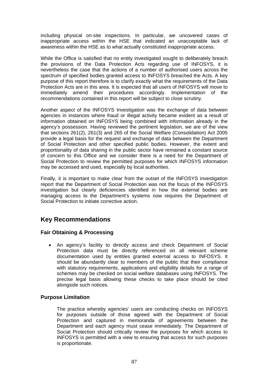including physical on-site inspections. In particular, we uncovered cases of inappropriate access within the HSE that indicated an unacceptable lack of awareness within the HSE as to what actually constituted inappropriate access.

While the Office is satisfied that no entity investigated sought to deliberately breach the provisions of the Data Protection Acts regarding use of INFOSYS, it is nevertheless the case that the actions of a number of authorised users across the spectrum of specified bodies granted access to INFOSYS breached the Acts. A key purpose of this report therefore is to clarify exactly what the requirements of the Data Protection Acts are in this area. It is expected that all users of INFOSYS will move to immediately amend their procedures accordingly. Implementation of the recommendations contained in this report will be subject to close scrutiny.

Another aspect of the INFOSYS Investigation was the exchange of data between agencies in instances where fraud or illegal activity became evident as a result of information obtained on INFOSYS being combined with information already in the agency's possession. Having reviewed the pertinent legislation, we are of the view that sections 261(2), 261(3) and 265 of the Social Welfare (Consolidation) Act 2005 provide a legal basis for the request and exchange of data between the Department of Social Protection and other specified public bodies. However, the extent and proportionality of data sharing in the public sector have remained a constant source of concern to this Office and we consider there is a need for the Department of Social Protection to review the permitted purposes for which INFOSYS information may be accessed and used, especially by local authorities.

Finally, it is important to make clear from the outset of the INFOSYS investigation report that the Department of Social Protection was not the focus of the INFOSYS investigation but clearly deficiencies identified in how the external bodies are managing access to the Department's systems now requires the Department of Social Protection to initiate corrective action.

# **Key Recommendations**

## **Fair Obtaining & Processing**

 An agency's facility to directly access and check Department of Social Protection data must be directly referenced on all relevant scheme documentation used by entities granted external access to INFOSYS. It should be abundantly clear to members of the public that their compliance with statutory requirements, applications and eligibility details for a range of schemes may be checked on social welfare databases using INFOSYS. The precise legal basis allowing these checks to take place should be cited alongside such notices.

## **Purpose Limitation**

The practice whereby agencies' users are conducting checks on INFOSYS for purposes outside of those agreed with the Department of Social Protection and captured in memoranda of agreements between the Department and each agency must cease immediately. The Department of Social Protection should critically review the purposes for which access to INFOSYS is permitted with a view to ensuring that access for such purposes is proportionate.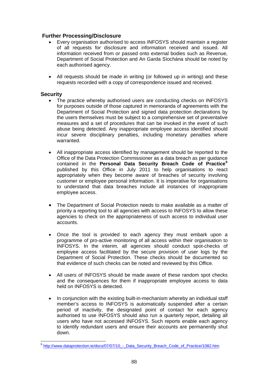## **Further Processing/Disclosure**

- Every organisation authorised to access INFOSYS should maintain a register of all requests for disclosure and information received and issued. All information received from or passed onto external bodies such as Revenue, Department of Social Protection and An Garda Síochána should be noted by each authorised agency.
- All requests should be made in writing (or followed up in writing) and these requests recorded with a copy of correspondence issued and received.

#### **Security**

1

- The practice whereby authorised users are conducting checks on INFOSYS for purposes outside of those captured in memoranda of agreements with the Department of Social Protection and signed data protection declarations by the users themselves must be subject to a comprehensive set of preventative measures and a set of procedures that can be invoked in the event of such abuse being detected. Any inappropriate employee access identified should incur severe disciplinary penalties, including monetary penalties where warranted.
- All inappropriate access identified by management should be reported to the Office of the Data Protection Commissioner as a data breach as per guidance contained in the **Personal Data Security Breach Code of Practice[9](#page-87-0)** published by this Office in July 2011 to help organisations to react appropriately when they become aware of breaches of security involving customer or employee personal information. It is imperative for organisations to understand that data breaches include all instances of inappropriate employee access.
- The Department of Social Protection needs to make available as a matter of priority a reporting tool to all agencies with access to INFOSYS to allow these agencies to check on the appropriateness of such access to individual user accounts.
- Once the tool is provided to each agency they must embark upon a programme of pro-active monitoring of all access within their organisation to INFOSYS. In the interim, all agencies should conduct spot-checks of employee access facilitated by the secure provision of user logs by the Department of Social Protection. These checks should be documented so that evidence of such checks can be noted and reviewed by this Office.
- All users of INFOSYS should be made aware of these random spot checks and the consequences for them if inappropriate employee access to data held on INFOSYS is detected.
- In conjunction with the existing built-in-mechanism whereby an individual staff member's access to INFOSYS is automatically suspended after a certain period of inactivity, the designated point of contact for each agency authorised to use INFOSYS should also run a quarterly report, detailing all users who have not accessed INFOSYS. Such reports enable each agency to identify redundant users and ensure their accounts are permanently shut down.

<span id="page-87-0"></span><sup>9</sup> http://www.dataprotection.ie/docs/07/07/10 - Data Security Breach Code of Practice/1082.htm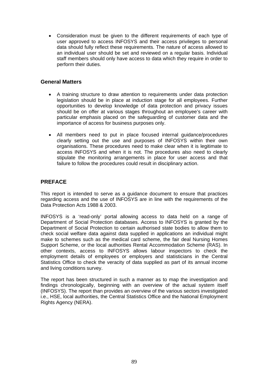Consideration must be given to the different requirements of each type of user approved to access INFOSYS and their access privileges to personal data should fully reflect these requirements. The nature of access allowed to an individual user should be set and reviewed on a regular basis. Individual staff members should only have access to data which they require in order to perform their duties.

#### **General Matters**

- A training structure to draw attention to requirements under data protection legislation should be in place at induction stage for all employees. Further opportunities to develop knowledge of data protection and privacy issues should be on offer at various stages throughout an employee's career with particular emphasis placed on the safeguarding of customer data and the importance of access for business purposes only.
- All members need to put in place focused internal guidance/procedures clearly setting out the use and purposes of INFOSYS within their own organisations. These procedures need to make clear when it is legitimate to access INFOSYS and when it is not. The procedures also need to clearly stipulate the monitoring arrangements in place for user access and that failure to follow the procedures could result in disciplinary action.

## **PREFACE**

This report is intended to serve as a guidance document to ensure that practices regarding access and the use of INFOSYS are in line with the requirements of the Data Protection Acts 1988 & 2003.

INFOSYS is a 'read-only' portal allowing access to data held on a range of Department of Social Protection databases. Access to INFOSYS is granted by the Department of Social Protection to certain authorised state bodies to allow them to check social welfare data against data supplied in applications an individual might make to schemes such as the medical card scheme, the fair deal Nursing Homes Support Scheme, or the local authorities Rental Accommodation Scheme (RAS). In other contexts, access to INFOSYS allows labour inspectors to check the employment details of employees or employers and statisticians in the Central Statistics Office to check the veracity of data supplied as part of its annual income and living conditions survey.

The report has been structured in such a manner as to map the investigation and findings chronologically, beginning with an overview of the actual system itself (INFOSYS). The report than provides an overview of the various sectors investigated i.e., HSE, local authorities, the Central Statistics Office and the National Employment Rights Agency (NERA).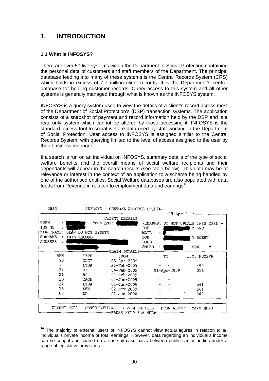# **1. INTRODUCTION**

#### **1.1 What is INFOSYS?**

There are over 50 live systems within the Department of Social Protection containing the personal data of customers and staff members of the Department. The principal database feeding into many of these systems is the Central Records System (CRS) which holds in excess of 7.7 million client records. It is the Department's central database for holding customer records. Query access to this system and all other systems is generally managed through what is known as the INFOSYS system.

INFOSYS is a query system used to view the details of a client's record across most of the Department of Social Protection's (DSP) transaction systems. The application consists of a snapshot of payment and record information held by the DSP and is a read-only system which cannot be altered by those accessing it. INFOSYS is the standard access tool to social welfare data used by staff working in the Department of Social Protection. User access to INFOSYS is assigned similar to the Central Records System, with querying limited to the level of access assigned to the user by their business manager.

If a search is run on an individual on INFOSYS, summary details of the type of social welfare benefits and the overall means of social welfare recipients and their dependants will appear in the search results (see table below). This data may be of relevance or interest in the context of an application to a scheme being handled by one of the authorised entities. Social Welfare databases are also populated with data feeds from Revenue in relation to employment data and earnings<sup>[10](#page-89-0)</sup>.

|                |                    | CLIENT<br><b>DETAILS</b>   |                   | 09-Apr-2013               |
|----------------|--------------------|----------------------------|-------------------|---------------------------|
| PPSN           |                    | PPSN ENT:                  | <b>REMARKS:</b>   | DO NOT UPDATE THIS CASE - |
| INS NO         |                    |                            | DOB               | Υ<br>GRO                  |
| FIRSTNAME:     | SEÁN DO NOT UPDATE |                            | <b>MRTL</b>       |                           |
| <b>SURNAME</b> | THIS RECORD        |                            | <b>DOM</b>        | Y MCERT                   |
| <b>ADDRESS</b> |                    |                            | DECD              |                           |
|                |                    |                            | <b>EMPER</b>      | SEX<br>: M                |
| <b>BEN</b>     | TYPE               | CLAIM DETAILS-             |                   |                           |
| 20             | OACP               | <b>FROM</b><br>03-Apr-2009 | TO                | L.O. NUMBER               |
| 27             | LTUA               | 21-Feb-2009                |                   | 490                       |
| 34             | UA                 | $06 - Feb - 2009$          | $01 - Apr - 2009$ | 016                       |
| 21             | RP                 | $01 - \text{Feb} - 2009$   |                   |                           |
| 20             | OACP               | $01 - Jan - 2009$          |                   |                           |
| 27             | LTUA               | $01 - Jun - 2008$          |                   | 561                       |
| 15             | DEN                | $02 - Nov - 2009$          |                   | 561                       |
| 08             | DG                 | $01 - Jan - 2000$          |                   | 002                       |
|                |                    |                            |                   |                           |

<span id="page-89-0"></span>**<sup>10</sup>** The majority of external users of INFOSYS cannot view actual figures in relation to an individual's private income or total earnings. However, data regarding an individual's income can be sought and shared on a case-by case basis between public sector bodies under a range of legislative provisions.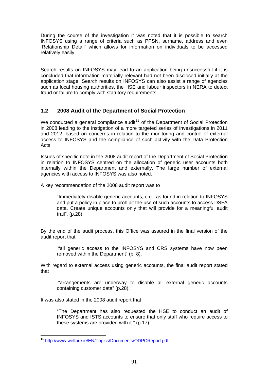During the course of the investigation it was noted that it is possible to search INFOSYS using a range of criteria such as PPSN, surname, address and even 'Relationship Detail' which allows for information on individuals to be accessed relatively easily.

Search results on INFOSYS may lead to an application being unsuccessful if it is concluded that information materially relevant had not been disclosed initially at the application stage. Search results on INFOSYS can also assist a range of agencies such as local housing authorities, the HSE and labour inspectors in NERA to detect fraud or failure to comply with statutory requirements.

# **1.2 2008 Audit of the Department of Social Protection**

We conducted a general compliance audit<sup>[11](#page-90-0)</sup> of the Department of Social Protection in 2008 leading to the instigation of a more targeted series of investigations in 2011 and 2012, based on concerns in relation to the monitoring and control of external access to INFOSYS and the compliance of such activity with the Data Protection Acts.

internally within the Department and externally. The large number of external agencies with access to INFOSYS was also noted. Issues of specific note in the 2008 audit report of the Department of Social Protection in relation to INFOSYS centred on the allocation of generic user accounts both

A key recommendation of the 2008 audit report was to

data. Create unique accounts only that will provide for a meaningful audit trail". (p.28) "Immediately disable generic accounts, e.g., as found in relation to INFOSYS and put a policy in place to prohibit the use of such accounts to access DSFA

By the end of the audit process, this Office was assured in the final version of the audit report that

"all generic access to the INFOSYS and CRS systems have now been removed within the Department" (p. 8).

With regard to external access using generic accounts, the final audit report stated that

"arrangements are underway to disable all external generic accounts containing customer data" (p.28).

It was also stated in the 2008 audit report that

INFOSYS and ISTS accounts to ensure that only staff who require access to these systems are provided with it."  $(p.17)$ "The Department has also requested the HSE to conduct an audit of

<span id="page-90-0"></span><sup>&</sup>lt;u>.</u> **<sup>11</sup>** <http://www.welfare.ie/EN/Topics/Documents/ODPCReport.pdf>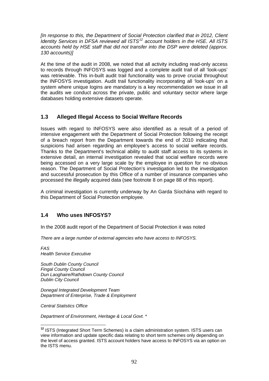*[In response to this, the Department of Social Protection clarified that in 2012, Client Identity Services in DFSA reviewed all ISTS[12](#page-91-0) account holders in the HSE. All ISTS accounts held by HSE staff that did not transfer into the DSP were deleted (approx. 130 accounts)]* 

At the time of the audit in 2008, we noted that all activity including read-only access to records through INFOSYS was logged and a complete audit trail of all 'look-ups' was retrievable. This in-built audit trail functionality was to prove crucial throughout the INFOSYS investigation. Audit trail functionality incorporating all 'look-ups' on a system where unique logins are mandatory is a key recommendation we issue in all the audits we conduct across the private, public and voluntary sector where large databases holding extensive datasets operate.

# **1.3 Alleged Illegal Access to Social Welfare Records**

Issues with regard to INFOSYS were also identified as a result of a period of intensive engagement with the Department of Social Protection following the receipt of a breach report from the Department towards the end of 2010 indicating that suspicions had arisen regarding an employee's access to social welfare records. Thanks to the Department's technical ability to audit staff access to its systems in extensive detail, an internal investigation revealed that social welfare records were being accessed on a very large scale by the employee in question for no obvious reason. The Department of Social Protection's investigation led to the investigation and successful prosecution by this Office of a number of insurance companies who processed the illegally acquired data (see footnote 8 on page 88 of this report).

A criminal investigation is currently underway by An Garda Síochána with regard to this Department of Social Protection employee.

# **1.4 Who uses INFOSYS?**

In the 2008 audit report of the Department of Social Protection it was noted

*There are a large number of external agencies who have access to INFOSYS.* 

*FAS Health Service Executive* 

*South Dublin County Council Fingal County Council Dun Laoghaire/Rathdown County Council Dublin City Council* 

*Donegal Integrated Development Team Department of Enterprise, Trade & Employment* 

*Central Statistics Office* 

1

*Department of Environment, Heritage & Local Govt. \** 

<span id="page-91-0"></span>**<sup>12</sup>** ISTS (Integrated Short Term Schemes) is a claim administration system. ISTS users can view information and update specific data relating to short term schemes only depending on the level of access granted. ISTS account holders have access to INFOSYS via an option on the ISTS menu.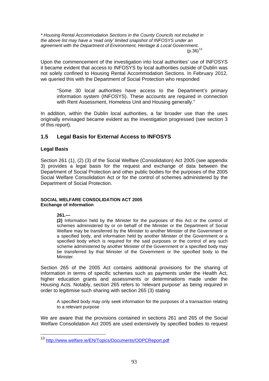*\* Housing Rental Accommodation Sections in the County Councils not included in the above list may have a 'read only' limited snapshot of INFOSYS under an agreement with the Department of Environment, Heritage & Local Government.*   $(p.36)^{13}$  $(p.36)^{13}$  $(p.36)^{13}$ 

Upon the commencement of the investigation into local authorities' use of INFOSYS it became evident that access to INFOSYS by local authorities outside of Dublin was not solely confined to Housing Rental Accommodation Sections. In February 2012, we queried this with the Department of Social Protection who responded

"Some 30 local authorities have access to the Department's primary information system (INFOSYS). These accounts are required in connection with Rent Assessment, Homeless Unit and Housing generally."

In addition, within the Dublin local authorities, a far broader use than the uses originally envisaged became evident as the investigation progressed (see section 3 of this report).

# **1.5 Legal Basis for External Access to INFOSYS**

#### **Legal Basis**

Section 261 (1), (2) (3) of the Social Welfare (Consolidation) Act 2005 (see appendix 3) provides a legal basis for the request and exchange of data between the Department of Social Protection and other public bodies for the purposes of the 2005 Social Welfare Consolidation Act or for the control of schemes administered by the Department of Social Protection.

#### **SOCIAL WELFARE CONSOLIDATION ACT 2005 Exchange of information**

**261.—** 

<u>.</u>

**(2)** Information held by the Minister for the purposes of this Act or the control of schemes administered by or on behalf of the Minister or the Department of Social Welfare may be transferred by the Minister to another Minister of the Government or a specified body, and information held by another Minister of the Government or a specified body which is required for the said purposes or the control of any such scheme administered by another Minister of the Government or a specified body may be transferred by that Minister of the Government or the specified body to the Minister.

Section 265 of the 2005 Act contains additional provisions for the sharing of information in terms of specific schemes such as payments under the Health Act, higher education grants and assessments or determinations made under the Housing Acts. Notably, section 265 refers to 'relevant purpose' as being required in order to legitimise such sharing with section 265 (3) stating

A specified body may only seek information for the purposes of a transaction relating to a relevant purpose

We are aware that the provisions contained in sections 261 and 265 of the Social Welfare Consolidation Act 2005 are used extensively by specified bodies to request

<span id="page-92-0"></span><sup>13</sup> <http://www.welfare.ie/EN/Topics/Documents/ODPCReport.pdf>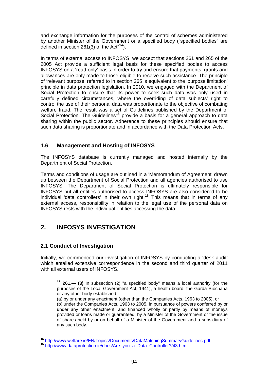and exchange information for the purposes of the control of schemes administered by another Minister of the Government or a specified body ("specified bodies" are defined in section 261(3) of the Act"**[14](#page-93-0)**).

In terms of external access to INFOSYS, we accept that sections 261 and 265 of the 2005 Act provide a sufficient legal basis for these specified bodies to access INFOSYS on a 'read-only' basis in order to try and ensure that payments, grants and allowances are only made to those eligible to receive such assistance. The principle of 'relevant purpose' referred to in section 265 is equivalent to the 'purpose limitation' principle in data protection legislation. In 2010, we engaged with the Department of Social Protection to ensure that its power to seek such data was only used in carefully defined circumstances, where the overriding of data subjects' right to control the use of their personal data was proportionate to the objective of combating welfare fraud. The result was a set of Guidelines published by the Department of Social Protection. The Guidelines<sup>[15](#page-93-1)</sup> provide a basis for a general approach to data sharing within the public sector. Adherence to these principles should ensure that such data sharing is proportionate and in accordance with the Data Protection Acts.

# **1.6 Management and Hosting of INFOSYS**

The INFOSYS database is currently managed and hosted internally by the Department of Social Protection.

Terms and conditions of usage are outlined in a 'Memorandum of Agreement' drawn up between the Department of Social Protection and all agencies authorised to use INFOSYS. The Department of Social Protection is ultimately responsible for INFOSYS but all entities authorised to access INFOSYS are also considered to be individual 'data controllers' in their own right.**[16](#page-93-2)** This means that in terms of any external access, responsibility in relation to the legal use of the personal data on INFOSYS rests with the individual entities accessing the data.

# **2. INFOSYS INVESTIGATION**

## **2.1 Conduct of Investigation**

<span id="page-93-0"></span>Initially, we commenced our investigation of INFOSYS by conducting a 'desk audit' which entailed extensive correspondence in the second and third quarter of 2011 with all external users of INFOSYS.

**<sup>14</sup> 261.— (3)** In subsection (2) "a specified body" means a local authority (for the purposes of the Local Government Act, 1941), a health board, the Garda Síochána or any other body established—

<sup>(</sup>a) by or under any enactment (other than the Companies Acts, 1963 to 2005), or (b) under the Companies Acts, 1963 to 2005, in pursuance of powers conferred by or under any other enactment, and financed wholly or partly by means of moneys provided or loans made or guaranteed, by a Minister of the Government or the issue of shares held by or on behalf of a Minister of the Government and a subsidiary of any such body.

<span id="page-93-2"></span><span id="page-93-1"></span>**<sup>15</sup>** http://www.welfare.ie/EN/Topics/Documents/DataMatchingSummaryGuidelines.pdf **<sup>16</sup>** [http://www.dataprotection.ie/docs/Are\\_you\\_a\\_Data\\_Controller?/43.htm](http://www.dataprotection.ie/docs/Are_you_a_Data_Controller?/43.htm)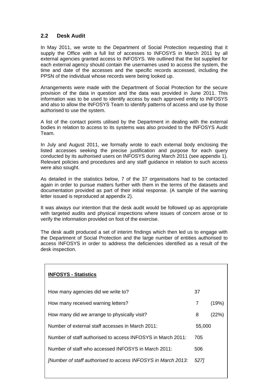# **2.2 Desk Audit**

In May 2011, we wrote to the Department of Social Protection requesting that it supply the Office with a full list of accesses to INFOSYS in March 2011 by all external agencies granted access to INFOSYS. We outlined that the list supplied for each external agency should contain the usernames used to access the system, the time and date of the accesses and the specific records accessed, including the PPSN of the individual whose records were being looked up.

Arrangements were made with the Department of Social Protection for the secure provision of the data in question and the data was provided in June 2011. This information was to be used to identify access by each approved entity to INFOSYS and also to allow the INFOSYS Team to identify patterns of access and use by those authorised to use the system.

A list of the contact points utilised by the Department in dealing with the external bodies in relation to access to its systems was also provided to the INFOSYS Audit Team.

In July and August 2011, we formally wrote to each external body enclosing the listed accesses seeking the precise justification and purpose for each query conducted by its authorised users on INFOSYS during March 2011 (see appendix 1). Relevant policies and procedures and any staff guidance in relation to such access were also sought.

As detailed in the statistics below, 7 of the 37 organisations had to be contacted again in order to pursue matters further with them in the terms of the datasets and documentation provided as part of their initial response. (A sample of the warning letter issued is reproduced at appendix 2).

It was always our intention that the desk audit would be followed up as appropriate with targeted audits and physical inspections where issues of concern arose or to verify the information provided on foot of the exercise.

The desk audit produced a set of interim findings which then led us to engage with the Department of Social Protection and the large number of entities authorised to access INFOSYS in order to address the deficiencies identified as a result of the desk inspection.

| <b>INFOSYS - Statistics</b>                                  |        |       |
|--------------------------------------------------------------|--------|-------|
| How many agencies did we write to?                           | 37     |       |
| How many received warning letters?                           | 7      | (19%) |
| How many did we arrange to physically visit?                 | 8      | (22%) |
| Number of external staff accesses in March 2011:             | 55,000 |       |
| Number of staff authorised to access INFOSYS in March 2011:  | 705    |       |
| Number of staff who accessed INFOSYS in March 2011:          | 506    |       |
| [Number of staff authorised to access INFOSYS in March 2013: | 5271   |       |
|                                                              |        |       |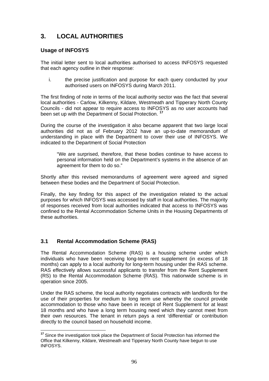# **3. LOCAL AUTHORITIES**

# **Usage of INFOSYS**

The initial letter sent to local authorities authorised to access INFOSYS requested that each agency outline in their response:

i. the precise justification and purpose for each query conducted by your authorised users on INFOSYS during March 2011.

The first finding of note in terms of the local authority sector was the fact that several local authorities - Carlow, Kilkenny, Kildare, Westmeath and Tipperary North County Councils - did not appear to require access to INFOSYS as no user accounts had been set up with the Department of Social Protection. **[17](#page-95-0)**

During the course of the investigation it also became apparent that two large local authorities did not as of February 2012 have an up-to-date memorandum of understanding in place with the Department to cover their use of INFOSYS. We indicated to the Department of Social Protection

"We are surprised, therefore, that these bodies continue to have access to personal information held on the Department's systems in the absence of an agreement for them to do so."

Shortly after this revised memorandums of agreement were agreed and signed between these bodies and the Department of Social Protection.

Finally, the key finding for this aspect of the investigation related to the actual purposes for which INFOSYS was accessed by staff in local authorities. The majority of responses received from local authorities indicated that access to INFOSYS was confined to the Rental Accommodation Scheme Units in the Housing Departments of these authorities.

# **3.1 Rental Accommodation Scheme (RAS)**

1

The Rental Accommodation Scheme (RAS) is a housing scheme under which individuals who have been receiving long-term rent supplement (in excess of 18 months) can apply to a local authority for long-term housing under the RAS scheme. RAS effectively allows successful applicants to transfer from the Rent Supplement (RS) to the Rental Accommodation Scheme (RAS). This nationwide scheme is in operation since 2005.

Under the RAS scheme, the local authority negotiates contracts with landlords for the use of their properties for medium to long term use whereby the council provide accommodation to those who have been in receipt of Rent Supplement for at least 18 months and who have a long term housing need which they cannot meet from their own resources. The tenant in return pays a rent 'differential' or contribution directly to the council based on household income.

<span id="page-95-0"></span>**<sup>17</sup>** Since the investigation took place the Department of Social Protection has informed the Office that Kilkenny, Kildare, Westmeath and Tipperary North County have begun to use INFOSYS.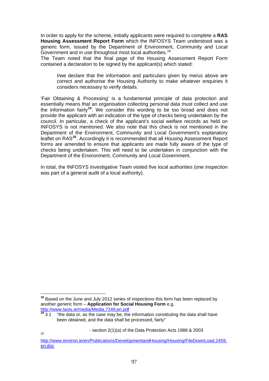In order to apply for the scheme, initially applicants were required to complete a **RAS Housing Assessment Report Form** which the INFOSYS Team understood was a generic form, issued by the Department of Environment, Community and Local Government and in use throughout most local authorities.<sup>[18](#page-96-0)</sup>

The Team noted that the final page of the Housing Assessment Report Form contained a declaration to be signed by the applicant(s) which stated:

I/we declare that the information and particulars given by me/us above are correct and authorise the Housing Authority to make whatever enquiries it considers necessary to verify details.

'Fair Obtaining & Processing' is a fundamental principle of data protection and essentially means that an organisation collecting personal data must collect and use the information fairly**[19](#page-96-1)**. We consider this wording to be too broad and does not provide the applicant with an indication of the type of checks being undertaken by the council. In particular, a check of the applicant's social welfare records as held on INFOSYS is not mentioned. We also note that this check is not mentioned in the Department of the Environment, Community and Local Government's explanatory leaflet on RAS**[20](#page-96-2)**. Accordingly it is recommended that all Housing Assessment Report forms are amended to ensure that applicants are made fully aware of the type of checks being undertaken. This will need to be undertaken in conjunction with the Department of the Environment, Community and Local Government.

In total, the INFOSYS Investigative Team visited five local authorities (one inspection was part of a general audit of a local authority).

1

20

<span id="page-96-0"></span>**<sup>18</sup>** Based on the June and July 2012 series of inspections this form has been replaced by another generic form – **Application for Social Housing Form** e.g.

<span id="page-96-1"></span><http://www.laois.ie/media/Media,7249,en.pdf><br><sup>19</sup> 3.1 The data or. as the case may be, the <sup>"</sup>the data or, as the case may be, the information constituting the data shall have been obtained, and the data shall be processed, fairly"

 <sup>-</sup> section 2(1)(a) of the Data Protection Acts 1988 & 2003

<span id="page-96-2"></span>[http://www.environ.ie/en/Publications/DevelopmentandHousing/Housing/FileDownLoad,2459,](http://www.environ.ie/en/Publications/DevelopmentandHousing/Housing/FileDownLoad,2459,en.doc) [en.doc](http://www.environ.ie/en/Publications/DevelopmentandHousing/Housing/FileDownLoad,2459,en.doc)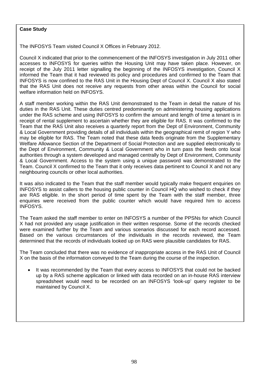#### **Case Study**

The INFOSYS Team visited Council X Offices in February 2012.

Council X indicated that prior to the commencement of the INFOSYS investigation in July 2011 other accesses to INFOSYS for queries within the Housing Unit may have taken place. However, on receipt of the July 2011 letter signalling the beginning of the INFOSYS investigation, Council X informed the Team that it had reviewed its policy and procedures and confirmed to the Team that INFOSYS is now confined to the RAS Unit in the Housing Dept of Council X. Council X also stated that the RAS Unit does not receive any requests from other areas within the Council for social welfare information held on INFOSYS.

authorities through a system developed and managed centrally by Dept of Environment, Community & Local Government. Access to the system using a unique password was demonstrated to the Team. Council X confirmed to the Team that it only receives data pertinent to Council X and not any neighbouring councils or other local authorities. The Department of Environment of Environment of Environment o A staff member working within the RAS Unit demonstrated to the Team in detail the nature of his duties in the RAS Unit. These duties centred predominantly on administering housing applications under the RAS scheme and using INFOSYS to confirm the amount and length of time a tenant is in receipt of rental supplement to ascertain whether they are eligible for RAS. It was confirmed to the Team that the RAS Unit also receives a quarterly report from the Dept of Environment, Community & Local Government providing details of all individuals within the geographical remit of region Y who may be eligible for RAS. The Team noted that these data feeds originate from the Supplementary Welfare Allowance Section of the Department of Social Protection and are supplied electronically to the Dept of Environment, Community & Local Government who in turn pass the feeds onto local

It was also indicated to the Team that the staff member would typically make frequent enquiries on INFOSYS to assist callers to the housing public counter in Council HQ who wished to check if they are RAS eligible. In the short period of time spent by the Team with the staff member, three  $\mathcal{C}_{\mathcal{A}}$ enquiries were received from the public counter which would have required him to access INFOSYS.

The Team asked the staff member to enter on INFOSYS a number of the PPSNs for which Council X had not provided any usage justification in their written response. Some of the records checked were examined further by the Team and various scenarios discussed for each record accessed. Based on the various circumstances of the individuals in the records reviewed, the Team determined that the records of individuals looked up on RAS were plausible candidates for RAS.

The Team concluded that there was no evidence of inappropriate access in the RAS Unit of Council X on the basis of the information conveyed to the Team during the course of the inspection.

 It was recommended by the Team that every access to INFOSYS that could not be backed up by a RAS scheme application or linked with data recorded on an in-house RAS interview spreadsheet would need to be recorded on an INFOSYS 'look-up' query register to be maintained by Council X.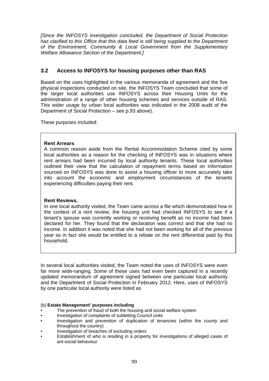*[Since the INFOSYS investigation concluded, the Department of Social Protection has clarified to this Office that this data feed is still being supplied to the Department of the Environment, Community & Local Government from the Supplementary Welfare Allowance Section of the Department.]* 

# **3.2 Access to INFOSYS for housing purposes other than RAS**

Based on the uses highlighted in the various memoranda of agreement and the five physical inspections conducted on site, the INFOSYS Team concluded that some of the larger local authorities use INFOSYS across their Housing Units for the administration of a range of other housing schemes and services outside of RAS. This wider usage by urban local authorities was indicated in the 2008 audit of the Department of Social Protection – see p.93 above).

These purposes included:

#### **Rent Arrears**

A common reason aside from the Rental Accommodation Scheme cited by some local authorities as a reason for the checking of INFOSYS was in situations where rent arrears had been incurred by local authority tenants. These local authorities outlined their view that the calculation of repayment terms based on information sourced on INFOSYS was done to assist a housing officer to more accurately take into account the economic and employment circumstances of the tenants experiencing difficulties paying their rent.

#### **Rent Reviews.**

In one local authority visited, the Team came across a file which demonstrated how in the context of a rent review, the housing unit had checked INFOSYS to see if a tenant's spouse was currently working or receiving benefit as no income had been declared for her. They found that the declaration was correct and that she had no income. In addition it was noted that she had not been working for all of the previous year so in fact she would be entitled to a rebate on the rent differential paid by this household.

In several local authorities visited, the Team noted the uses of INFOSYS were even far more wide-ranging. Some of these uses had even been captured in a recently updated memorandum of agreement signed between one particular local authority and the Department of Social Protection in February 2012. Here, uses of INFOSYS by one particular local authority were listed as

#### (b) **Estate Management' purposes including**

- The prevention of fraud of both the housing and social welfare system
- Investigation of complaints of subletting Council units
- Investigation and prevention of duplication of tenancies (within the county and throughout the country)
- Investigation of breaches of excluding orders
- Establishment of who is residing in a property for investigations of alleged cases of ant-social behaviour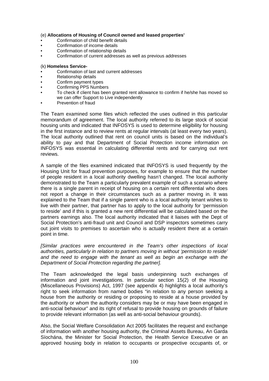#### (e) **Allocations of Housing of Council owned and leased properties'**

- Confirmation of child benefit details
- Confirmation of income details
- Confirmation of relationship details
- Confirmation of current addresses as well as previous addresses

#### (k) **Homeless Service-**

- Confirmation of last and current addresses
- Relationship details<br>• Confirm payment type
- Confirm payment types
- Confirming PPS Numbers
- To check if client has been granted rent allowance to confirm if he/she has moved so we can offer Support to Live independently
- Prevention of fraud

The Team examined some files which reflected the uses outlined in this particular memorandum of agreement. The local authority referred to its large stock of social housing units and indicated that INFOSYS is used to determine eligibility for housing in the first instance and to review rents at regular intervals (at least every two years). The local authority outlined that rent on council units is based on the individual's ability to pay and that Department of Social Protection income information on INFOSYS was essential in calculating differential rents and for carrying out rent reviews.

A sample of the files examined indicated that INFOSYS is used frequently by the Housing Unit for fraud prevention purposes, for example to ensure that the number of people resident in a local authority dwelling hasn't changed. The local authority demonstrated to the Team a particularly prevalent example of such a scenario where there is a single parent in receipt of housing on a certain rent differential who does not report a change in their circumstances such as a partner moving in. It was explained to the Team that if a single parent who is a local authority tenant wishes to live with their partner, that partner has to apply to the local authority for 'permission to reside' and if this is granted a new rent differential will be calculated based on the partners earnings also. The local authority indicated that it liaises with the Dept of Social Protection's anti-fraud unit and Council and DSP inspectors sometimes carry out joint visits to premises to ascertain who is actually resident there at a certain point in time.

*[Similar practices were encountered in the Team's other inspections of local authorities, particularly in relation to partners moving in without 'permission to reside' and the need to engage with the tenant as well as begin an exchange with the Department of Social Protection regarding the partner].* 

The Team acknowledged the legal basis underpinning such exchanges of information and joint investigations. In particular section 15(2) of the Housing (Miscellaneous Provisions) Act, 1997 (see appendix 4) highlights a local authority's right to seek information from named bodies "in relation to any person seeking a house from the authority or residing or proposing to reside at a house provided by the authority or whom the authority considers may be or may have been engaged in anti-social behaviour" and its right of refusal to provide housing on grounds of failure to provide relevant information (as well as anti-social behaviour grounds).

Also, the Social Welfare Consolidation Act 2005 facilitates the request and exchange of information with another housing authority, the Criminal Assets Bureau, An Garda Síochána, the Minister for Social Protection, the Health Service Executive or an approved housing body in relation to occupants or prospective occupants of, or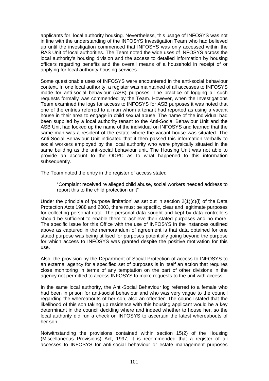applicants for, local authority housing. Nevertheless, this usage of INFOSYS was not in line with the understanding of the INFOSYS Investigation Team who had believed up until the investigation commenced that INFOSYS was only accessed within the RAS Unit of local authorities. The Team noted the wide uses of INFOSYS across the local authority's housing division and the access to detailed information by housing officers regarding benefits and the overall means of a household in receipt of or applying for local authority housing services.

Some questionable uses of INFOSYS were encountered in the anti-social behaviour context. In one local authority, a register was maintained of all accesses to INFOSYS made for anti-social behaviour (ASB) purposes. The practice of logging all such requests formally was commended by the Team. However, when the Investigations Team examined the logs for access to INFOSYS for ASB purposes it was noted that one of the entries referred to a man whom a tenant had reported as using a vacant house in their area to engage in child sexual abuse. The name of the individual had been supplied by a local authority tenant to the Anti-Social Behaviour Unit and the ASB Unit had looked up the name of the individual on INFOSYS and learned that the same man was a resident of the estate where the vacant house was situated. The Anti-Social Behaviour Unit indicated that it then passed this information verbally to social workers employed by the local authority who were physically situated in the same building as the anti-social behaviour unit. The Housing Unit was not able to provide an account to the ODPC as to what happened to this information subsequently.

The Team noted the entry in the register of access stated

"Complaint received re alleged child abuse, social workers needed address to report this to the child protection unit"

Under the principle of 'purpose limitation' as set out in section  $2(1)(c)(i)$  of the Data Protection Acts 1988 and 2003, there must be specific, clear and legitimate purposes for collecting personal data. The personal data sought and kept by data controllers should be sufficient to enable them to achieve their stated purposes and no more. The specific issue for this Office with the use of INFOSYS in the instances outlined above as captured in the memorandum of agreement is that data obtained for one stated purpose was being utilised for purposes potentially going beyond the purpose for which access to INFOSYS was granted despite the positive motivation for this use.

Also, the provision by the Department of Social Protection of access to INFOSYS to an external agency for a specified set of purposes is in itself an action that requires close monitoring in terms of any temptation on the part of other divisions in the agency not permitted to access INFOSYS to make requests to the unit with access.

In the same local authority, the Anti-Social Behaviour log referred to a female who had been in prison for anti-social behaviour and who was very vague to the council regarding the whereabouts of her son, also an offender. The council stated that the likelihood of this son taking up residence with this housing applicant would be a key determinant in the council deciding where and indeed whether to house her, so the local authority did run a check on INFOSYS to ascertain the latest whereabouts of her son.

Notwithstanding the provisions contained within section 15(2) of the Housing (Miscellaneous Provisions) Act, 1997, it is recommended that a register of all accesses to INFOSYS for anti-social behaviour or estate management purposes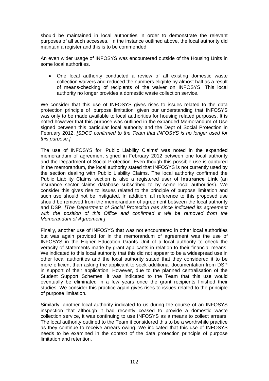should be maintained in local authorities in order to demonstrate the relevant purposes of all such accesses. In the instance outlined above, the local authority did maintain a register and this is to be commended.

An even wider usage of INFOSYS was encountered outside of the Housing Units in some local authorities.

 One local authority conducted a review of all existing domestic waste collection waivers and reduced the numbers eligible by almost half as a result of means-checking of recipients of the waiver on INFOSYS. This local authority no longer provides a domestic waste collection service.

We consider that this use of INFOSYS gives rises to issues related to the data protection principle of 'purpose limitation' given our understanding that INFOSYS was only to be made available to local authorities for housing related purposes. It is noted however that this purpose was outlined in the expanded Memorandum of Use signed between this particular local authority and the Dept of Social Protection in February 2012. *[SDCC confirmed to the Team that INFOSYS is no longer used for this purpose.]*

The use of INFOSYS for 'Public Liability Claims' was noted in the expanded memorandum of agreement signed in February 2012 between one local authority and the Department of Social Protection. Even though this possible use is captured in the memorandum, the local authority stated that INFOSYS is not currently used by the section dealing with Public Liability Claims. The local authority confirmed the Public Liability Claims section is also a registered user of **Insurance Link** (an insurance sector claims database subscribed to by some local authorities). We consider this gives rise to issues related to the principle of purpose limitation and such use should not be instigated. In addition, all reference to this proposed use should be removed from the memorandum of agreement between the local authority and DSP. *[The Department of Social Protection has since indicated its agreement*  with the position of this Office and confirmed it will be removed from the *Memorandum of Agreement.]* 

Finally, another use of INFOSYS that was not encountered in other local authorities but was again provided for in the memorandum of agreement was the use of INFOSYS in the Higher Education Grants Unit of a local authority to check the veracity of statements made by grant applicants in relation to their financial means. We indicated to this local authority that this did not appear to be a widespread use in other local authorities and the local authority stated that they considered it to be more efficient than asking the applicant to seek additional documentation from DSP in support of their application. However, due to the planned centralisation of the Student Support Schemes, it was indicated to the Team that this use would eventually be eliminated in a few years once the grant recipients finished their studies. We consider this practice again gives rises to issues related to the principle of purpose limitation.

Similarly, another local authority indicated to us during the course of an INFOSYS inspection that although it had recently ceased to provide a domestic waste collection service, it was continuing to use INFOSYS as a means to collect arrears. The local authority outlined to the Team it considered this to be a worthwhile practice as they continue to receive arrears owing. We indicated that this use of INFOSYS needs to be examined in the context of the data protection principle of purpose limitation and retention.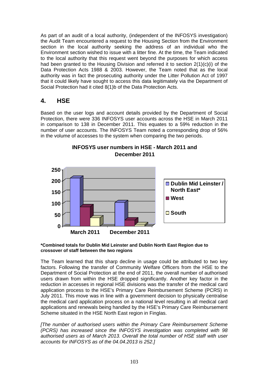As part of an audit of a local authority, (independent of the INFOSYS investigation) the Audit Team encountered a request to the Housing Section from the Environment section in the local authority seeking the address of an individual who the Environment section wished to issue with a litter fine. At the time, the Team indicated to the local authority that this request went beyond the purposes for which access had been granted to the Housing Division and referred it to section 2(1)(c)(i) of the Data Protection Acts 1988 & 2003. However, the Team noted that as the local authority was in fact the prosecuting authority under the Litter Pollution Act of 1997 that it could likely have sought to access this data legitimately via the Department of Social Protection had it cited 8(1)b of the Data Protection Acts.

# **4. HSE**

Based on the user logs and account details provided by the Department of Social Protection, there were 336 INFOSYS user accounts across the HSE in March 2011 in comparison to 138 in December 2011. This equates to a 59% reduction in the number of user accounts. The INFOSYS Team noted a corresponding drop of 56% in the volume of accesses to the system when comparing the two periods.



# **INFOSYS user numbers in HSE - March 2011 and December 2011**

#### **\*Combined totals for Dublin Mid Leinster and Dublin North East Region due to crossover of staff between the two regions**

The Team learned that this sharp decline in usage could be attributed to two key factors. Following the transfer of Community Welfare Officers from the HSE to the Department of Social Protection at the end of 2011, the overall number of authorised users drawn from within the HSE dropped significantly. Another key factor in the reduction in accesses in regional HSE divisions was the transfer of the medical card application process to the HSE's Primary Care Reimbursement Scheme (PCRS) in July 2011. This move was in line with a government decision to physically centralise the medical card application process on a national level resulting in all medical card applications and renewals being handled by the HSE's Primary Care Reimbursement Scheme situated in the HSE North East region in Finglas.

*[The number of authorised users within the Primary Care Reimbursement Scheme (PCRS) has increased since the INFOSYS investigation was completed with 98 authorised users as of March 2013. Overall the total number of HSE staff with user accounts for INFOSYS as of the 04.04.2013 is 252.]*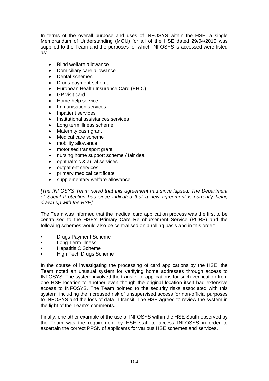In terms of the overall purpose and uses of INFOSYS within the HSE, a single Memorandum of Understanding (MOU) for all of the HSE dated 29/04/2010 was supplied to the Team and the purposes for which INFOSYS is accessed were listed as:

- Blind welfare allowance
- Domiciliary care allowance
- Dental schemes
- Drugs payment scheme
- European Health Insurance Card (EHIC)
- GP visit card
- Home help service
- Immunisation services
- Inpatient services
- Institutional assistances services
- Long term illness scheme
- Maternity cash grant
- Medical care scheme
- mobility allowance
- motorised transport grant
- nursing home support scheme / fair deal
- ophthalmic & aural services
- outpatient services
- primary medical certificate
- supplementary welfare allowance

*[The INFOSYS Team noted that this agreement had since lapsed. The Department of Social Protection has since indicated that a new agreement is currently being drawn up with the HSE]* 

The Team was informed that the medical card application process was the first to be centralised to the HSE's Primary Care Reimbursement Service (PCRS) and the following schemes would also be centralised on a rolling basis and in this order:

- Drugs Payment Scheme
- Long Term Illness
- Hepatitis C Scheme
- High Tech Drugs Scheme

In the course of investigating the processing of card applications by the HSE, the Team noted an unusual system for verifying home addresses through access to INFOSYS. The system involved the transfer of applications for such verification from one HSE location to another even though the original location itself had extensive access to INFOSYS. The Team pointed to the security risks associated with this system, including the increased risk of unsupervised access for non-official purposes to INFOSYS and the loss of data in transit. The HSE agreed to review the system in the light of the Team's comments.

Finally, one other example of the use of INFOSYS within the HSE South observed by the Team was the requirement by HSE staff to access INFOSYS in order to ascertain the correct PPSN of applicants for various HSE schemes and services.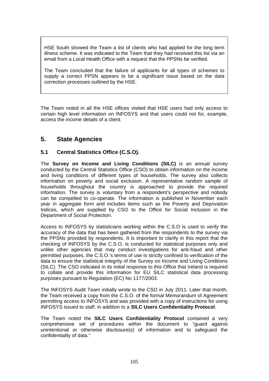HSE South showed the Team a list of clients who had applied for the long term illness scheme. It was indicated to the Team that they had received this list via an email from a Local Health Office with a request that the PPSNs be verified.

The Team concluded that the failure of applicants for all types of schemes to supply a correct PPSN appears to be a significant issue based on the data correction processes outlined by the HSE.

The Team noted in all the HSE offices visited that HSE users had only access to certain high level information on INFOSYS and that users could not for, example, access the income details of a client.

# **5. State Agencies**

# **5.1 Central Statistics Office (C.S.O).**

The **Survey on Income and Living Conditions (SILC)** is an annual survey conducted by the Central Statistics Office (CSO) to obtain information on the income and living conditions of different types of households. The survey also collects information on poverty and social exclusion. A representative random sample of households throughout the country is approached to provide the required information. The survey is voluntary from a respondent's perspective and nobody can be compelled to co-operate. The information is published in November each year in aggregate form and includes items such as the Poverty and Deprivation Indices, which are supplied by CSO to the Office for Social Inclusion in the Department of Social Protection.

Access to INFOSYS by statisticians working within the C.S.O is used to verify the accuracy of the data that has been gathered from the respondents to the survey via the PPSNs provided by respondents. It is important to clarify in this report that the checking of INFOSYS by the C.S.O. is conducted for statistical purposes only and unlike other agencies that may conduct investigations for anti-fraud and other permitted purposes, the C.S.O.'s terms of use is strictly confined to verification of the data to ensure the statistical integrity of the Survey on Income and Living Conditions (SILC). The CSO indicated in its initial response to this Office that Ireland is required to collate and provide this information for EU SILC statistical data processing purposes pursuant to Regulation (EC) No 1177/2003.

The INFOSYS Audit Team initially wrote to the CSO in July 2011. Later that month, the Team received a copy from the C.S.O. of the formal Memorandum of Agreement permitting access to INFOSYS and was provided with a copy of instructions for using INFOSYS issued to staff, in addition to a **SILC Users Confidentiality Protocol**.

The Team noted the **SILC Users Confidentiality Protocol** contained a very comprehensive set of procedures within the document to "guard against unintentional or otherwise disclosure(s) of information and to safeguard the confidentiality of data."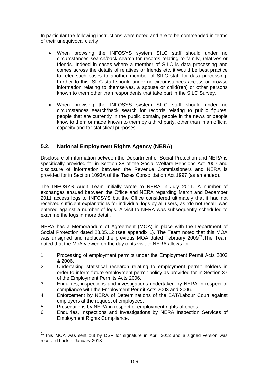In particular the following instructions were noted and are to be commended in terms of their unequivocal clarity

- When browsing the INFOSYS system SILC staff should under no circumstances search/back search for records relating to family, relatives or friends. Indeed in cases where a member of SILC is data processing and comes across the details of relatives or friends etc, it would be best practice to refer such cases to another member of SILC staff for data processing. Further to this, SILC staff should under no circumstances access or browse information relating to themselves, a spouse or child(ren) or other persons known to them other than respondents that take part in the SILC Survey.
- When browsing the INFOSYS system SILC staff should under no circumstances search/back search for records relating to public figures, people that are currently in the public domain, people in the news or people know to them or made known to them by a third party, other than in an official capacity and for statistical purposes.

# **5.2. National Employment Rights Agency (NERA)**

Disclosure of information between the Department of Social Protection and NERA is specifically provided for in Section 38 of the Social Welfare Pensions Act 2007 and disclosure of information between the Revenue Commissioners and NERA is provided for in Section 1093A of the Taxes Consolidation Act 1997 (as amended).

The INFOSYS Audit Team initially wrote to NERA in July 2011. A number of exchanges ensued between the Office and NERA regarding March and December 2011 access logs to INFOSYS but the Office considered ultimately that it had not received sufficient explanations for individual logs by all users, as "do not recall" was entered against a number of logs. A visit to NERA was subsequently scheduled to examine the logs in more detail.

NERA has a Memorandum of Agreement (MOA) in place with the Department of Social Protection dated 28.05.12 (see appendix 1). The Team noted that this MOA was unsigned and replaced the previous MOA dated February  $2009^{21}$  $2009^{21}$  $2009^{21}$ . The Team noted that the MoA viewed on the day of its visit to NERA allows for

- 1. Processing of employment permits under the Employment Permit Acts 2003 & 2006.
- 2. Undertaking statistical research relating to employment permit holders in order to inform future employment permit policy as provided for in Section 37 of the Employment Permits Acts 2006.
- 3. Enquiries, inspections and investigations undertaken by NERA in respect of compliance with the Employment Permit Acts 2003 and 2006.
- 4. Enforcement by NERA of Determinations of the EAT/Labour Court against employers at the request of employees.
- 5. Prosecutions by NERA in respect of employment rights offences.

1

6. Enquiries, Inspections and Investigations by NERA Inspection Services of Employment Rights Compliance.

<span id="page-105-0"></span> $21$  this MOA was sent out by DSP for signature in April 2012 and a signed version was received back in January 2013.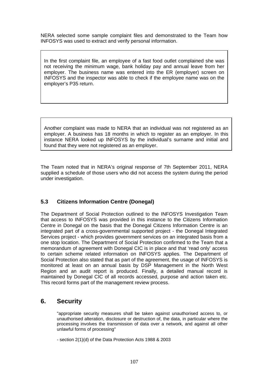NERA selected some sample complaint files and demonstrated to the Team how INFOSYS was used to extract and verify personal information.

In the first complaint file, an employee of a fast food outlet complained she was not receiving the minimum wage, bank holiday pay and annual leave from her employer. The business name was entered into the ER (employer) screen on INFOSYS and the inspector was able to check if the employee name was on the employer's P35 return.

Another complaint was made to NERA that an individual was not registered as an employer. A business has 18 months in which to register as an employer. In this instance NERA looked up INFOSYS by the individual's surname and initial and found that they were not registered as an employer.

The Team noted that in NERA's original response of 7th September 2011, NERA supplied a schedule of those users who did not access the system during the period under investigation.

# **5.3 Citizens Information Centre (Donegal)**

The Department of Social Protection outlined to the INFOSYS Investigation Team that access to INFOSYS was provided in this instance to the Citizens Information Centre in Donegal on the basis that the Donegal Citizens Information Centre is an integrated part of a cross-governmental supported project - the Donegal Integrated Services project - which provides government services on an integrated basis from a one stop location. The Department of Social Protection confirmed to the Team that a memorandum of agreement with Donegal CIC is in place and that 'read only' access to certain scheme related information on INFOSYS applies. The Department of Social Protection also stated that as part of the agreement, the usage of INFOSYS is monitored at least on an annual basis by DSP Management in the North West Region and an audit report is produced. Finally, a detailed manual record is maintained by Donegal CIC of all records accessed, purpose and action taken etc. This record forms part of the management review process.

# **6. Security**

"appropriate security measures shall be taken against unauthorised access to, or unauthorised alteration, disclosure or destruction of, the data, in particular where the processing involves the transmission of data over a network, and against all other unlawful forms of processing"

- section 2(1)(d) of the Data Protection Acts 1988 & 2003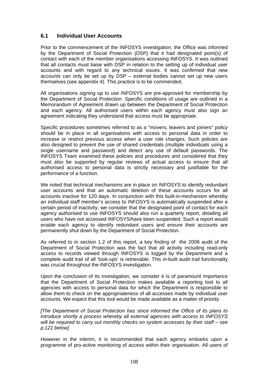## **6.1 Individual User Accounts**

Prior to the commencement of the INFOSYS investigation, the Office was informed by the Department of Social Protection (DSP) that it had designated point(s) of contact with each of the member organisations accessing INFOSYS. It was outlined that all contacts must liaise with DSP in relation to the setting up of individual user accounts and with regard to any technical issues. It was confirmed that new accounts can only be set up by DSP – external bodies cannot set up new users themselves (see appendix 4). This practice is to be commended.

All organisations signing up to use INFOSYS are pre-approved for membership by the Department of Social Protection. Specific conditions of usage are outlined in a Memorandum of Agreement drawn up between the Department of Social Protection and each agency. All authorised users within each agency must also sign an agreement indicating they understand that access must be appropriate.

Specific procedures sometimes referred to as a "movers, leavers and joiners" policy should be in place in all organisations with access to personal data in order to increase or restrict previous access when a user role changes. Such policies are also designed to prevent the use of shared credentials (multiple individuals using a single username and password) and detect any use of default passwords. The INFOSYS Team examined these policies and procedures and considered that they must also be supported by regular reviews of actual access to ensure that all authorised access to personal data is strictly necessary and justifiable for the performance of a function.

We noted that technical mechanisms are in place on INFOSYS to identify redundant user accounts and that an automatic deletion of these accounts occurs for all accounts inactive for 120 days. In conjunction with this built-in-mechanism whereby an individual staff member's access to INFOSYS is automatically suspended after a certain period of inactivity, we consider that the designated point of contact for each agency authorised to use INFOSYS should also run a quarterly report, detailing all users who have not accessed INFOSYS/have been suspended. Such a report would enable each agency to identify redundant users and ensure their accounts are permanently shut down by the Department of Social Protection.

As referred to in section 1.2 of this report, a key finding of the 2008 audit of the Department of Social Protection was the fact that all activity including read-only access to records viewed through INFOSYS is logged by the Department and a complete audit trail of all 'look-ups' is retrievable. This in-built audit trail functionality was crucial throughout the INFOSYS investigation.

Upon the conclusion of its investigation, we consider it is of paramount importance that the Department of Social Protection makes available a reporting tool to all agencies with access to personal data for which the Department is responsible to allow them to check on the appropriateness of all accesses made by individual user accounts. We expect that this tool would be made available as a matter of priority.

*[The Department of Social Protection has since informed the Office of its plans to introduce shortly a process whereby all external agencies with access to INFOSYS will be required to carry out monthly checks on system accesses by their staff – see p.121 below]*

However in the interim, it is recommended that each agency embarks upon a programme of pro-active monitoring of access within their organisation. All users of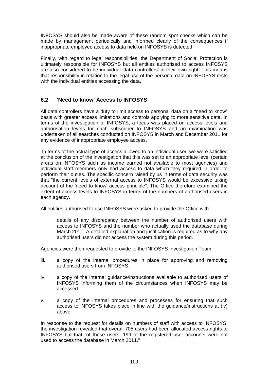INFOSYS should also be made aware of these random spot checks which can be made by management periodically and informed clearly of the consequences if inappropriate employee access to data held on INFOSYS is detected.

Finally, with regard to legal responsibilities, the Department of Social Protection is ultimately responsible for INFOSYS but all entities authorised to access INFOSYS are also considered to be individual 'data controllers' in their own right. This means that responsibility in relation to the legal use of the personal data on INFOSYS rests with the individual entities accessing the data.

## **6.2 'Need to know' Access to INFOSYS**

All data controllers have a duty to limit access to personal data on a "need to know" basis with greater access limitations and controls applying to more sensitive data. In terms of the investigation of INFOSYS, a focus was placed on access levels and authorisation levels for each subscriber to INFOSYS and an examination was undertaken of all searches conducted on INFOSYS in March and December 2011 for any evidence of inappropriate employee access.

 In terms of the actual type of access allowed to an individual user, we were satisfied at the conclusion of the investigation that this was set to an appropriate level (certain areas on INFOSYS such as income earned not available to most agencies) and individual staff members only had access to data which they required in order to perform their duties. The specific concern raised by us in terms of data security was that "the current levels of external access to INFOSYS would be excessive taking account of the 'need to know' access principle". The Office therefore examined the extent of access levels to INFOSYS in terms of the numbers of authorised users in each agency.

All entities authorised to use INFOSYS were asked to provide the Office with:

details of any discrepancy between the number of authorised users with access to INFOSYS and the number who actually used the database during March 2011. A detailed explanation and justification is required as to why any authorised users did not access the system during this period.

Agencies were then requested to provide to the INFOSYS Investigation Team

- iii. a copy of the internal procedures in place for approving and removing authorised users from INFOSYS.
- iv. a copy of the internal guidance/instructions available to authorised users of INFOSYS informing them of the circumstances when INFOSYS may be accessed
- v. a copy of the internal procedures and processes for ensuring that such access to INFOSYS takes place in line with the guidance/instructions at (iv) above

In response to the request for details on numbers of staff with access to INFOSYS, the investigation revealed that overall 705 users had been allocated access rights to INFOSYS but that "of these users, 199 of the registered user accounts were not used to access the database in March 2011."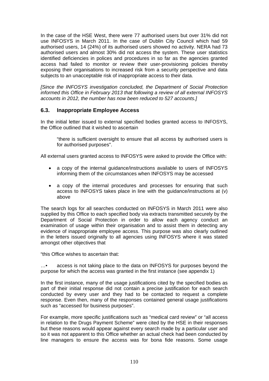In the case of the HSE West, there were 77 authorised users but over 31% did not use INFOSYS in March 2011. In the case of Dublin City Council which had 59 authorised users, 14 (24%) of its authorised users showed no activity. NERA had 73 authorised users and almost 30% did not access the system. These user statistics identified deficiencies in polices and procedures in so far as the agencies granted access had failed to monitor or review their user-provisioning policies thereby exposing their organisations to increased risk from a security perspective and data subjects to an unacceptable risk of inappropriate access to their data.

*[Since the INFOSYS investigation concluded, the Department of Social Protection informed this Office in February 2013 that following a review of all external INFOSYS accounts in 2012, the number has now been reduced to 527 accounts.]* 

## **6.3. Inappropriate Employee Access**

In the initial letter issued to external specified bodies granted access to INFOSYS, the Office outlined that it wished to ascertain

"there is sufficient oversight to ensure that all access by authorised users is for authorised purposes".

All external users granted access to INFOSYS were asked to provide the Office with:

- a copy of the internal guidance/instructions available to users of INFOSYS informing them of the circumstances when INFOSYS may be accessed
- a copy of the internal procedures and processes for ensuring that such access to INFOSYS takes place in line with the guidance/instructions at (v) above

The search logs for all searches conducted on INFOSYS in March 2011 were also supplied by this Office to each specified body via extracts transmitted securely by the Department of Social Protection in order to allow each agency conduct an examination of usage within their organisation and to assist them in detecting any evidence of inappropriate employee access. This purpose was also clearly outlined in the letters issued originally to all agencies using INFOSYS where it was stated amongst other objectives that

"this Office wishes to ascertain that:

…• access is not taking place to the data on INFOSYS for purposes beyond the purpose for which the access was granted in the first instance (see appendix 1)

In the first instance, many of the usage justifications cited by the specified bodies as part of their initial response did not contain a precise justification for each search conducted by every user and they had to be contacted to request a complete response. Even then, many of the responses contained general usage justifications such as "accessed for business purposes".

For example, more specific justifications such as "medical card review" or "all access in relation to the Drugs Payment Scheme" were cited by the HSE in their responses but these reasons would appear against every search made by a particular user and so it was not apparent to this Office whether an actual check had been conducted by line managers to ensure the access was for bona fide reasons. Some usage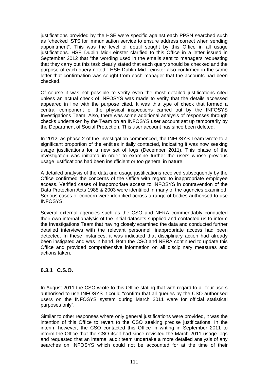justifications provided by the HSE were specific against each PPSN searched such as "checked ISTS for immunisation service to ensure address correct when sending appointment". This was the level of detail sought by this Office in all usage justifications. HSE Dublin Mid-Leinster clarified to this Office in a letter issued in September 2012 that "the wording used in the emails sent to managers requesting that they carry out this task clearly stated that each query should be checked and the purpose of each query noted." HSE Dublin Mid-Leinster also confirmed in the same letter that confirmation was sought from each manager that the accounts had been checked.

Of course it was not possible to verify even the most detailed justifications cited unless an actual check of INFOSYS was made to verify that the details accessed appeared in line with the purpose cited. It was this type of check that formed a central component of the physical inspections carried out by the INFOSYS Investigations Team. Also, there was some additional analysis of responses through checks undertaken by the Team on an INFOSYS user account set up temporarily by the Department of Social Protection. This user account has since been deleted.

In 2012, as phase 2 of the investigation commenced, the INFOSYS Team wrote to a significant proportion of the entities initially contacted, indicating it was now seeking usage justifications for a new set of logs (December 2011). This phase of the investigation was initiated in order to examine further the users whose previous usage justifications had been insufficient or too general in nature.

A detailed analysis of the data and usage justifications received subsequently by the Office confirmed the concerns of the Office with regard to inappropriate employee access. Verified cases of inappropriate access to INFOSYS in contravention of the Data Protection Acts 1988 & 2003 were identified in many of the agencies examined. Serious cases of concern were identified across a range of bodies authorised to use INFOSYS.

Several external agencies such as the CSO and NERA commendably conducted their own internal analysis of the initial datasets supplied and contacted us to inform the Investigations Team that having closely examined the data and conducted further detailed interviews with the relevant personnel, inappropriate access had been detected. In these instances, it was indicated that disciplinary action had already been instigated and was in hand. Both the CSO and NERA continued to update this Office and provided comprehensive information on all disciplinary measures and actions taken.

## **6.3.1 C.S.O.**

In August 2011 the CSO wrote to this Office stating that with regard to all four users authorised to use INFOSYS it could "confirm that all queries by the CSO authorised users on the INFOSYS system during March 2011 were for official statistical purposes only".

Similar to other responses where only general justifications were provided, it was the intention of this Office to revert to the CSO seeking precise justifications. In the interim however, the CSO contacted this Office in writing in September 2011 to inform the Office that the CSO itself had since revisited the March 2011 usage logs and requested that an internal audit team undertake a more detailed analysis of any searches on INFOSYS which could not be accounted for at the time of their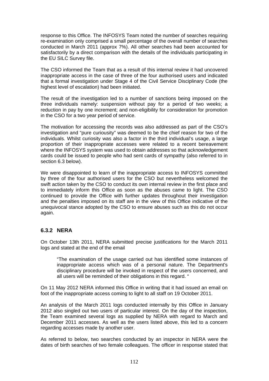response to this Office. The INFOSYS Team noted the number of searches requiring re-examination only comprised a small percentage of the overall number of searches conducted in March 2011 (approx 7%). All other searches had been accounted for satisfactorily by a direct comparison with the details of the individuals participating in the EU SILC Survey file.

The CSO informed the Team that as a result of this internal review it had uncovered inappropriate access in the case of three of the four authorised users and indicated that a formal investigation under Stage 4 of the Civil Service Disciplinary Code (the highest level of escalation) had been initiated.

The result of the investigation led to a number of sanctions being imposed on the three individuals namely: suspension without pay for a period of two weeks; a reduction in pay by one increment; and non-eligibility for consideration for promotion in the CSO for a two year period of service.

The motivation for accessing the records was also addressed as part of the CSO's investigation and "pure curiousity" was deemed to be the chief reason for two of the individuals. Whilst curiosity was also a factor in the third individual's usage, a large proportion of their inappropriate accesses were related to a recent bereavement where the INFOSYS system was used to obtain addresses so that acknowledgement cards could be issued to people who had sent cards of sympathy (also referred to in section 6.3 below).

We were disappointed to learn of the inappropriate access to INFOSYS committed by three of the four authorised users for the CSO but nevertheless welcomed the swift action taken by the CSO to conduct its own internal review in the first place and to immediately inform this Office as soon as the abuses came to light. The CSO continued to provide the Office with further updates throughout their investigation and the penalties imposed on its staff are in the view of this Office indicative of the unequivocal stance adopted by the CSO to ensure abuses such as this do not occur again.

## **6.3.2 NERA**

On October 13th 2011, NERA submitted precise justifications for the March 2011 logs and stated at the end of the email

"The examination of the usage carried out has identified some instances of inappropriate access which was of a personal nature. The Department's disciplinary procedure will be invoked in respect of the users concerned, and all users will be reminded of their obligations in this regard. "

On 11 May 2012 NERA informed this Office in writing that it had issued an email on foot of the inappropriate access coming to light to all staff on 19 October 2011.

An analysis of the March 2011 logs conducted internally by this Office in January 2012 also singled out two users of particular interest. On the day of the inspection, the Team examined several logs as supplied by NERA with regard to March and December 2011 accesses. As well as the users listed above, this led to a concern regarding accesses made by another user.

As referred to below, two searches conducted by an inspector in NERA were the dates of birth searches of two female colleagues. The officer in response stated that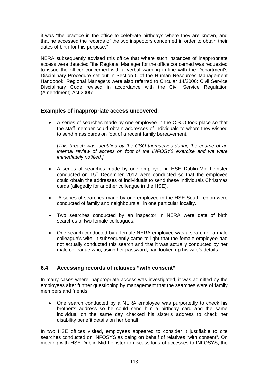it was "the practice in the office to celebrate birthdays where they are known, and that he accessed the records of the two inspectors concerned in order to obtain their dates of birth for this purpose."

NERA subsequently advised this office that where such instances of inappropriate access were detected "the Regional Manager for the office concerned was requested to issue the officer concerned with a verbal warning in line with the Department's Disciplinary Procedure set out in Section 5 of the Human Resources Management Handbook. Regional Managers were also referred to Circular 14/2006: Civil Service Disciplinary Code revised in accordance with the Civil Service Regulation (Amendment) Act 2005".

## **Examples of inappropriate access uncovered:**

 A series of searches made by one employee in the C.S.O took place so that the staff member could obtain addresses of individuals to whom they wished to send mass cards on foot of a recent family bereavement.

*[This breach was identified by the CSO themselves during the course of an internal review of access on foot of the INFOSYS exercise and we were immediately notified.]* 

- A series of searches made by one employee in HSE Dublin-Mid Leinster conducted on 15<sup>th</sup> December 2012 were conducted so that the employee could obtain the addresses of individuals to send these individuals Christmas cards (allegedly for another colleague in the HSE).
- A series of searches made by one employee in the HSE South region were conducted of family and neighbours all in one particular locality.
- Two searches conducted by an inspector in NERA were date of birth searches of two female colleagues.
- One search conducted by a female NERA employee was a search of a male colleague's wife. It subsequently came to light that the female employee had not actually conducted this search and that it was actually conducted by her male colleague who, using her password, had looked up his wife's details.

## **6.4 Accessing records of relatives "with consent"**

In many cases where inappropriate access was investigated, it was admitted by the employees after further questioning by management that the searches were of family members and friends.

 One search conducted by a NERA employee was purportedly to check his brother's address so he could send him a birthday card and the same individual on the same day checked his sister's address to check her disability benefit details on her behalf.

In two HSE offices visited, employees appeared to consider it justifiable to cite searches conducted on INFOSYS as being on behalf of relatives "with consent". On meeting with HSE Dublin Mid-Leinster to discuss logs of accesses to INFOSYS, the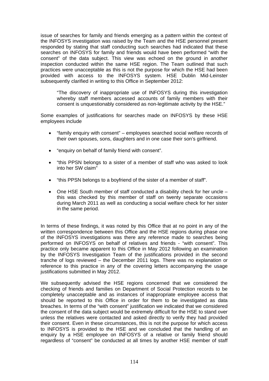issue of searches for family and friends emerging as a pattern within the context of the INFOSYS investigation was raised by the Team and the HSE personnel present responded by stating that staff conducting such searches had indicated that these searches on INFOSYS for family and friends would have been performed "with the consent" of the data subject. This view was echoed on the ground in another inspection conducted within the same HSE region. The Team outlined that such practices were unacceptable as this is not the purpose for which the HSE had been provided with access to the INFOSYS system. HSE Dublin Mid-Leinster subsequently clarified in writing to this Office in September 2012:

"The discovery of inappropriate use of INFOSYS during this investigation whereby staff members accessed accounts of family members with their consent is unquestionably considered as non-legitimate activity by the HSE."

Some examples of justifications for searches made on INFOSYS by these HSE employees include

- "family enquiry with consent" employees searched social welfare records of their own spouses, sons, daughters and in one case their son's girlfriend.
- "enquiry on behalf of family friend with consent".
- "this PPSN belongs to a sister of a member of staff who was asked to look into her SW claim"
- "this PPSN belongs to a boyfriend of the sister of a member of staff".
- One HSE South member of staff conducted a disability check for her uncle this was checked by this member of staff on twenty separate occasions during March 2011 as well as conducting a social welfare check for her sister in the same period.

In terms of these findings, it was noted by this Office that at no point in any of the written correspondence between this Office and the HSE regions during phase one of the INFOSYS investigations was there any reference made to searches being performed on INFOSYS on behalf of relatives and friends - "with consent". This practice only became apparent to this Office in May 2012 following an examination by the INFOSYS Investigation Team of the justifications provided in the second tranche of logs reviewed – the December 2011 logs. There was no explanation or reference to this practice in any of the covering letters accompanying the usage justifications submitted in May 2012.

We subsequently advised the HSE regions concerned that we considered the checking of friends and families on Department of Social Protection records to be completely unacceptable and as instances of inappropriate employee access that should be reported to this Office in order for them to be investigated as data breaches. In terms of the "with consent" justification we indicated that we considered the consent of the data subject would be extremely difficult for the HSE to stand over unless the relatives were contacted and asked directly to verify they had provided their consent. Even in these circumstances, this is not the purpose for which access to INFOSYS is provided to the HSE and we concluded that the handling of an enquiry by a HSE employee on INFOSYS of a relative or family friend should regardless of "consent" be conducted at all times by another HSE member of staff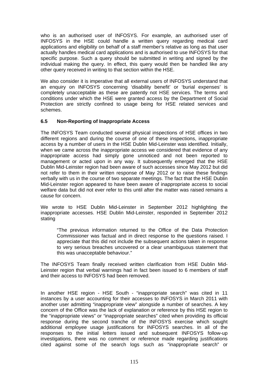who is an authorised user of INFOSYS. For example, an authorised user of INFOSYS in the HSE could handle a written query regarding medical card applications and eligibility on behalf of a staff member's relative as long as that user actually handles medical card applications and is authorised to use INFOSYS for that specific purpose. Such a query should be submitted in writing and signed by the individual making the query. In effect, this query would then be handled like any other query received in writing to that section within the HSE.

We also consider it is imperative that all external users of INFOSYS understand that an enquiry on INFOSYS concerning 'disability benefit' or 'burial expenses' is completely unacceptable as these are patently not HSE services. The terms and conditions under which the HSE were granted access by the Department of Social Protection are strictly confined to usage being for HSE related services and schemes.

### **6.5 Non-Reporting of Inappropriate Access**

The INFOSYS Team conducted several physical inspections of HSE offices in two different regions and during the course of one of these inspections, inappropriate access by a number of users in the HSE Dublin Mid-Leinster was identified. Initially, when we came across the inappropriate access we considered that evidence of any inappropriate access had simply gone unnoticed and not been reported to management or acted upon in any way. It subsequently emerged that the HSE Dublin Mid-Leinster region had been aware of such accesses since May 2012 but did not refer to them in their written response of May 2012 or to raise these findings verbally with us in the course of two separate meetings. The fact that the HSE Dublin Mid-Leinster region appeared to have been aware of inappropriate access to social welfare data but did not ever refer to this until after the matter was raised remains a cause for concern.

We wrote to HSE Dublin Mid-Leinster in September 2012 highlighting the inappropriate accesses. HSE Dublin Mid-Leinster, responded in September 2012 stating

"The previous information returned to the Office of the Data Protection Commissioner was factual and in direct response to the questions raised. I appreciate that this did not include the subsequent actions taken in response to very serious breaches uncovered or a clear unambiguous statement that this was unacceptable behaviour."

The INFOSYS Team finally received written clarification from HSE Dublin Mid-Leinster region that verbal warnings had in fact been issued to 6 members of staff and their access to INFOSYS had been removed.

In another HSE region - HSE South - "inappropriate search" was cited in 11 instances by a user accounting for their accesses to INFOSYS in March 2011 with another user admitting "inappropriate view" alongside a number of searches. A key concern of the Office was the lack of explanation or reference by this HSE region to the "inappropriate views" or "inappropriate searches" cited when providing its official response during the second tranche of the INFOSYS exercise which sought additional employee usage justifications for INFOSYS searches. In all of the responses to the initial letters issued and subsequent INFOSYS follow-up investigations, there was no comment or reference made regarding justifications cited against some of the search logs such as "inappropriate search" or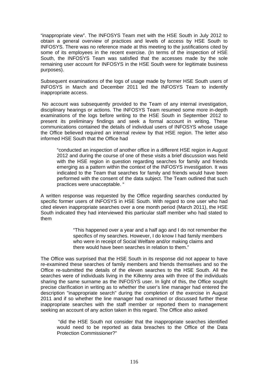"inappropriate view". The INFOSYS Team met with the HSE South in July 2012 to obtain a general overview of practices and levels of access by HSE South to INFOSYS. There was no reference made at this meeting to the justifications cited by some of its employees in the recent exercise. (In terms of the inspection of HSE South, the INFOSYS Team was satisfied that the accesses made by the sole remaining user account for INFOSYS in the HSE South were for legitimate business purposes).

Subsequent examinations of the logs of usage made by former HSE South users of INFOSYS in March and December 2011 led the INFOSYS Team to indentify inappropriate access.

 No account was subsequently provided to the Team of any internal investigation, disciplinary hearings or actions. The INFOSYS Team resumed some more in-depth examinations of the logs before writing to the HSE South in September 2012 to present its preliminary findings and seek a formal account in writing. These communications contained the details of individual users of INFOSYS whose usage the Office believed required an internal review by that HSE region. The letter also informed HSE South that the Office had

"conducted an inspection of another office in a different HSE region in August 2012 and during the course of one of these visits a brief discussion was held with the HSE region in question regarding searches for family and friends emerging as a pattern within the context of the INFOSYS investigation. It was indicated to the Team that searches for family and friends would have been performed with the consent of the data subject. The Team outlined that such practices were unacceptable. "

A written response was requested by the Office regarding searches conducted by specific former users of INFOSYS in HSE South. With regard to one user who had cited eleven inappropriate searches over a one month period (March 2011), the HSE South indicated they had interviewed this particular staff member who had stated to them

> "This happened over a year and a half ago and I do not remember the specifics of my searches. However, I do know I had family members who were in receipt of Social Welfare and/or making claims and there would have been searches in relation to them."

The Office was surprised that the HSE South in its response did not appear to have re-examined these searches of family members and friends themselves and so the Office re-submitted the details of the eleven searches to the HSE South. All the searches were of individuals living in the Kilkenny area with three of the individuals sharing the same surname as the INFOSYS user. In light of this, the Office sought precise clarification in writing as to whether the user's line manager had entered the description "inappropriate search" during the completion of the exercise in August 2011 and if so whether the line manager had examined or discussed further these inappropriate searches with the staff member or reported them to management seeking an account of any action taken in this regard. The Office also asked

"did the HSE South not consider that the inappropriate searches identified would need to be reported as data breaches to the Office of the Data Protection Commissioner?"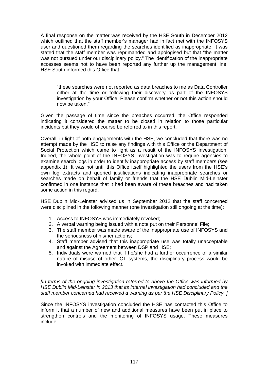A final response on the matter was received by the HSE South in December 2012 which outlined that the staff member's manager had in fact met with the INFOSYS user and questioned them regarding the searches identified as inappropriate. It was stated that the staff member was reprimanded and apologised but that "the matter was not pursued under our disciplinary policy." The identification of the inappropriate accesses seems not to have been reported any further up the management line. HSE South informed this Office that

"these searches were not reported as data breaches to me as Data Controller either at the time or following their discovery as part of the INFOSYS investigation by your Office. Please confirm whether or not this action should now be taken."

Given the passage of time since the breaches occurred, the Office responded indicating it considered the matter to be closed in relation to those particular incidents but they would of course be referred to in this report.

Overall, in light of both engagements with the HSE, we concluded that there was no attempt made by the HSE to raise any findings with this Office or the Department of Social Protection which came to light as a result of the INFOSYS investigation. Indeed, the whole point of the INFOSYS investigation was to require agencies to examine search logs in order to identify inappropriate access by staff members (see appendix 1). It was not until this Office itself highlighted the users from the HSE's own log extracts and queried justifications indicating inappropriate searches or searches made on behalf of family or friends that the HSE Dublin Mid-Leinster confirmed in one instance that it had been aware of these breaches and had taken some action in this regard.

HSE Dublin Mid-Leinster advised us in September 2012 that the staff concerned were disciplined in the following manner (one investigation still ongoing at the time);

- 1. Access to INFOSYS was immediately revoked;
- 2. A verbal warning being issued with a note put on their Personnel File;
- 3. The staff member was made aware of the inappropriate use of INFOSYS and the seriousness of his/her actions;
- 4. Staff member advised that this inappropriate use was totally unacceptable and against the Agreement between DSP and HSE;
- 5. Individuals were warned that if he/she had a further occurrence of a similar nature of misuse of other ICT systems, the disciplinary process would be invoked with immediate effect.

*[In terms of the ongoing investigation referred to above the Office was informed by HSE Dublin Mid-Leinster in 2013 that its internal investigation had concluded and the staff member concerned had received a warning as per the HSE Disciplinary Policy. ]* 

Since the INFOSYS investigation concluded the HSE has contacted this Office to inform it that a number of new and additional measures have been put in place to strengthen controls and the monitoring of INFOSYS usage. These measures include:-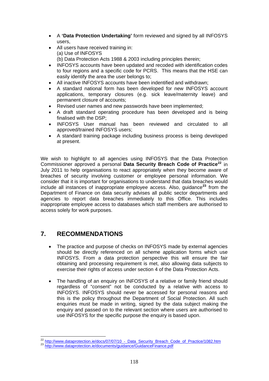- A **'Data Protection Undertaking'** form reviewed and signed by all INFOSYS users,
- All users have received training in: (a) Use of INFOSYS
	- (b) Data Protection Acts 1988 & 2003 including principles therein;
- INFOSYS accounts have been updated and recoded with identification codes to four regions and a specific code for PCRS. This means that the HSE can easily identify the area the user belongs to;
- All inactive INFOSYS accounts have been indentified and withdrawn;
- A standard national form has been developed for new INFOSYS account applications, temporary closures (e.g. sick leave/maternity leave) and permanent closure of accounts;
- Revised user names and new passwords have been implemented;
- A draft standard operating procedure has been developed and is being finalised with the DSP;
- INFOSYS User manual has been reviewed and circulated to all approved/trained INFOSYS users;
- A standard training package including business process is being developed at present.

We wish to highlight to all agencies using INFOSYS that the Data Protection Commissioner approved a personal **Data Security Breach Code of Practice[22](#page-117-0)** in July 2011 to help organisations to react appropriately when they become aware of breaches of security involving customer or employee personal information. We consider that it is important for organisations to understand that data breaches would include all instances of inappropriate employee access. Also, guidance**[23](#page-117-1)** from the Department of Finance on data security advises all public sector departments and agencies to report data breaches immediately to this Office. This includes inappropriate employee access to databases which staff members are authorised to access solely for work purposes.

# **7. RECOMMENDATIONS**

1

- The practice and purpose of checks on INFOSYS made by external agencies should be directly referenced on all scheme application forms which use INFOSYS. From a data protection perspective this will ensure the fair obtaining and processing requirement is met, also allowing data subjects to exercise their rights of access under section 4 of the Data Protection Acts.
- The handling of an enquiry on INFOSYS of a relative or family friend should regardless of "consent" not be conducted by a relative with access to INFOSYS. INFOSYS should never be accessed for personal reasons and this is the policy throughout the Department of Social Protection. All such enquiries must be made in writing, signed by the data subject making the enquiry and passed on to the relevant section where users are authorised to use INFOSYS for the specific purpose the enquiry is based upon.

<span id="page-117-0"></span><sup>&</sup>lt;sup>22</sup> http://www.dataprotection.ie/docs/07/07/10 - Data\_Security\_Breach\_Code\_of\_Practice/1082.htm<br><sup>23</sup> <http://www.dataprotection.ie/documents/guidance/GuidanceFinance.pdf>

<span id="page-117-1"></span>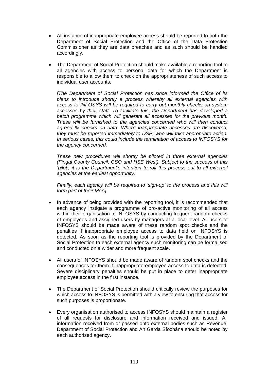- All instance of inappropriate employee access should be reported to both the Department of Social Protection and the Office of the Data Protection Commissioner as they are data breaches and as such should be handled accordingly.
- The Department of Social Protection should make available a reporting tool to all agencies with access to personal data for which the Department is responsible to allow them to check on the appropriateness of such access to individual user accounts.

*[The Department of Social Protection has since informed the Office of its plans to introduce shortly a process whereby all external agencies with access to INFOSYS will be required to carry out monthly checks on system accesses by their staff. To facilitate this, the Department has developed a batch programme which will generate all accesses for the previous month. These will be furnished to the agencies concerned who will then conduct agreed % checks on data. Where inappropriate accesses are discovered, they must be reported immediately to DSP, who will take appropriate action. In serious cases, this could include the termination of access to INFOSYS for the agency concerned.* 

*These new procedures will shortly be piloted in three external agencies (Fingal County Council, CSO and HSE West). Subject to the success of this*  'pilot', it is the Department's intention to roll this process out to all external *agencies at the earliest opportunity.* 

*Finally, each agency will be required to 'sign-up' to the process and this will form part of their MoA].* 

- In advance of being provided with the reporting tool, it is recommended that each agency instigate a programme of pro-active monitoring of all access within their organisation to INFOSYS by conducting frequent random checks of employees and assigned users by managers at a local level. All users of INFOSYS should be made aware of these random spot checks and the penalties if inappropriate employee access to data held on INFOSYS is detected. As soon as the reporting tool is provided by the Department of Social Protection to each external agency such monitoring can be formalised and conducted on a wider and more frequent scale.
- All users of INFOSYS should be made aware of random spot checks and the consequences for them if inappropriate employee access to data is detected. Severe disciplinary penalties should be put in place to deter inappropriate employee access in the first instance.
- The Department of Social Protection should critically review the purposes for which access to INFOSYS is permitted with a view to ensuring that access for such purposes is proportionate.
- Every organisation authorised to access INFOSYS should maintain a register of all requests for disclosure and information received and issued. All information received from or passed onto external bodies such as Revenue, Department of Social Protection and An Garda Síochána should be noted by each authorised agency.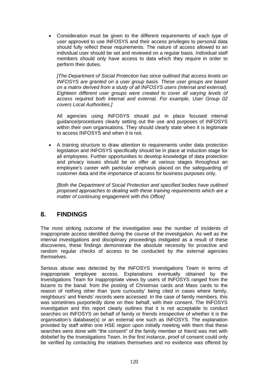Consideration must be given to the different requirements of each type of user approved to use INFOSYS and their access privileges to personal data should fully reflect these requirements. The nature of access allowed to an individual user should be set and reviewed on a regular basis. Individual staff members should only have access to data which they require in order to perform their duties.

*[The Department of Social Protection has since outlined that access levels on INFOSYS are granted on a user group basis. These user groups are based on a matrix derived from a study of all INFOSYS users (internal and external). Eighteen different user groups were created to cover all varying levels of access required both internal and external. For example, User Group 02 covers Local Authorities.]* 

All agencies using INFOSYS should put in place focused internal guidance/procedures clearly setting out the use and purposes of INFOSYS within their own organisations. They should clearly state when it is legitimate to access INFOSYS and when it is not.

 A training structure to draw attention to requirements under data protection legislation and INFOSYS specifically should be in place at induction stage for all employees. Further opportunities to develop knowledge of data protection and privacy issues should be on offer at various stages throughout an employee's career with particular emphasis placed on the safeguarding of customer data and the importance of access for business purposes only.

*[Both the Department of Social Protection and specified bodies have outlined proposed approaches to dealing with these training requirements which are a matter of continuing engagement with this Office]* 

# **8. FINDINGS**

The most striking outcome of the investigation was the number of incidents of inappropriate access identified during the course of the investigation. As well as the internal investigations and disciplinary proceedings instigated as a result of these discoveries, these findings demonstrate the absolute necessity for proactive and random regular checks of access to be conducted by the external agencies themselves.

Serious abuse was detected by the INFOSYS Investigations Team in terms of inappropriate employee access. Explanations eventually obtained by the Investigations Team for inappropriate views by users of INFOSYS ranged from the bizarre to the banal: from the posting of Christmas cards and Mass cards to the reason of nothing other than 'pure curiousity' being cited in cases where family, neighbours' and friends' records were accessed. In the case of family members, this was sometimes purportedly done on their behalf, with their consent. The INFOSYS investigation and this report clearly outlines that it is not acceptable to conduct searches on INFOSYS on behalf of family or friends irrespective of whether it is the organisation's database(s) or an external one such as INFOSYS. The explanation provided by staff within one HSE region upon initially meeting with them that these searches were done with "the consent" of the family member or friend was met with disbelief by the Investigations Team. In the first instance, proof of consent could only be verified by contacting the relatives themselves and no evidence was offered by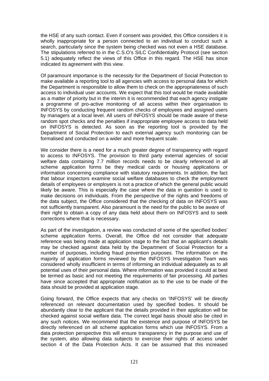the HSE of any such contact. Even if consent was provided, this Office considers it is wholly inappropriate for a person connected to an individual to conduct such a search, particularly since the system being checked was not even a HSE database. The stipulations referred to in the C.S.O's SILC Confidentiality Protocol (see section 5.1) adequately reflect the views of this Office in this regard. The HSE has since indicated its agreement with this view.

Of paramount importance is the necessity for the Department of Social Protection to make available a reporting tool to all agencies with access to personal data for which the Department is responsible to allow them to check on the appropriateness of such access to individual user accounts. We expect that this tool would be made available as a matter of priority but in the interim it is recommended that each agency instigate a programme of pro-active monitoring of all access within their organisation to INFOSYS by conducting frequent random checks of employees and assigned users by managers at a local level. All users of INFOSYS should be made aware of these random spot checks and the penalties if inappropriate employee access to data held on INFOSYS is detected. As soon as the reporting tool is provided by the Department of Social Protection to each external agency such monitoring can be formalised and conducted on a wider and more frequent scale.

We consider there is a need for a much greater degree of transparency with regard to access to INFOSYS. The provision to third party external agencies of social welfare data containing 7.7 million records needs to be clearly referenced in all scheme application forms be they medical cards or housing applications or information concerning compliance with statutory requirements. In addition, the fact that labour inspectors examine social welfare databases to check the employment details of employees or employers is not a practice of which the general public would likely be aware. This is especially the case where the data in question is used to make decisions on individuals. From the perspective of the rights and freedoms of the data subject, the Office considered that the checking of data on INFOSYS was not sufficiently transparent. Also paramount is the need for the public to be aware of their right to obtain a copy of any data held about them on INFOSYS and to seek corrections where that is necessary.

As part of the investigation, a review was conducted of some of the specified bodies' scheme application forms. Overall, the Office did not consider that adequate reference was being made at application stage to the fact that an applicant's details may be checked against data held by the Department of Social Protection for a number of purposes, including fraud prevention purposes. The information on the majority of application forms reviewed by the INFOSYS Investigation Team was considered wholly insufficient in terms of informing an individual adequately as to all potential uses of their personal data. Where information was provided it could at best be termed as basic and not meeting the requirements of fair processing. All parties have since accepted that appropriate notification as to the use to be made of the data should be provided at application stage.

Going forward, the Office expects that any checks on 'INFOSYS' will be directly referenced on relevant documentation used by specified bodies. It should be abundantly clear to the applicant that the details provided in their application will be checked against social welfare data. The correct legal basis should also be cited in any such notices. We recommend that the existence and purpose of INFOSYS be directly referenced on all scheme application forms which use INFOSYS. From a data protection perspective this will ensure transparency in the purpose and use of the system, also allowing data subjects to exercise their rights of access under section 4 of the Data Protection Acts. It can be assumed that this increased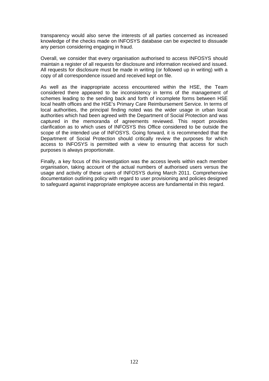transparency would also serve the interests of all parties concerned as increased knowledge of the checks made on INFOSYS database can be expected to dissuade any person considering engaging in fraud.

Overall, we consider that every organisation authorised to access INFOSYS should maintain a register of all requests for disclosure and information received and issued. All requests for disclosure must be made in writing (or followed up in writing) with a copy of all correspondence issued and received kept on file.

As well as the inappropriate access encountered within the HSE, the Team considered there appeared to be inconsistency in terms of the management of schemes leading to the sending back and forth of incomplete forms between HSE local health offices and the HSE's Primary Care Reimbursement Service. In terms of local authorities, the principal finding noted was the wider usage in urban local authorities which had been agreed with the Department of Social Protection and was captured in the memoranda of agreements reviewed. This report provides clarification as to which uses of INFOSYS this Office considered to be outside the scope of the intended use of INFOSYS. Going forward, it is recommended that the Department of Social Protection should critically review the purposes for which access to INFOSYS is permitted with a view to ensuring that access for such purposes is always proportionate.

Finally, a key focus of this investigation was the access levels within each member organisation, taking account of the actual numbers of authorised users versus the usage and activity of these users of INFOSYS during March 2011. Comprehensive documentation outlining policy with regard to user provisioning and policies designed to safeguard against inappropriate employee access are fundamental in this regard.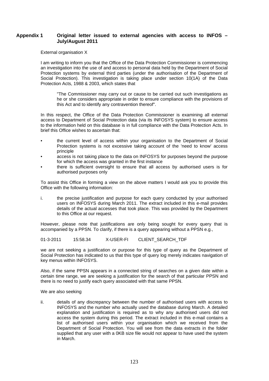#### **Appendix 1 Original letter issued to external agencies with access to INFOS – July/August 2011**

External organisation X

I am writing to inform you that the Office of the Data Protection Commissioner is commencing an investigation into the use of and access to personal data held by the Department of Social Protection systems by external third parties (under the authorisation of the Department of Social Protection). This investigation is taking place under section 10(1A) of the Data Protection Acts, 1988 & 2003, which states that

"The Commissioner may carry out or cause to be carried out such investigations as he or she considers appropriate in order to ensure compliance with the provisions of this Act and to identify any contravention thereof".

In this respect, the Office of the Data Protection Commissioner is examining all external access to Department of Social Protection data (via its INFOSYS system) to ensure access to the information held on this database is in full compliance with the Data Protection Acts. In brief this Office wishes to ascertain that:

- the current level of access within your organisation to the Department of Social Protection systems is not excessive taking account of the 'need to know' access principle
- access is not taking place to the data on INFOSYS for purposes beyond the purpose for which the access was granted in the first instance
- there is sufficient oversight to ensure that all access by authorised users is for authorised purposes only

To assist this Office in forming a view on the above matters I would ask you to provide this Office with the following information:

i. the precise justification and purpose for each query conducted by your authorised users on INFOSYS during March 2011. The extract included in this e-mail provides details of the actual accesses that took place. This was provided by the Department to this Office at our request.

However, please note that justifications are only being sought for every query that is accompanied by a PPSN. To clarify, if there is a query appearing without a PPSN e.g.,

01-3-2011 15:58.34 X-USER-FI CLIENT SEARCH TDF

we are not seeking a justification or purpose for this type of query as the Department of Social Protection has indicated to us that this type of query log merely indicates navigation of key menus within INFOSYS.

Also, if the same PPSN appears in a connected string of searches on a given date within a certain time range, we are seeking a justification for the search of that particular PPSN and there is no need to justify each query associated with that same PPSN.

We are also seeking

ii. details of any discrepancy between the number of authorised users with access to INFOSYS and the number who actually used the database during March. A detailed explanation and justification is required as to why any authorised users did not access the system during this period. The extract included in this e-mail contains a list of authorised users within your organisation which we received from the Department of Social Protection. You will see from the data extracts in the folder supplied that any user with a 0KB size file would not appear to have used the system in March.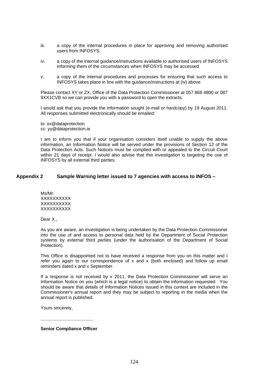- iii. a copy of the internal procedures in place for approving and removing authorised users from INFOSYS.
- iv. a copy of the internal guidance/instructions available to authorised users of INFOSYS informing them of the circumstances when INFOSYS may be accessed
- v. a copy of the internal procedures and processes for ensuring that such access to INFOSYS takes place in line with the guidance/instructions at (iv) above

Please contact XY or ZX, Office of the Data Protection Commissioner at 057 868 4800 or 087 9XX1CVB so we can provide you with a password to open the extracts.

I would ask that you provide the information sought (e-mail or hardcopy) by 19 August 2011. All responses submitted electronically should be emailed:

to: xx@dataprotection cc: yy@dataprotection.ie

I am to inform you that if your organisation considers itself unable to supply the above information, an Information Notice will be served under the provisions of Section 12 of the Data Protection Acts. Such Notices must be complied with or appealed to the Circuit Court within 21 days of receipt. I would also advise that this investigation is targeting the use of INFOSYS by all external third parties.

#### **Appendix 2 Sample Warning letter issued to 7 agencies with access to INFOS –**

Ms/Mr. **XXXXXXXXX XXXXXXXXX XXXXXXXXX** 

Dear X.,

As you are aware, an investigation is being undertaken by the Data Protection Commissioner into the use of and access to personal data held by the Department of Social Protection systems by external third parties (under the authorisation of the Department of Social Protection).

This Office is disappointed not to have received a response from you on this matter and I refer you again to our correspondence of x and x (both enclosed) and follow up email reminders dated x and x September.

If a response is not received by x 2011, the Data Protection Commissioner will serve an Information Notice on you (which is a legal notice) to obtain the information requested. You should be aware that details of Information Notices issued in this context are included in the Commissioner's annual report and they may be subject to reporting in the media when the annual report is published.

Yours sincerely,

**Senior Compliance Officer** 

**\_\_\_\_\_\_\_\_\_\_\_\_\_\_\_\_\_\_\_\_\_**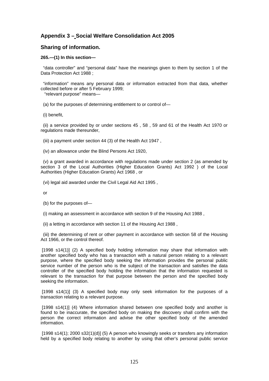## **Appendix 3 – Social Welfare Consolidation Act 2005**

#### **Sharing of information.**

#### **265.—(1) In this section—**

 "data controller" and "personal data" have the meanings given to them by section 1 of the Data Protection Act 1988 :

 "information" means any personal data or information extracted from that data, whether collected before or after 5 February 1999;

"relevant purpose" means—

(a) for the purposes of determining entitlement to or control of—

(i) benefit,

 (ii) a service provided by or under sections 45 , 58 , 59 and 61 of the Health Act 1970 or regulations made thereunder,

(iii) a payment under section 44 (3) of the Health Act 1947 ,

(iv) an allowance under the Blind Persons Act 1920,

 (v) a grant awarded in accordance with regulations made under section 2 (as amended by section 3 of the Local Authorities (Higher Education Grants) Act 1992 ) of the Local Authorities (Higher Education Grants) Act 1968 , or

(vi) legal aid awarded under the Civil Legal Aid Act 1995 ,

or

- (b) for the purposes of—
- (i) making an assessment in accordance with section 9 of the Housing Act 1988 ,
- (ii) a letting in accordance with section 11 of the Housing Act 1988 ,

 (iii) the determining of rent or other payment in accordance with section 58 of the Housing Act 1966, or the control thereof.

[1998 s14(1)] (2) A specified body holding information may share that information with another specified body who has a transaction with a natural person relating to a relevant purpose, where the specified body seeking the information provides the personal public service number of the person who is the subject of the transaction and satisfies the data controller of the specified body holding the information that the information requested is relevant to the transaction for that purpose between the person and the specified body seeking the information.

[1998 s14(1)] (3) A specified body may only seek information for the purposes of a transaction relating to a relevant purpose.

[1998 s14(1)] (4) Where information shared between one specified body and another is found to be inaccurate, the specified body on making the discovery shall confirm with the person the correct information and advise the other specified body of the amended information.

 [1998 s14(1); 2000 s32(1)(d)] (5) A person who knowingly seeks or transfers any information held by a specified body relating to another by using that other's personal public service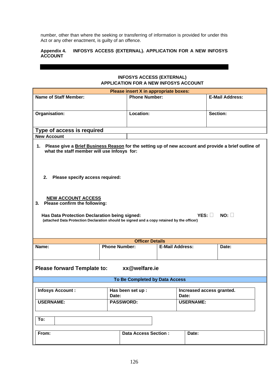number, other than where the seeking or transferring of information is provided for under this Act or any other enactment, is guilty of an offence.

#### **INFOSYS ACCESS (EXTERNAL). APPLICATION FOR A NEW INFOSYS Appendix 4.<br>ACCOUNT**

### **INFOSYS ACCESS (EXTERNAL) APPLICATION FOR A NEW INFOSYS ACCOUNT**

| Please insert X in appropriate boxes:                                                                                                                                                                                         |                                |                        |                                    |                        |
|-------------------------------------------------------------------------------------------------------------------------------------------------------------------------------------------------------------------------------|--------------------------------|------------------------|------------------------------------|------------------------|
| <b>Name of Staff Member:</b>                                                                                                                                                                                                  | <b>Phone Number:</b>           |                        |                                    | <b>E-Mail Address:</b> |
|                                                                                                                                                                                                                               |                                |                        |                                    |                        |
| Organisation:                                                                                                                                                                                                                 | Location:                      |                        |                                    | Section:               |
|                                                                                                                                                                                                                               |                                |                        |                                    |                        |
|                                                                                                                                                                                                                               |                                |                        |                                    |                        |
| Type of access is required                                                                                                                                                                                                    |                                |                        |                                    |                        |
| <b>New Account</b>                                                                                                                                                                                                            |                                |                        |                                    |                        |
| 1. Please give a Brief Business Reason for the setting up of new account and provide a brief outline of<br>what the staff member will use Infosys for:                                                                        |                                |                        |                                    |                        |
| 2.<br>Please specify access required:                                                                                                                                                                                         |                                |                        |                                    |                        |
| <b>NEW ACCOUNT ACCESS</b><br>3. Please confirm the following:<br>NO:<br>YES: ∐<br>Has Data Protection Declaration being signed:<br>(attached Data Protection Declaration should be signed and a copy retained by the officer) |                                |                        |                                    |                        |
|                                                                                                                                                                                                                               | <b>Officer Details</b>         |                        |                                    |                        |
| Name:                                                                                                                                                                                                                         | <b>Phone Number:</b>           | <b>E-Mail Address:</b> |                                    | Date:                  |
| xx@welfare.ie<br><b>Please forward Template to:</b>                                                                                                                                                                           |                                |                        |                                    |                        |
|                                                                                                                                                                                                                               | To Be Completed by Data Access |                        |                                    |                        |
| <b>Infosys Account:</b>                                                                                                                                                                                                       | Has been set up :<br>Date:     |                        | Increased access granted.<br>Date: |                        |
| <b>USERNAME:</b>                                                                                                                                                                                                              | <b>PASSWORD:</b>               |                        | <b>USERNAME:</b>                   |                        |
| To:                                                                                                                                                                                                                           |                                |                        |                                    |                        |
| <b>Data Access Section:</b><br>From:<br>Date:                                                                                                                                                                                 |                                |                        |                                    |                        |